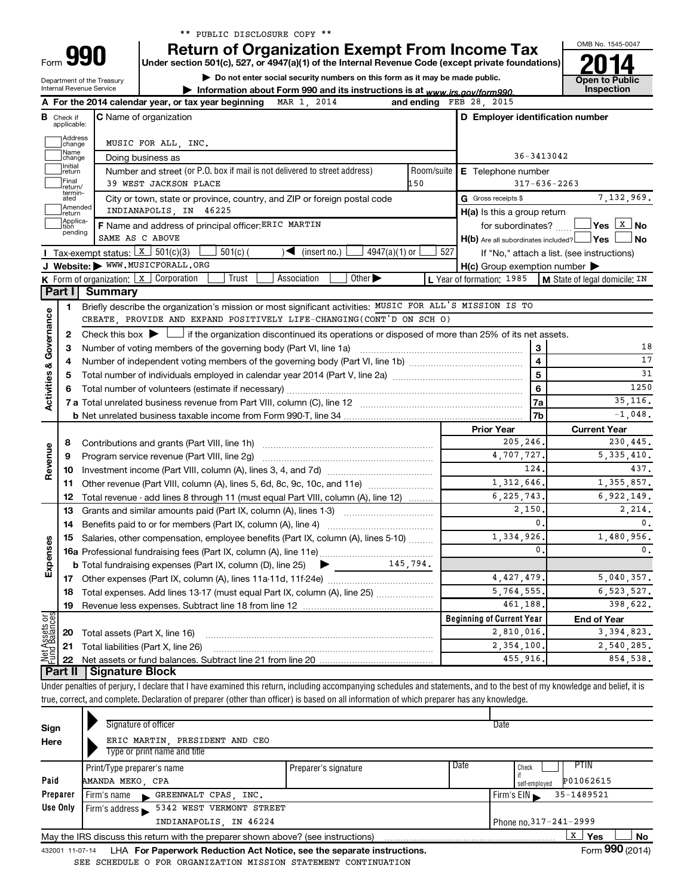|  |  | ** PUBLIC DISCLOSURE COPY ** |  |  |
|--|--|------------------------------|--|--|
|--|--|------------------------------|--|--|

Department of the Treasury Internal Revenue Service Form

## **QQN** | Return of Organization Exempt From Income Tax

**Under section 501(c), 527, or 4947(a)(1) of the Internal Revenue Code (except private foundations)**

**| Do not enter social security numbers on this form as it may be made public.**

OMB No. 1545-0047 **Open to Public<br>Inspection | Information about Form 990 and its instructions is at www.irs.gov/form990.** | Inspection

|                                |                                  | A For the 2014 calendar year, or tax year beginning MAR 1, 2014                                                                                                            |                                  | and ending FEB 28, 2015                 |                         |                                            |  |  |
|--------------------------------|----------------------------------|----------------------------------------------------------------------------------------------------------------------------------------------------------------------------|----------------------------------|-----------------------------------------|-------------------------|--------------------------------------------|--|--|
|                                | <b>B</b> Check if<br>applicable: | <b>C</b> Name of organization                                                                                                                                              |                                  | D Employer identification number        |                         |                                            |  |  |
|                                | Address<br> change               | MUSIC FOR ALL, INC.                                                                                                                                                        |                                  |                                         |                         |                                            |  |  |
|                                | Name<br> change                  | Doing business as                                                                                                                                                          |                                  | 36-3413042                              |                         |                                            |  |  |
|                                | Initial<br>return                | Number and street (or P.O. box if mail is not delivered to street address)                                                                                                 | Room/suite                       | E Telephone number                      |                         |                                            |  |  |
|                                | Final<br>return/                 | 39 WEST JACKSON PLACE                                                                                                                                                      | 150                              |                                         |                         | $317 - 636 - 2263$                         |  |  |
|                                | termin-<br>ated                  | City or town, state or province, country, and ZIP or foreign postal code                                                                                                   |                                  | G Gross receipts \$                     |                         | 7,132,969.                                 |  |  |
|                                | Amended<br>Ireturn               | INDIANAPOLIS, IN 46225                                                                                                                                                     |                                  | H(a) Is this a group return             |                         |                                            |  |  |
|                                | Applica-<br>Ition                | F Name and address of principal officer: ERIC MARTIN                                                                                                                       |                                  | for subordinates?                       |                         |                                            |  |  |
|                                | pending                          | SAME AS C ABOVE                                                                                                                                                            |                                  | H(b) Are all subordinates included? Ves |                         | J No                                       |  |  |
|                                |                                  | Tax-exempt status: $x \mid 301(c)(3)$<br>$4947(a)(1)$ or<br>501(c)<br>$(\text{insert no.})$                                                                                | 527                              |                                         |                         | If "No," attach a list. (see instructions) |  |  |
|                                |                                  | J Website: WWW.MUSICFORALL.ORG                                                                                                                                             |                                  | H(c) Group exemption number             |                         |                                            |  |  |
|                                |                                  | Trust<br>Other $\blacktriangleright$<br><b>K</b> Form of organization: $\boxed{x}$ Corporation<br>Association                                                              |                                  | L Year of formation: 1985               |                         | M State of legal domicile: IN              |  |  |
|                                | Part I                           | <b>Summary</b>                                                                                                                                                             |                                  |                                         |                         |                                            |  |  |
|                                | 1                                | Briefly describe the organization's mission or most significant activities: MUSIC FOR ALL'S MISSION IS TO                                                                  |                                  |                                         |                         |                                            |  |  |
| Governance                     |                                  | CREATE, PROVIDE AND EXPAND POSITIVELY LIFE-CHANGING(CONT'D ON SCH O)                                                                                                       |                                  |                                         |                         |                                            |  |  |
|                                | 2                                | Check this box $\blacktriangleright$ $\Box$ if the organization discontinued its operations or disposed of more than 25% of its net assets.                                |                                  |                                         |                         |                                            |  |  |
|                                | 3                                |                                                                                                                                                                            |                                  |                                         | 3                       | 18                                         |  |  |
| ઌ                              | 4                                |                                                                                                                                                                            |                                  |                                         | $\overline{\mathbf{4}}$ | 17                                         |  |  |
|                                | 5                                |                                                                                                                                                                            |                                  |                                         | 5                       | 31                                         |  |  |
| Activities                     | 6                                |                                                                                                                                                                            |                                  |                                         | $\bf 6$                 | 1250                                       |  |  |
|                                |                                  |                                                                                                                                                                            |                                  |                                         | 7a                      | 35, 116.                                   |  |  |
|                                |                                  |                                                                                                                                                                            |                                  |                                         | 7b                      | $-1,048$ .                                 |  |  |
|                                |                                  |                                                                                                                                                                            |                                  | <b>Prior Year</b>                       |                         | <b>Current Year</b>                        |  |  |
|                                | 8                                |                                                                                                                                                                            | 205,246.                         |                                         | 230,445.                |                                            |  |  |
| Revenue                        | 9                                | Program service revenue (Part VIII, line 2g)                                                                                                                               |                                  | 4,707,727.<br>124.                      |                         | 5,335,410.<br>437.                         |  |  |
|                                | 10                               |                                                                                                                                                                            |                                  | 1,312,646.                              |                         | 1,355,857.                                 |  |  |
|                                | 11                               | Other revenue (Part VIII, column (A), lines 5, 6d, 8c, 9c, 10c, and 11e)                                                                                                   |                                  | 6, 225, 743.                            |                         | 6,922,149.                                 |  |  |
|                                | 12<br>13                         | Total revenue - add lines 8 through 11 (must equal Part VIII, column (A), line 12)<br>Grants and similar amounts paid (Part IX, column (A), lines 1-3)                     |                                  | 2,150.                                  |                         | 2,214.                                     |  |  |
|                                | 14                               |                                                                                                                                                                            |                                  |                                         | 0.                      | 0.                                         |  |  |
|                                | 15                               | Salaries, other compensation, employee benefits (Part IX, column (A), lines 5-10)                                                                                          |                                  | 1,334,926.                              |                         | 1,480,956.                                 |  |  |
| Expenses                       |                                  |                                                                                                                                                                            |                                  |                                         | $\mathbf 0$ .           | $\mathbf{0}$ .                             |  |  |
|                                |                                  | 145,794.<br><b>b</b> Total fundraising expenses (Part IX, column (D), line 25) $\triangleright$                                                                            |                                  |                                         |                         |                                            |  |  |
|                                |                                  |                                                                                                                                                                            |                                  | 4, 427, 479.                            |                         | 5,040,357.                                 |  |  |
|                                |                                  | 18 Total expenses. Add lines 13-17 (must equal Part IX, column (A), line 25)                                                                                               |                                  | 5,764,555.                              |                         | 6,523,527.                                 |  |  |
|                                |                                  | 19 Revenue less expenses. Subtract line 18 from line 12                                                                                                                    | 461,188.                         |                                         | 398,622.                |                                            |  |  |
|                                |                                  |                                                                                                                                                                            | <b>Beginning of Current Year</b> |                                         | <b>End of Year</b>      |                                            |  |  |
| Net Assets or<br>Fund Balances | 20                               | Total assets (Part X, line 16)                                                                                                                                             |                                  | 2,810,016.                              |                         | 3, 394, 823.                               |  |  |
|                                | 21                               | Total liabilities (Part X, line 26)                                                                                                                                        |                                  | 2,354,100.                              | 2,540,285.              |                                            |  |  |
|                                | 22                               |                                                                                                                                                                            |                                  | 455,916                                 |                         | 854.538.                                   |  |  |
|                                | <b>Part II</b>                   | <b>Signature Block</b>                                                                                                                                                     |                                  |                                         |                         |                                            |  |  |
|                                |                                  | Under penalties of perjury, I declare that I have examined this return, including accompanying schedules and statements, and to the best of my knowledge and belief, it is |                                  |                                         |                         |                                            |  |  |
|                                |                                  | true, correct, and complete. Declaration of preparer (other than officer) is based on all information of which preparer has any knowledge.                                 |                                  |                                         |                         |                                            |  |  |

| Sign     | Signature of officer                                                              |                      |      | Date                       |
|----------|-----------------------------------------------------------------------------------|----------------------|------|----------------------------|
| Here     | ERIC MARTIN, PRESIDENT AND CEO                                                    |                      |      |                            |
|          | Type or print name and title                                                      |                      |      |                            |
|          | Print/Type preparer's name                                                        | Preparer's signature | Date | PTIN<br>Check              |
| Paid     | AMANDA MEKO, CPA                                                                  |                      |      | P01062615<br>self-employed |
| Preparer | Firm's name GREENWALT CPAS, INC.                                                  |                      |      | 35-1489521<br>Firm's $EIN$ |
| Use Only | Firm's address 5342 WEST VERMONT STREET                                           |                      |      |                            |
|          | INDIANAPOLIS, IN 46224                                                            |                      |      | Phone no. 317 - 241 - 2999 |
|          | May the IRS discuss this return with the preparer shown above? (see instructions) |                      |      | x<br><b>No</b><br>Yes      |
|          |                                                                                   |                      |      | $\cdots$                   |

432001 11-07-14 **For Paperwork Reduction Act Notice, see the separate instructions.** LHA Form (2014) SEE SCHEDULE O FOR ORGANIZATION MISSION STATEMENT CONTINUATION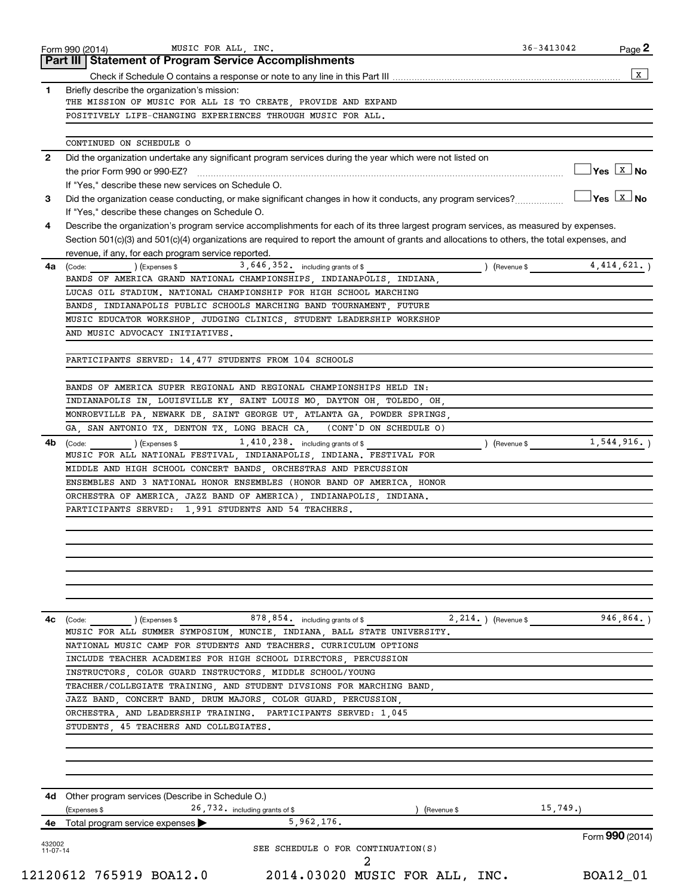| Check if Schedule O contains a response or note to any line in this Part III<br>Briefly describe the organization's mission:<br>THE MISSION OF MUSIC FOR ALL IS TO CREATE, PROVIDE AND EXPAND<br>POSITIVELY LIFE-CHANGING EXPERIENCES THROUGH MUSIC FOR ALL.<br>CONTINUED ON SCHEDULE O<br>Did the organization undertake any significant program services during the year which were not listed on<br>the prior Form 990 or 990-EZ?<br>If "Yes," describe these new services on Schedule O.<br>Did the organization cease conducting, or make significant changes in how it conducts, any program services?<br>If "Yes," describe these changes on Schedule O.<br>Describe the organization's program service accomplishments for each of its three largest program services, as measured by expenses.<br>Section 501(c)(3) and 501(c)(4) organizations are required to report the amount of grants and allocations to others, the total expenses, and<br>revenue, if any, for each program service reported<br>3,646,352. including grants of \$<br>(Revenue \$ 4,414,621.)<br>) (Expenses \$<br>(Code:<br>BANDS OF AMERICA GRAND NATIONAL CHAMPIONSHIPS, INDIANAPOLIS, INDIANA,<br>LUCAS OIL STADIUM. NATIONAL CHAMPIONSHIP FOR HIGH SCHOOL MARCHING<br>BANDS, INDIANAPOLIS PUBLIC SCHOOLS MARCHING BAND TOURNAMENT, FUTURE<br>MUSIC EDUCATOR WORKSHOP, JUDGING CLINICS, STUDENT LEADERSHIP WORKSHOP<br>AND MUSIC ADVOCACY INITIATIVES.<br>PARTICIPANTS SERVED: 14,477 STUDENTS FROM 104 SCHOOLS<br>BANDS OF AMERICA SUPER REGIONAL AND REGIONAL CHAMPIONSHIPS HELD IN:<br>INDIANAPOLIS IN, LOUISVILLE KY, SAINT LOUIS MO, DAYTON OH, TOLEDO, OH,<br>MONROEVILLE PA, NEWARK DE, SAINT GEORGE UT, ATLANTA GA, POWDER SPRINGS,<br>(CONT'D ON SCHEDULE O)<br>GA, SAN ANTONIO TX, DENTON TX, LONG BEACH CA,<br>1,544,916.<br>1, 410, 238. including grants of \$<br>) (Revenue \$<br>) (Expenses \$<br>(Code:<br>MUSIC FOR ALL NATIONAL FESTIVAL, INDIANAPOLIS, INDIANA. FESTIVAL FOR<br>MIDDLE AND HIGH SCHOOL CONCERT BANDS, ORCHESTRAS AND PERCUSSION<br>ENSEMBLES AND 3 NATIONAL HONOR ENSEMBLES (HONOR BAND OF AMERICA, HONOR<br>ORCHESTRA OF AMERICA, JAZZ BAND OF AMERICA), INDIANAPOLIS, INDIANA.<br>PARTICIPANTS SERVED: 1,991 STUDENTS AND 54 TEACHERS.<br>(Code: (Code: ) (Expenses \$ 878, 854. including grants of \$ 2, 214.) (Revenue \$<br>946, 864.<br>MUSIC FOR ALL SUMMER SYMPOSIUM, MUNCIE, INDIANA, BALL STATE UNIVERSITY.<br>NATIONAL MUSIC CAMP FOR STUDENTS AND TEACHERS. CURRICULUM OPTIONS<br>INCLUDE TEACHER ACADEMIES FOR HIGH SCHOOL DIRECTORS, PERCUSSION<br>INSTRUCTORS, COLOR GUARD INSTRUCTORS, MIDDLE SCHOOL/YOUNG<br>TEACHER/COLLEGIATE TRAINING, AND STUDENT DIVSIONS FOR MARCHING BAND,<br>JAZZ BAND, CONCERT BAND, DRUM MAJORS, COLOR GUARD, PERCUSSION,<br>ORCHESTRA, AND LEADERSHIP TRAINING. PARTICIPANTS SERVED: 1,045<br>STUDENTS, 45 TEACHERS AND COLLEGIATES.<br>4d Other program services (Describe in Schedule O.)<br>26,732. including grants of \$<br>15,749.<br>(Expenses \$<br>) (Revenue \$<br>5,962,176.<br>Total program service expenses<br>Form 990 (2014)<br>SEE SCHEDULE O FOR CONTINUATION(S)<br>11-07-14 |              | Part III   Statement of Program Service Accomplishments   |                                     |
|---------------------------------------------------------------------------------------------------------------------------------------------------------------------------------------------------------------------------------------------------------------------------------------------------------------------------------------------------------------------------------------------------------------------------------------------------------------------------------------------------------------------------------------------------------------------------------------------------------------------------------------------------------------------------------------------------------------------------------------------------------------------------------------------------------------------------------------------------------------------------------------------------------------------------------------------------------------------------------------------------------------------------------------------------------------------------------------------------------------------------------------------------------------------------------------------------------------------------------------------------------------------------------------------------------------------------------------------------------------------------------------------------------------------------------------------------------------------------------------------------------------------------------------------------------------------------------------------------------------------------------------------------------------------------------------------------------------------------------------------------------------------------------------------------------------------------------------------------------------------------------------------------------------------------------------------------------------------------------------------------------------------------------------------------------------------------------------------------------------------------------------------------------------------------------------------------------------------------------------------------------------------------------------------------------------------------------------------------------------------------------------------------------------------------------------------------------------------------------------------------------------------------------------------------------------------------------------------------------------------------------------------------------------------------------------------------------------------------------------------------------------------------------------------------------------------------------------------------------------------------------------------------------------------------------------------------------------------------------------------------------------------------------------------------------------------------------------------------------------------------------------------------------------------|--------------|-----------------------------------------------------------|-------------------------------------|
|                                                                                                                                                                                                                                                                                                                                                                                                                                                                                                                                                                                                                                                                                                                                                                                                                                                                                                                                                                                                                                                                                                                                                                                                                                                                                                                                                                                                                                                                                                                                                                                                                                                                                                                                                                                                                                                                                                                                                                                                                                                                                                                                                                                                                                                                                                                                                                                                                                                                                                                                                                                                                                                                                                                                                                                                                                                                                                                                                                                                                                                                                                                                                                     |              |                                                           | x                                   |
|                                                                                                                                                                                                                                                                                                                                                                                                                                                                                                                                                                                                                                                                                                                                                                                                                                                                                                                                                                                                                                                                                                                                                                                                                                                                                                                                                                                                                                                                                                                                                                                                                                                                                                                                                                                                                                                                                                                                                                                                                                                                                                                                                                                                                                                                                                                                                                                                                                                                                                                                                                                                                                                                                                                                                                                                                                                                                                                                                                                                                                                                                                                                                                     | 1            |                                                           |                                     |
|                                                                                                                                                                                                                                                                                                                                                                                                                                                                                                                                                                                                                                                                                                                                                                                                                                                                                                                                                                                                                                                                                                                                                                                                                                                                                                                                                                                                                                                                                                                                                                                                                                                                                                                                                                                                                                                                                                                                                                                                                                                                                                                                                                                                                                                                                                                                                                                                                                                                                                                                                                                                                                                                                                                                                                                                                                                                                                                                                                                                                                                                                                                                                                     |              |                                                           |                                     |
|                                                                                                                                                                                                                                                                                                                                                                                                                                                                                                                                                                                                                                                                                                                                                                                                                                                                                                                                                                                                                                                                                                                                                                                                                                                                                                                                                                                                                                                                                                                                                                                                                                                                                                                                                                                                                                                                                                                                                                                                                                                                                                                                                                                                                                                                                                                                                                                                                                                                                                                                                                                                                                                                                                                                                                                                                                                                                                                                                                                                                                                                                                                                                                     |              |                                                           |                                     |
|                                                                                                                                                                                                                                                                                                                                                                                                                                                                                                                                                                                                                                                                                                                                                                                                                                                                                                                                                                                                                                                                                                                                                                                                                                                                                                                                                                                                                                                                                                                                                                                                                                                                                                                                                                                                                                                                                                                                                                                                                                                                                                                                                                                                                                                                                                                                                                                                                                                                                                                                                                                                                                                                                                                                                                                                                                                                                                                                                                                                                                                                                                                                                                     |              |                                                           |                                     |
|                                                                                                                                                                                                                                                                                                                                                                                                                                                                                                                                                                                                                                                                                                                                                                                                                                                                                                                                                                                                                                                                                                                                                                                                                                                                                                                                                                                                                                                                                                                                                                                                                                                                                                                                                                                                                                                                                                                                                                                                                                                                                                                                                                                                                                                                                                                                                                                                                                                                                                                                                                                                                                                                                                                                                                                                                                                                                                                                                                                                                                                                                                                                                                     | $\mathbf{2}$ |                                                           |                                     |
|                                                                                                                                                                                                                                                                                                                                                                                                                                                                                                                                                                                                                                                                                                                                                                                                                                                                                                                                                                                                                                                                                                                                                                                                                                                                                                                                                                                                                                                                                                                                                                                                                                                                                                                                                                                                                                                                                                                                                                                                                                                                                                                                                                                                                                                                                                                                                                                                                                                                                                                                                                                                                                                                                                                                                                                                                                                                                                                                                                                                                                                                                                                                                                     |              |                                                           | $\sqrt{\mathsf{Yes} \mathbb{X}}$ No |
|                                                                                                                                                                                                                                                                                                                                                                                                                                                                                                                                                                                                                                                                                                                                                                                                                                                                                                                                                                                                                                                                                                                                                                                                                                                                                                                                                                                                                                                                                                                                                                                                                                                                                                                                                                                                                                                                                                                                                                                                                                                                                                                                                                                                                                                                                                                                                                                                                                                                                                                                                                                                                                                                                                                                                                                                                                                                                                                                                                                                                                                                                                                                                                     |              |                                                           |                                     |
|                                                                                                                                                                                                                                                                                                                                                                                                                                                                                                                                                                                                                                                                                                                                                                                                                                                                                                                                                                                                                                                                                                                                                                                                                                                                                                                                                                                                                                                                                                                                                                                                                                                                                                                                                                                                                                                                                                                                                                                                                                                                                                                                                                                                                                                                                                                                                                                                                                                                                                                                                                                                                                                                                                                                                                                                                                                                                                                                                                                                                                                                                                                                                                     | 3            |                                                           |                                     |
|                                                                                                                                                                                                                                                                                                                                                                                                                                                                                                                                                                                                                                                                                                                                                                                                                                                                                                                                                                                                                                                                                                                                                                                                                                                                                                                                                                                                                                                                                                                                                                                                                                                                                                                                                                                                                                                                                                                                                                                                                                                                                                                                                                                                                                                                                                                                                                                                                                                                                                                                                                                                                                                                                                                                                                                                                                                                                                                                                                                                                                                                                                                                                                     |              |                                                           |                                     |
|                                                                                                                                                                                                                                                                                                                                                                                                                                                                                                                                                                                                                                                                                                                                                                                                                                                                                                                                                                                                                                                                                                                                                                                                                                                                                                                                                                                                                                                                                                                                                                                                                                                                                                                                                                                                                                                                                                                                                                                                                                                                                                                                                                                                                                                                                                                                                                                                                                                                                                                                                                                                                                                                                                                                                                                                                                                                                                                                                                                                                                                                                                                                                                     | 4            |                                                           |                                     |
|                                                                                                                                                                                                                                                                                                                                                                                                                                                                                                                                                                                                                                                                                                                                                                                                                                                                                                                                                                                                                                                                                                                                                                                                                                                                                                                                                                                                                                                                                                                                                                                                                                                                                                                                                                                                                                                                                                                                                                                                                                                                                                                                                                                                                                                                                                                                                                                                                                                                                                                                                                                                                                                                                                                                                                                                                                                                                                                                                                                                                                                                                                                                                                     |              |                                                           |                                     |
|                                                                                                                                                                                                                                                                                                                                                                                                                                                                                                                                                                                                                                                                                                                                                                                                                                                                                                                                                                                                                                                                                                                                                                                                                                                                                                                                                                                                                                                                                                                                                                                                                                                                                                                                                                                                                                                                                                                                                                                                                                                                                                                                                                                                                                                                                                                                                                                                                                                                                                                                                                                                                                                                                                                                                                                                                                                                                                                                                                                                                                                                                                                                                                     | 4a           |                                                           |                                     |
|                                                                                                                                                                                                                                                                                                                                                                                                                                                                                                                                                                                                                                                                                                                                                                                                                                                                                                                                                                                                                                                                                                                                                                                                                                                                                                                                                                                                                                                                                                                                                                                                                                                                                                                                                                                                                                                                                                                                                                                                                                                                                                                                                                                                                                                                                                                                                                                                                                                                                                                                                                                                                                                                                                                                                                                                                                                                                                                                                                                                                                                                                                                                                                     |              |                                                           |                                     |
|                                                                                                                                                                                                                                                                                                                                                                                                                                                                                                                                                                                                                                                                                                                                                                                                                                                                                                                                                                                                                                                                                                                                                                                                                                                                                                                                                                                                                                                                                                                                                                                                                                                                                                                                                                                                                                                                                                                                                                                                                                                                                                                                                                                                                                                                                                                                                                                                                                                                                                                                                                                                                                                                                                                                                                                                                                                                                                                                                                                                                                                                                                                                                                     |              |                                                           |                                     |
|                                                                                                                                                                                                                                                                                                                                                                                                                                                                                                                                                                                                                                                                                                                                                                                                                                                                                                                                                                                                                                                                                                                                                                                                                                                                                                                                                                                                                                                                                                                                                                                                                                                                                                                                                                                                                                                                                                                                                                                                                                                                                                                                                                                                                                                                                                                                                                                                                                                                                                                                                                                                                                                                                                                                                                                                                                                                                                                                                                                                                                                                                                                                                                     |              |                                                           |                                     |
|                                                                                                                                                                                                                                                                                                                                                                                                                                                                                                                                                                                                                                                                                                                                                                                                                                                                                                                                                                                                                                                                                                                                                                                                                                                                                                                                                                                                                                                                                                                                                                                                                                                                                                                                                                                                                                                                                                                                                                                                                                                                                                                                                                                                                                                                                                                                                                                                                                                                                                                                                                                                                                                                                                                                                                                                                                                                                                                                                                                                                                                                                                                                                                     |              |                                                           |                                     |
|                                                                                                                                                                                                                                                                                                                                                                                                                                                                                                                                                                                                                                                                                                                                                                                                                                                                                                                                                                                                                                                                                                                                                                                                                                                                                                                                                                                                                                                                                                                                                                                                                                                                                                                                                                                                                                                                                                                                                                                                                                                                                                                                                                                                                                                                                                                                                                                                                                                                                                                                                                                                                                                                                                                                                                                                                                                                                                                                                                                                                                                                                                                                                                     |              |                                                           |                                     |
|                                                                                                                                                                                                                                                                                                                                                                                                                                                                                                                                                                                                                                                                                                                                                                                                                                                                                                                                                                                                                                                                                                                                                                                                                                                                                                                                                                                                                                                                                                                                                                                                                                                                                                                                                                                                                                                                                                                                                                                                                                                                                                                                                                                                                                                                                                                                                                                                                                                                                                                                                                                                                                                                                                                                                                                                                                                                                                                                                                                                                                                                                                                                                                     |              |                                                           |                                     |
|                                                                                                                                                                                                                                                                                                                                                                                                                                                                                                                                                                                                                                                                                                                                                                                                                                                                                                                                                                                                                                                                                                                                                                                                                                                                                                                                                                                                                                                                                                                                                                                                                                                                                                                                                                                                                                                                                                                                                                                                                                                                                                                                                                                                                                                                                                                                                                                                                                                                                                                                                                                                                                                                                                                                                                                                                                                                                                                                                                                                                                                                                                                                                                     |              |                                                           |                                     |
|                                                                                                                                                                                                                                                                                                                                                                                                                                                                                                                                                                                                                                                                                                                                                                                                                                                                                                                                                                                                                                                                                                                                                                                                                                                                                                                                                                                                                                                                                                                                                                                                                                                                                                                                                                                                                                                                                                                                                                                                                                                                                                                                                                                                                                                                                                                                                                                                                                                                                                                                                                                                                                                                                                                                                                                                                                                                                                                                                                                                                                                                                                                                                                     |              |                                                           |                                     |
|                                                                                                                                                                                                                                                                                                                                                                                                                                                                                                                                                                                                                                                                                                                                                                                                                                                                                                                                                                                                                                                                                                                                                                                                                                                                                                                                                                                                                                                                                                                                                                                                                                                                                                                                                                                                                                                                                                                                                                                                                                                                                                                                                                                                                                                                                                                                                                                                                                                                                                                                                                                                                                                                                                                                                                                                                                                                                                                                                                                                                                                                                                                                                                     |              |                                                           |                                     |
|                                                                                                                                                                                                                                                                                                                                                                                                                                                                                                                                                                                                                                                                                                                                                                                                                                                                                                                                                                                                                                                                                                                                                                                                                                                                                                                                                                                                                                                                                                                                                                                                                                                                                                                                                                                                                                                                                                                                                                                                                                                                                                                                                                                                                                                                                                                                                                                                                                                                                                                                                                                                                                                                                                                                                                                                                                                                                                                                                                                                                                                                                                                                                                     |              |                                                           |                                     |
|                                                                                                                                                                                                                                                                                                                                                                                                                                                                                                                                                                                                                                                                                                                                                                                                                                                                                                                                                                                                                                                                                                                                                                                                                                                                                                                                                                                                                                                                                                                                                                                                                                                                                                                                                                                                                                                                                                                                                                                                                                                                                                                                                                                                                                                                                                                                                                                                                                                                                                                                                                                                                                                                                                                                                                                                                                                                                                                                                                                                                                                                                                                                                                     |              |                                                           |                                     |
|                                                                                                                                                                                                                                                                                                                                                                                                                                                                                                                                                                                                                                                                                                                                                                                                                                                                                                                                                                                                                                                                                                                                                                                                                                                                                                                                                                                                                                                                                                                                                                                                                                                                                                                                                                                                                                                                                                                                                                                                                                                                                                                                                                                                                                                                                                                                                                                                                                                                                                                                                                                                                                                                                                                                                                                                                                                                                                                                                                                                                                                                                                                                                                     | 4b           |                                                           |                                     |
|                                                                                                                                                                                                                                                                                                                                                                                                                                                                                                                                                                                                                                                                                                                                                                                                                                                                                                                                                                                                                                                                                                                                                                                                                                                                                                                                                                                                                                                                                                                                                                                                                                                                                                                                                                                                                                                                                                                                                                                                                                                                                                                                                                                                                                                                                                                                                                                                                                                                                                                                                                                                                                                                                                                                                                                                                                                                                                                                                                                                                                                                                                                                                                     |              |                                                           |                                     |
|                                                                                                                                                                                                                                                                                                                                                                                                                                                                                                                                                                                                                                                                                                                                                                                                                                                                                                                                                                                                                                                                                                                                                                                                                                                                                                                                                                                                                                                                                                                                                                                                                                                                                                                                                                                                                                                                                                                                                                                                                                                                                                                                                                                                                                                                                                                                                                                                                                                                                                                                                                                                                                                                                                                                                                                                                                                                                                                                                                                                                                                                                                                                                                     |              |                                                           |                                     |
|                                                                                                                                                                                                                                                                                                                                                                                                                                                                                                                                                                                                                                                                                                                                                                                                                                                                                                                                                                                                                                                                                                                                                                                                                                                                                                                                                                                                                                                                                                                                                                                                                                                                                                                                                                                                                                                                                                                                                                                                                                                                                                                                                                                                                                                                                                                                                                                                                                                                                                                                                                                                                                                                                                                                                                                                                                                                                                                                                                                                                                                                                                                                                                     |              |                                                           |                                     |
|                                                                                                                                                                                                                                                                                                                                                                                                                                                                                                                                                                                                                                                                                                                                                                                                                                                                                                                                                                                                                                                                                                                                                                                                                                                                                                                                                                                                                                                                                                                                                                                                                                                                                                                                                                                                                                                                                                                                                                                                                                                                                                                                                                                                                                                                                                                                                                                                                                                                                                                                                                                                                                                                                                                                                                                                                                                                                                                                                                                                                                                                                                                                                                     |              |                                                           |                                     |
|                                                                                                                                                                                                                                                                                                                                                                                                                                                                                                                                                                                                                                                                                                                                                                                                                                                                                                                                                                                                                                                                                                                                                                                                                                                                                                                                                                                                                                                                                                                                                                                                                                                                                                                                                                                                                                                                                                                                                                                                                                                                                                                                                                                                                                                                                                                                                                                                                                                                                                                                                                                                                                                                                                                                                                                                                                                                                                                                                                                                                                                                                                                                                                     |              |                                                           |                                     |
|                                                                                                                                                                                                                                                                                                                                                                                                                                                                                                                                                                                                                                                                                                                                                                                                                                                                                                                                                                                                                                                                                                                                                                                                                                                                                                                                                                                                                                                                                                                                                                                                                                                                                                                                                                                                                                                                                                                                                                                                                                                                                                                                                                                                                                                                                                                                                                                                                                                                                                                                                                                                                                                                                                                                                                                                                                                                                                                                                                                                                                                                                                                                                                     |              |                                                           |                                     |
|                                                                                                                                                                                                                                                                                                                                                                                                                                                                                                                                                                                                                                                                                                                                                                                                                                                                                                                                                                                                                                                                                                                                                                                                                                                                                                                                                                                                                                                                                                                                                                                                                                                                                                                                                                                                                                                                                                                                                                                                                                                                                                                                                                                                                                                                                                                                                                                                                                                                                                                                                                                                                                                                                                                                                                                                                                                                                                                                                                                                                                                                                                                                                                     |              |                                                           |                                     |
|                                                                                                                                                                                                                                                                                                                                                                                                                                                                                                                                                                                                                                                                                                                                                                                                                                                                                                                                                                                                                                                                                                                                                                                                                                                                                                                                                                                                                                                                                                                                                                                                                                                                                                                                                                                                                                                                                                                                                                                                                                                                                                                                                                                                                                                                                                                                                                                                                                                                                                                                                                                                                                                                                                                                                                                                                                                                                                                                                                                                                                                                                                                                                                     |              |                                                           |                                     |
|                                                                                                                                                                                                                                                                                                                                                                                                                                                                                                                                                                                                                                                                                                                                                                                                                                                                                                                                                                                                                                                                                                                                                                                                                                                                                                                                                                                                                                                                                                                                                                                                                                                                                                                                                                                                                                                                                                                                                                                                                                                                                                                                                                                                                                                                                                                                                                                                                                                                                                                                                                                                                                                                                                                                                                                                                                                                                                                                                                                                                                                                                                                                                                     |              |                                                           |                                     |
|                                                                                                                                                                                                                                                                                                                                                                                                                                                                                                                                                                                                                                                                                                                                                                                                                                                                                                                                                                                                                                                                                                                                                                                                                                                                                                                                                                                                                                                                                                                                                                                                                                                                                                                                                                                                                                                                                                                                                                                                                                                                                                                                                                                                                                                                                                                                                                                                                                                                                                                                                                                                                                                                                                                                                                                                                                                                                                                                                                                                                                                                                                                                                                     |              |                                                           |                                     |
|                                                                                                                                                                                                                                                                                                                                                                                                                                                                                                                                                                                                                                                                                                                                                                                                                                                                                                                                                                                                                                                                                                                                                                                                                                                                                                                                                                                                                                                                                                                                                                                                                                                                                                                                                                                                                                                                                                                                                                                                                                                                                                                                                                                                                                                                                                                                                                                                                                                                                                                                                                                                                                                                                                                                                                                                                                                                                                                                                                                                                                                                                                                                                                     |              |                                                           |                                     |
|                                                                                                                                                                                                                                                                                                                                                                                                                                                                                                                                                                                                                                                                                                                                                                                                                                                                                                                                                                                                                                                                                                                                                                                                                                                                                                                                                                                                                                                                                                                                                                                                                                                                                                                                                                                                                                                                                                                                                                                                                                                                                                                                                                                                                                                                                                                                                                                                                                                                                                                                                                                                                                                                                                                                                                                                                                                                                                                                                                                                                                                                                                                                                                     | 4c           |                                                           |                                     |
|                                                                                                                                                                                                                                                                                                                                                                                                                                                                                                                                                                                                                                                                                                                                                                                                                                                                                                                                                                                                                                                                                                                                                                                                                                                                                                                                                                                                                                                                                                                                                                                                                                                                                                                                                                                                                                                                                                                                                                                                                                                                                                                                                                                                                                                                                                                                                                                                                                                                                                                                                                                                                                                                                                                                                                                                                                                                                                                                                                                                                                                                                                                                                                     |              |                                                           |                                     |
|                                                                                                                                                                                                                                                                                                                                                                                                                                                                                                                                                                                                                                                                                                                                                                                                                                                                                                                                                                                                                                                                                                                                                                                                                                                                                                                                                                                                                                                                                                                                                                                                                                                                                                                                                                                                                                                                                                                                                                                                                                                                                                                                                                                                                                                                                                                                                                                                                                                                                                                                                                                                                                                                                                                                                                                                                                                                                                                                                                                                                                                                                                                                                                     |              |                                                           |                                     |
|                                                                                                                                                                                                                                                                                                                                                                                                                                                                                                                                                                                                                                                                                                                                                                                                                                                                                                                                                                                                                                                                                                                                                                                                                                                                                                                                                                                                                                                                                                                                                                                                                                                                                                                                                                                                                                                                                                                                                                                                                                                                                                                                                                                                                                                                                                                                                                                                                                                                                                                                                                                                                                                                                                                                                                                                                                                                                                                                                                                                                                                                                                                                                                     |              |                                                           |                                     |
|                                                                                                                                                                                                                                                                                                                                                                                                                                                                                                                                                                                                                                                                                                                                                                                                                                                                                                                                                                                                                                                                                                                                                                                                                                                                                                                                                                                                                                                                                                                                                                                                                                                                                                                                                                                                                                                                                                                                                                                                                                                                                                                                                                                                                                                                                                                                                                                                                                                                                                                                                                                                                                                                                                                                                                                                                                                                                                                                                                                                                                                                                                                                                                     |              |                                                           |                                     |
|                                                                                                                                                                                                                                                                                                                                                                                                                                                                                                                                                                                                                                                                                                                                                                                                                                                                                                                                                                                                                                                                                                                                                                                                                                                                                                                                                                                                                                                                                                                                                                                                                                                                                                                                                                                                                                                                                                                                                                                                                                                                                                                                                                                                                                                                                                                                                                                                                                                                                                                                                                                                                                                                                                                                                                                                                                                                                                                                                                                                                                                                                                                                                                     |              |                                                           |                                     |
|                                                                                                                                                                                                                                                                                                                                                                                                                                                                                                                                                                                                                                                                                                                                                                                                                                                                                                                                                                                                                                                                                                                                                                                                                                                                                                                                                                                                                                                                                                                                                                                                                                                                                                                                                                                                                                                                                                                                                                                                                                                                                                                                                                                                                                                                                                                                                                                                                                                                                                                                                                                                                                                                                                                                                                                                                                                                                                                                                                                                                                                                                                                                                                     |              |                                                           |                                     |
|                                                                                                                                                                                                                                                                                                                                                                                                                                                                                                                                                                                                                                                                                                                                                                                                                                                                                                                                                                                                                                                                                                                                                                                                                                                                                                                                                                                                                                                                                                                                                                                                                                                                                                                                                                                                                                                                                                                                                                                                                                                                                                                                                                                                                                                                                                                                                                                                                                                                                                                                                                                                                                                                                                                                                                                                                                                                                                                                                                                                                                                                                                                                                                     |              |                                                           |                                     |
|                                                                                                                                                                                                                                                                                                                                                                                                                                                                                                                                                                                                                                                                                                                                                                                                                                                                                                                                                                                                                                                                                                                                                                                                                                                                                                                                                                                                                                                                                                                                                                                                                                                                                                                                                                                                                                                                                                                                                                                                                                                                                                                                                                                                                                                                                                                                                                                                                                                                                                                                                                                                                                                                                                                                                                                                                                                                                                                                                                                                                                                                                                                                                                     |              |                                                           |                                     |
|                                                                                                                                                                                                                                                                                                                                                                                                                                                                                                                                                                                                                                                                                                                                                                                                                                                                                                                                                                                                                                                                                                                                                                                                                                                                                                                                                                                                                                                                                                                                                                                                                                                                                                                                                                                                                                                                                                                                                                                                                                                                                                                                                                                                                                                                                                                                                                                                                                                                                                                                                                                                                                                                                                                                                                                                                                                                                                                                                                                                                                                                                                                                                                     |              |                                                           |                                     |
|                                                                                                                                                                                                                                                                                                                                                                                                                                                                                                                                                                                                                                                                                                                                                                                                                                                                                                                                                                                                                                                                                                                                                                                                                                                                                                                                                                                                                                                                                                                                                                                                                                                                                                                                                                                                                                                                                                                                                                                                                                                                                                                                                                                                                                                                                                                                                                                                                                                                                                                                                                                                                                                                                                                                                                                                                                                                                                                                                                                                                                                                                                                                                                     |              |                                                           |                                     |
|                                                                                                                                                                                                                                                                                                                                                                                                                                                                                                                                                                                                                                                                                                                                                                                                                                                                                                                                                                                                                                                                                                                                                                                                                                                                                                                                                                                                                                                                                                                                                                                                                                                                                                                                                                                                                                                                                                                                                                                                                                                                                                                                                                                                                                                                                                                                                                                                                                                                                                                                                                                                                                                                                                                                                                                                                                                                                                                                                                                                                                                                                                                                                                     |              |                                                           |                                     |
|                                                                                                                                                                                                                                                                                                                                                                                                                                                                                                                                                                                                                                                                                                                                                                                                                                                                                                                                                                                                                                                                                                                                                                                                                                                                                                                                                                                                                                                                                                                                                                                                                                                                                                                                                                                                                                                                                                                                                                                                                                                                                                                                                                                                                                                                                                                                                                                                                                                                                                                                                                                                                                                                                                                                                                                                                                                                                                                                                                                                                                                                                                                                                                     |              |                                                           |                                     |
|                                                                                                                                                                                                                                                                                                                                                                                                                                                                                                                                                                                                                                                                                                                                                                                                                                                                                                                                                                                                                                                                                                                                                                                                                                                                                                                                                                                                                                                                                                                                                                                                                                                                                                                                                                                                                                                                                                                                                                                                                                                                                                                                                                                                                                                                                                                                                                                                                                                                                                                                                                                                                                                                                                                                                                                                                                                                                                                                                                                                                                                                                                                                                                     | 4е           |                                                           |                                     |
|                                                                                                                                                                                                                                                                                                                                                                                                                                                                                                                                                                                                                                                                                                                                                                                                                                                                                                                                                                                                                                                                                                                                                                                                                                                                                                                                                                                                                                                                                                                                                                                                                                                                                                                                                                                                                                                                                                                                                                                                                                                                                                                                                                                                                                                                                                                                                                                                                                                                                                                                                                                                                                                                                                                                                                                                                                                                                                                                                                                                                                                                                                                                                                     | 432002       |                                                           |                                     |
|                                                                                                                                                                                                                                                                                                                                                                                                                                                                                                                                                                                                                                                                                                                                                                                                                                                                                                                                                                                                                                                                                                                                                                                                                                                                                                                                                                                                                                                                                                                                                                                                                                                                                                                                                                                                                                                                                                                                                                                                                                                                                                                                                                                                                                                                                                                                                                                                                                                                                                                                                                                                                                                                                                                                                                                                                                                                                                                                                                                                                                                                                                                                                                     |              | 12120612 765919 BOA12.0<br>2014.03020 MUSIC FOR ALL, INC. | BOA12_01                            |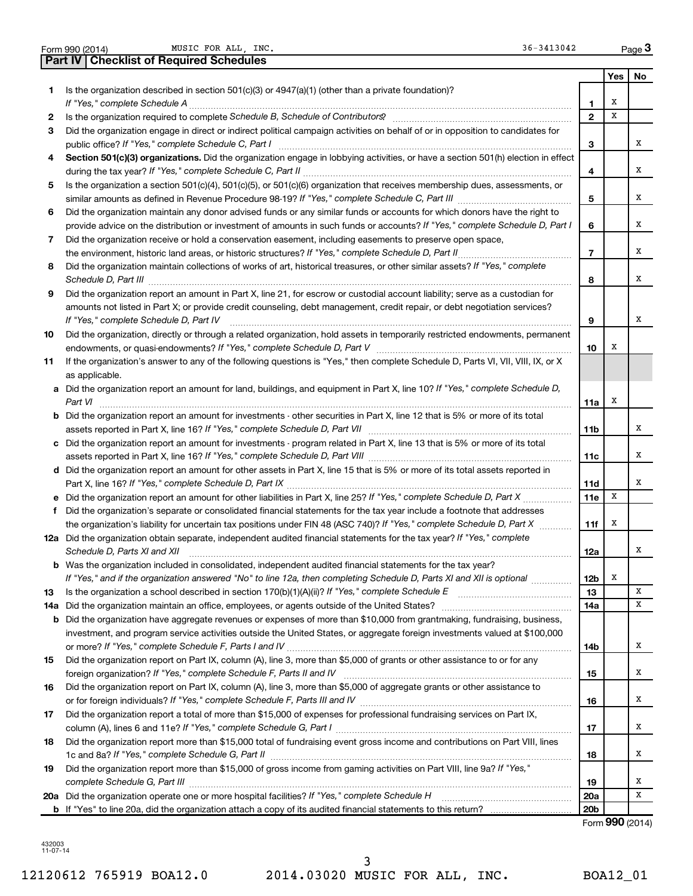|     | <b>Part IV   Checklist of Required Schedules</b>                                                                                                                                                                                    |                 |     |    |
|-----|-------------------------------------------------------------------------------------------------------------------------------------------------------------------------------------------------------------------------------------|-----------------|-----|----|
|     |                                                                                                                                                                                                                                     |                 | Yes | No |
| 1   | Is the organization described in section $501(c)(3)$ or $4947(a)(1)$ (other than a private foundation)?                                                                                                                             |                 |     |    |
|     |                                                                                                                                                                                                                                     | 1               | х   |    |
| 2   | Is the organization required to complete Schedule B, Schedule of Contributors? [111] [12] the organization required to complete Schedule B, Schedule of Contributors? [11] [12] $\cdot$                                             | $\overline{2}$  | x   |    |
| 3   | Did the organization engage in direct or indirect political campaign activities on behalf of or in opposition to candidates for                                                                                                     |                 |     |    |
|     |                                                                                                                                                                                                                                     | 3               |     | x  |
| 4   | Section 501(c)(3) organizations. Did the organization engage in lobbying activities, or have a section 501(h) election in effect                                                                                                    |                 |     |    |
|     |                                                                                                                                                                                                                                     | 4               |     | x  |
| 5   | Is the organization a section 501(c)(4), 501(c)(5), or 501(c)(6) organization that receives membership dues, assessments, or                                                                                                        |                 |     |    |
|     |                                                                                                                                                                                                                                     | 5               |     | x  |
| 6   | Did the organization maintain any donor advised funds or any similar funds or accounts for which donors have the right to                                                                                                           |                 |     |    |
|     | provide advice on the distribution or investment of amounts in such funds or accounts? If "Yes," complete Schedule D, Part I                                                                                                        | 6               |     | x  |
| 7   | Did the organization receive or hold a conservation easement, including easements to preserve open space,                                                                                                                           |                 |     |    |
|     | the environment, historic land areas, or historic structures? If "Yes," complete Schedule D, Part II                                                                                                                                | $\overline{7}$  |     | x  |
| 8   | Did the organization maintain collections of works of art, historical treasures, or other similar assets? If "Yes," complete                                                                                                        |                 |     |    |
|     | Schedule D, Part III <b>Marting Constructs</b> 2014 11 2014 12:00 12:00 12:00 12:00 12:00 12:00 12:00 12:00 12:00 12:00 12:00 12:00 12:00 12:00 12:00 12:00 12:00 12:00 12:00 12:00 12:00 12:00 12:00 12:00 12:00 12:00 12:00 12:00 | 8               |     | х  |
| 9   | Did the organization report an amount in Part X, line 21, for escrow or custodial account liability; serve as a custodian for                                                                                                       |                 |     |    |
|     | amounts not listed in Part X; or provide credit counseling, debt management, credit repair, or debt negotiation services?                                                                                                           |                 |     |    |
|     | If "Yes," complete Schedule D, Part IV                                                                                                                                                                                              | 9               |     | х  |
| 10  | Did the organization, directly or through a related organization, hold assets in temporarily restricted endowments, permanent                                                                                                       |                 |     |    |
|     |                                                                                                                                                                                                                                     | 10              | х   |    |
| 11  | If the organization's answer to any of the following questions is "Yes," then complete Schedule D, Parts VI, VII, VIII, IX, or X                                                                                                    |                 |     |    |
|     | as applicable.                                                                                                                                                                                                                      |                 |     |    |
|     | a Did the organization report an amount for land, buildings, and equipment in Part X, line 10? If "Yes," complete Schedule D,                                                                                                       |                 |     |    |
|     | Part VI                                                                                                                                                                                                                             | 11a             | X   |    |
|     | <b>b</b> Did the organization report an amount for investments - other securities in Part X, line 12 that is 5% or more of its total                                                                                                |                 |     |    |
|     |                                                                                                                                                                                                                                     | 11b             |     | х  |
|     | c Did the organization report an amount for investments - program related in Part X, line 13 that is 5% or more of its total                                                                                                        |                 |     |    |
|     |                                                                                                                                                                                                                                     | 11c             |     | x  |
|     | d Did the organization report an amount for other assets in Part X, line 15 that is 5% or more of its total assets reported in                                                                                                      |                 |     |    |
|     |                                                                                                                                                                                                                                     | 11d             |     | x  |
|     | Did the organization report an amount for other liabilities in Part X, line 25? If "Yes," complete Schedule D, Part X                                                                                                               | 11e             | X   |    |
| Ť   | Did the organization's separate or consolidated financial statements for the tax year include a footnote that addresses                                                                                                             |                 |     |    |
|     | the organization's liability for uncertain tax positions under FIN 48 (ASC 740)? If "Yes," complete Schedule D, Part X                                                                                                              | 11f             | X   |    |
|     | 12a Did the organization obtain separate, independent audited financial statements for the tax year? If "Yes," complete                                                                                                             |                 |     |    |
|     | Schedule D, Parts XI and XII                                                                                                                                                                                                        | 12a             |     | х  |
|     | b Was the organization included in consolidated, independent audited financial statements for the tax year?                                                                                                                         |                 |     |    |
|     | If "Yes," and if the organization answered "No" to line 12a, then completing Schedule D, Parts XI and XII is optional                                                                                                               | 12b             | Х   |    |
| 13  |                                                                                                                                                                                                                                     | 13              |     | x  |
| 14a | Did the organization maintain an office, employees, or agents outside of the United States?                                                                                                                                         | 14a             |     | X  |
|     | <b>b</b> Did the organization have aggregate revenues or expenses of more than \$10,000 from grantmaking, fundraising, business,                                                                                                    |                 |     |    |
|     | investment, and program service activities outside the United States, or aggregate foreign investments valued at \$100,000                                                                                                          |                 |     |    |
|     |                                                                                                                                                                                                                                     | 14b             |     | х  |
| 15  | Did the organization report on Part IX, column (A), line 3, more than \$5,000 of grants or other assistance to or for any                                                                                                           |                 |     |    |
|     |                                                                                                                                                                                                                                     | 15              |     | x  |
| 16  | Did the organization report on Part IX, column (A), line 3, more than \$5,000 of aggregate grants or other assistance to                                                                                                            |                 |     | x  |
|     |                                                                                                                                                                                                                                     | 16              |     |    |
| 17  | Did the organization report a total of more than \$15,000 of expenses for professional fundraising services on Part IX,                                                                                                             | 17              |     | x  |
|     |                                                                                                                                                                                                                                     |                 |     |    |
| 18  | Did the organization report more than \$15,000 total of fundraising event gross income and contributions on Part VIII, lines                                                                                                        |                 |     | x  |
|     | Did the organization report more than \$15,000 of gross income from gaming activities on Part VIII, line 9a? If "Yes,"                                                                                                              | 18              |     |    |
| 19  |                                                                                                                                                                                                                                     | 19              |     | х  |
|     | 20a Did the organization operate one or more hospital facilities? If "Yes," complete Schedule H                                                                                                                                     | 20a             |     | х  |
|     |                                                                                                                                                                                                                                     | 20 <sub>b</sub> |     |    |
|     |                                                                                                                                                                                                                                     |                 |     |    |

Form 990 (2014) MUSIC FOR ALL, INC. Some and the set of the set of the set of the set of the Page

Form (2014) **990**

**3**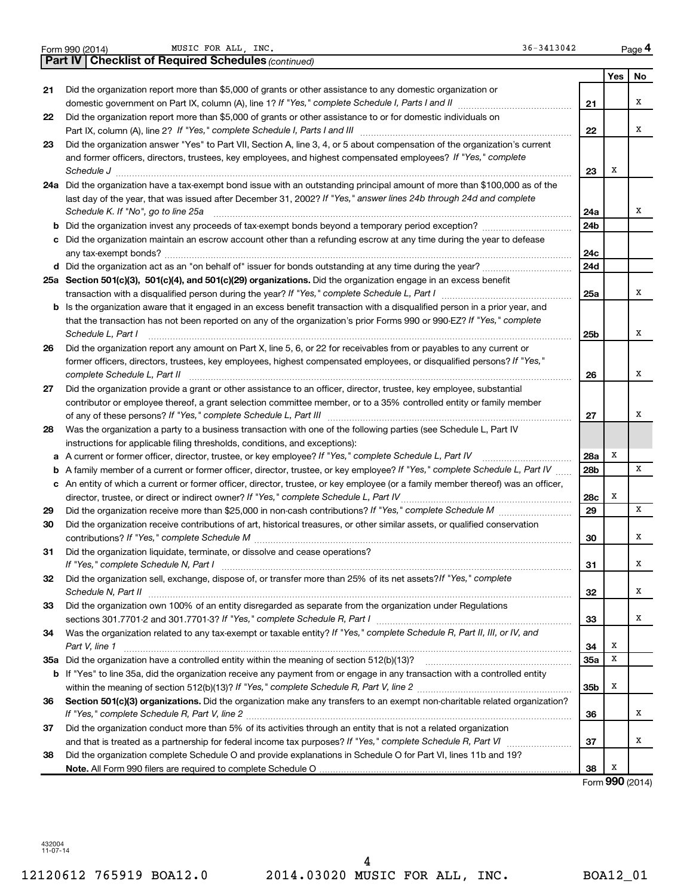|    | 36-3413042<br>MUSIC FOR ALL, INC.<br>Form 990 (2014)                                                                              |     |            | Page 4          |
|----|-----------------------------------------------------------------------------------------------------------------------------------|-----|------------|-----------------|
|    | <b>Part IV   Checklist of Required Schedules (continued)</b>                                                                      |     |            |                 |
|    |                                                                                                                                   |     | <b>Yes</b> | No              |
| 21 | Did the organization report more than \$5,000 of grants or other assistance to any domestic organization or                       |     |            |                 |
|    | domestic government on Part IX, column (A), line 1? If "Yes," complete Schedule I, Parts I and II manuscription                   | 21  |            | х               |
| 22 | Did the organization report more than \$5,000 of grants or other assistance to or for domestic individuals on                     |     |            |                 |
|    |                                                                                                                                   | 22  |            | x               |
| 23 | Did the organization answer "Yes" to Part VII, Section A, line 3, 4, or 5 about compensation of the organization's current        |     |            |                 |
|    | and former officers, directors, trustees, key employees, and highest compensated employees? If "Yes," complete                    |     |            |                 |
|    |                                                                                                                                   | 23  | х          |                 |
|    | 24a Did the organization have a tax-exempt bond issue with an outstanding principal amount of more than \$100,000 as of the       |     |            |                 |
|    | last day of the year, that was issued after December 31, 2002? If "Yes," answer lines 24b through 24d and complete                |     |            |                 |
|    | Schedule K. If "No", go to line 25a                                                                                               | 24a |            | x               |
|    |                                                                                                                                   | 24b |            |                 |
|    | c Did the organization maintain an escrow account other than a refunding escrow at any time during the year to defease            |     |            |                 |
|    |                                                                                                                                   | 24c |            |                 |
|    | d Did the organization act as an "on behalf of" issuer for bonds outstanding at any time during the year?                         | 24d |            |                 |
|    | 25a Section 501(c)(3), 501(c)(4), and 501(c)(29) organizations. Did the organization engage in an excess benefit                  |     |            |                 |
|    |                                                                                                                                   | 25a |            | x               |
|    | b Is the organization aware that it engaged in an excess benefit transaction with a disqualified person in a prior year, and      |     |            |                 |
|    | that the transaction has not been reported on any of the organization's prior Forms 990 or 990-EZ? If "Yes," complete             |     |            |                 |
|    | Schedule L, Part I                                                                                                                | 25b |            | х               |
| 26 | Did the organization report any amount on Part X, line 5, 6, or 22 for receivables from or payables to any current or             |     |            |                 |
|    | former officers, directors, trustees, key employees, highest compensated employees, or disqualified persons? If "Yes,"            |     |            |                 |
|    | complete Schedule L, Part II                                                                                                      | 26  |            | х               |
| 27 | Did the organization provide a grant or other assistance to an officer, director, trustee, key employee, substantial              |     |            |                 |
|    | contributor or employee thereof, a grant selection committee member, or to a 35% controlled entity or family member               |     |            |                 |
|    |                                                                                                                                   | 27  |            | х               |
| 28 | Was the organization a party to a business transaction with one of the following parties (see Schedule L, Part IV                 |     |            |                 |
|    | instructions for applicable filing thresholds, conditions, and exceptions):                                                       |     |            |                 |
|    | a A current or former officer, director, trustee, or key employee? If "Yes," complete Schedule L, Part IV                         | 28a | Х          |                 |
|    | b A family member of a current or former officer, director, trustee, or key employee? If "Yes," complete Schedule L, Part IV      | 28b |            | x               |
|    | c An entity of which a current or former officer, director, trustee, or key employee (or a family member thereof) was an officer, |     |            |                 |
|    | director, trustee, or direct or indirect owner? If "Yes," complete Schedule L, Part IV                                            | 28c | х          |                 |
| 29 |                                                                                                                                   | 29  |            | x               |
| 30 | Did the organization receive contributions of art, historical treasures, or other similar assets, or qualified conservation       |     |            |                 |
|    |                                                                                                                                   | 30  |            | x               |
| 31 | Did the organization liquidate, terminate, or dissolve and cease operations?                                                      |     |            |                 |
|    |                                                                                                                                   | 31  |            | х               |
| 32 | Did the organization sell, exchange, dispose of, or transfer more than 25% of its net assets? If "Yes," complete                  |     |            |                 |
|    |                                                                                                                                   | 32  |            | x               |
| 33 | Did the organization own 100% of an entity disregarded as separate from the organization under Regulations                        |     |            | x               |
|    |                                                                                                                                   | 33  |            |                 |
| 34 | Was the organization related to any tax-exempt or taxable entity? If "Yes," complete Schedule R, Part II, III, or IV, and         |     | х          |                 |
|    | Part V, line 1                                                                                                                    | 34  | X          |                 |
|    |                                                                                                                                   | 35a |            |                 |
|    | b If "Yes" to line 35a, did the organization receive any payment from or engage in any transaction with a controlled entity       | 35b | х          |                 |
|    | Section 501(c)(3) organizations. Did the organization make any transfers to an exempt non-charitable related organization?        |     |            |                 |
| 36 |                                                                                                                                   |     |            | x               |
|    | Did the organization conduct more than 5% of its activities through an entity that is not a related organization                  | 36  |            |                 |
| 37 |                                                                                                                                   | 37  |            | X               |
| 38 | Did the organization complete Schedule O and provide explanations in Schedule O for Part VI, lines 11b and 19?                    |     |            |                 |
|    |                                                                                                                                   | 38  | х          |                 |
|    |                                                                                                                                   |     |            | Form 990 (2014) |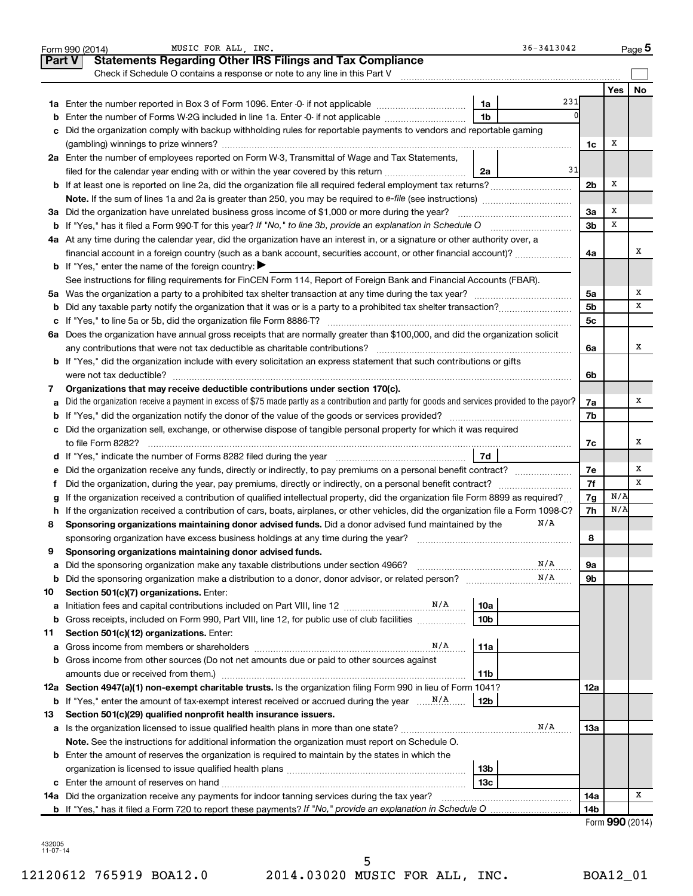|               | 36-3413042<br>MUSIC FOR ALL, INC.<br>Form 990 (2014)                                                                                                                                                                                             |                |                 | Page 5    |
|---------------|--------------------------------------------------------------------------------------------------------------------------------------------------------------------------------------------------------------------------------------------------|----------------|-----------------|-----------|
| <b>Part V</b> | <b>Statements Regarding Other IRS Filings and Tax Compliance</b>                                                                                                                                                                                 |                |                 |           |
|               | Check if Schedule O contains a response or note to any line in this Part V                                                                                                                                                                       |                |                 |           |
|               |                                                                                                                                                                                                                                                  |                | Yes             | <b>No</b> |
|               | 231<br>1a                                                                                                                                                                                                                                        |                |                 |           |
| b             | 1 <sub>b</sub><br>Enter the number of Forms W-2G included in line 1a. Enter -0- if not applicable                                                                                                                                                |                |                 |           |
| с             | Did the organization comply with backup withholding rules for reportable payments to vendors and reportable gaming                                                                                                                               |                |                 |           |
|               |                                                                                                                                                                                                                                                  | 1c             | х               |           |
|               | 2a Enter the number of employees reported on Form W-3, Transmittal of Wage and Tax Statements,                                                                                                                                                   |                |                 |           |
|               | 31<br>filed for the calendar year ending with or within the year covered by this return <i></i><br>2a                                                                                                                                            |                |                 |           |
|               |                                                                                                                                                                                                                                                  | 2 <sub>b</sub> | Х               |           |
|               |                                                                                                                                                                                                                                                  |                |                 |           |
|               | 3a Did the organization have unrelated business gross income of \$1,000 or more during the year?                                                                                                                                                 | За             | х               |           |
|               |                                                                                                                                                                                                                                                  | 3 <sub>b</sub> | x               |           |
|               | 4a At any time during the calendar year, did the organization have an interest in, or a signature or other authority over, a                                                                                                                     |                |                 |           |
|               | financial account in a foreign country (such as a bank account, securities account, or other financial account)?                                                                                                                                 | 4a             |                 | х         |
|               | <b>b</b> If "Yes," enter the name of the foreign country: $\blacktriangleright$                                                                                                                                                                  |                |                 |           |
|               | See instructions for filing requirements for FinCEN Form 114, Report of Foreign Bank and Financial Accounts (FBAR).                                                                                                                              |                |                 |           |
|               |                                                                                                                                                                                                                                                  | 5a             |                 | х         |
| b             |                                                                                                                                                                                                                                                  | 5 <sub>b</sub> |                 | x         |
| c             |                                                                                                                                                                                                                                                  | 5c             |                 |           |
|               | 6a Does the organization have annual gross receipts that are normally greater than \$100,000, and did the organization solicit                                                                                                                   |                |                 |           |
|               |                                                                                                                                                                                                                                                  | 6a             |                 | x         |
|               | <b>b</b> If "Yes," did the organization include with every solicitation an express statement that such contributions or gifts                                                                                                                    |                |                 |           |
|               |                                                                                                                                                                                                                                                  | 6b             |                 |           |
| 7             | Organizations that may receive deductible contributions under section 170(c).                                                                                                                                                                    |                |                 |           |
| a             | Did the organization receive a payment in excess of \$75 made partly as a contribution and partly for goods and services provided to the payor?                                                                                                  | 7a             |                 | х         |
| b             |                                                                                                                                                                                                                                                  | 7b             |                 |           |
|               | c Did the organization sell, exchange, or otherwise dispose of tangible personal property for which it was required                                                                                                                              |                |                 |           |
|               |                                                                                                                                                                                                                                                  | 7c             |                 | х         |
|               | 7d<br>d If "Yes," indicate the number of Forms 8282 filed during the year manufactured in the set of the number of Forms 8282 filed during the year                                                                                              |                |                 | х         |
| е             |                                                                                                                                                                                                                                                  | 7е<br>7f       |                 | X         |
| f.            | Did the organization, during the year, pay premiums, directly or indirectly, on a personal benefit contract?<br>If the organization received a contribution of qualified intellectual property, did the organization file Form 8899 as required? | 7g             | N/A             |           |
| h             | If the organization received a contribution of cars, boats, airplanes, or other vehicles, did the organization file a Form 1098-C?                                                                                                               | 7h             | N/A             |           |
| 8             | N/A<br>Sponsoring organizations maintaining donor advised funds. Did a donor advised fund maintained by the                                                                                                                                      |                |                 |           |
|               | sponsoring organization have excess business holdings at any time during the year?                                                                                                                                                               | 8              |                 |           |
|               | Sponsoring organizations maintaining donor advised funds.                                                                                                                                                                                        |                |                 |           |
| а             | N/A<br>Did the sponsoring organization make any taxable distributions under section 4966?                                                                                                                                                        | 9а             |                 |           |
| b             | N/A                                                                                                                                                                                                                                              | 9b             |                 |           |
| 10            | Section 501(c)(7) organizations. Enter:                                                                                                                                                                                                          |                |                 |           |
| а             | 10a                                                                                                                                                                                                                                              |                |                 |           |
| b             | 10 <sub>b</sub><br>Gross receipts, included on Form 990, Part VIII, line 12, for public use of club facilities                                                                                                                                   |                |                 |           |
| 11            | Section 501(c)(12) organizations. Enter:                                                                                                                                                                                                         |                |                 |           |
| а             | N/A<br>11a                                                                                                                                                                                                                                       |                |                 |           |
| b             | Gross income from other sources (Do not net amounts due or paid to other sources against                                                                                                                                                         |                |                 |           |
|               | 11 <sub>b</sub>                                                                                                                                                                                                                                  |                |                 |           |
|               | 12a Section 4947(a)(1) non-exempt charitable trusts. Is the organization filing Form 990 in lieu of Form 1041?                                                                                                                                   | 12a            |                 |           |
| b             | 12 <sub>b</sub>                                                                                                                                                                                                                                  |                |                 |           |
| 13            | Section 501(c)(29) qualified nonprofit health insurance issuers.                                                                                                                                                                                 |                |                 |           |
| а             | N/A                                                                                                                                                                                                                                              | 13a            |                 |           |
|               | Note. See the instructions for additional information the organization must report on Schedule O.                                                                                                                                                |                |                 |           |
|               | <b>b</b> Enter the amount of reserves the organization is required to maintain by the states in which the                                                                                                                                        |                |                 |           |
|               | 13 <sub>b</sub>                                                                                                                                                                                                                                  |                |                 |           |
| c             | 13c<br>14a Did the organization receive any payments for indoor tanning services during the tax year?                                                                                                                                            | 14a            |                 | х         |
|               |                                                                                                                                                                                                                                                  | 14b            |                 |           |
|               |                                                                                                                                                                                                                                                  |                | Form 990 (2014) |           |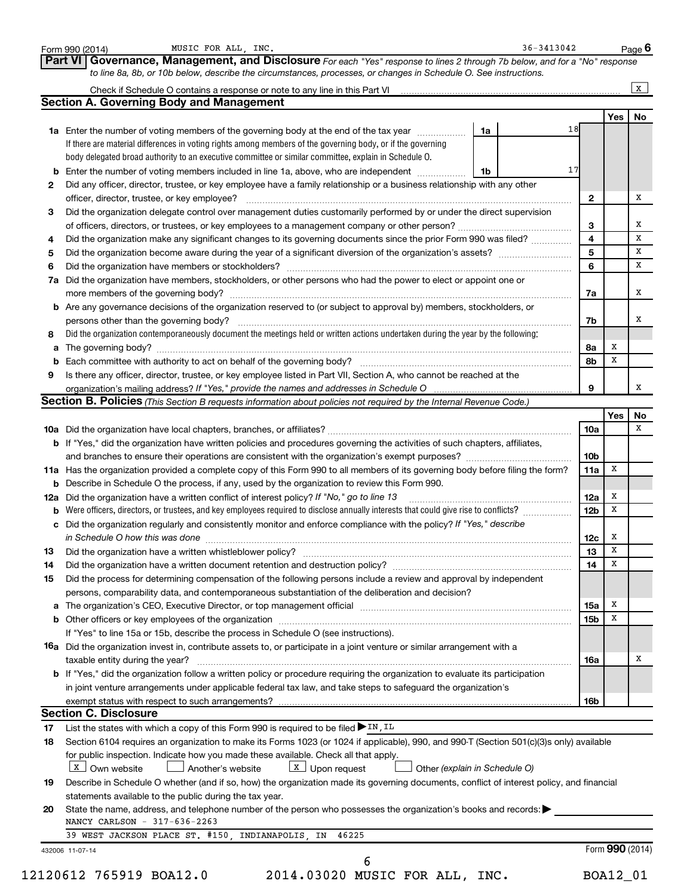|    | MUSIC FOR ALL, INC.<br>Form 990 (2014)                                                                                                                                                                                         | $36 - 3413042$ |                  |                 | Page 6       |
|----|--------------------------------------------------------------------------------------------------------------------------------------------------------------------------------------------------------------------------------|----------------|------------------|-----------------|--------------|
|    | Governance, Management, and Disclosure For each "Yes" response to lines 2 through 7b below, and for a "No" response<br>Part VI                                                                                                 |                |                  |                 |              |
|    | to line 8a, 8b, or 10b below, describe the circumstances, processes, or changes in Schedule O. See instructions.                                                                                                               |                |                  |                 |              |
|    |                                                                                                                                                                                                                                |                |                  |                 | $\mathbf{x}$ |
|    | <b>Section A. Governing Body and Management</b>                                                                                                                                                                                |                |                  |                 |              |
|    |                                                                                                                                                                                                                                |                |                  | Yes             | No           |
|    | 1a Enter the number of voting members of the governing body at the end of the tax year<br>1a                                                                                                                                   | 18             |                  |                 |              |
|    | If there are material differences in voting rights among members of the governing body, or if the governing                                                                                                                    |                |                  |                 |              |
|    | body delegated broad authority to an executive committee or similar committee, explain in Schedule O.                                                                                                                          | 17             |                  |                 |              |
|    | <b>b</b> Enter the number of voting members included in line 1a, above, who are independent<br>1b                                                                                                                              |                |                  |                 |              |
| 2  | Did any officer, director, trustee, or key employee have a family relationship or a business relationship with any other                                                                                                       |                |                  |                 | х            |
|    | officer, director, trustee, or key employee?<br>Did the organization delegate control over management duties customarily performed by or under the direct supervision                                                          |                | $\mathbf{2}$     |                 |              |
| З  |                                                                                                                                                                                                                                |                | 3                |                 | х            |
| 4  | Did the organization make any significant changes to its governing documents since the prior Form 990 was filed?                                                                                                               |                | 4                |                 | x            |
| 5  |                                                                                                                                                                                                                                |                | 5                |                 | x            |
| 6  |                                                                                                                                                                                                                                |                | 6                |                 | x            |
| 7a | Did the organization have members, stockholders, or other persons who had the power to elect or appoint one or                                                                                                                 |                |                  |                 |              |
|    |                                                                                                                                                                                                                                |                | 7a               |                 | х            |
|    | b Are any governance decisions of the organization reserved to (or subject to approval by) members, stockholders, or                                                                                                           |                |                  |                 |              |
|    | persons other than the governing body?                                                                                                                                                                                         |                | 7b               |                 | x            |
| 8  | Did the organization contemporaneously document the meetings held or written actions undertaken during the year by the following:                                                                                              |                |                  |                 |              |
| а  |                                                                                                                                                                                                                                |                | 8a               | х               |              |
| b  |                                                                                                                                                                                                                                |                | 8b               | х               |              |
| 9  | Is there any officer, director, trustee, or key employee listed in Part VII, Section A, who cannot be reached at the                                                                                                           |                |                  |                 |              |
|    |                                                                                                                                                                                                                                |                | 9                |                 | x            |
|    | Section B. Policies (This Section B requests information about policies not required by the Internal Revenue Code.)                                                                                                            |                |                  |                 |              |
|    |                                                                                                                                                                                                                                |                |                  | Yes             | No           |
|    |                                                                                                                                                                                                                                |                | <b>10a</b>       |                 | X            |
|    | b If "Yes," did the organization have written policies and procedures governing the activities of such chapters, affiliates,                                                                                                   |                |                  |                 |              |
|    |                                                                                                                                                                                                                                |                | 10 <sub>b</sub>  |                 |              |
|    | 11a Has the organization provided a complete copy of this Form 990 to all members of its governing body before filing the form?                                                                                                |                | 11a              | х               |              |
|    | <b>b</b> Describe in Schedule O the process, if any, used by the organization to review this Form 990.                                                                                                                         |                |                  |                 |              |
|    | 12a Did the organization have a written conflict of interest policy? If "No," go to line 13                                                                                                                                    |                | 12a              | X               |              |
| b  | Were officers, directors, or trustees, and key employees required to disclose annually interests that could give rise to conflicts?                                                                                            |                | 12 <sub>b</sub>  | x               |              |
|    | c Did the organization regularly and consistently monitor and enforce compliance with the policy? If "Yes," describe                                                                                                           |                |                  |                 |              |
|    | in Schedule O how this was done <b>construction and construction</b> of the state of the state of the state of the sta                                                                                                         |                | 12c              | x               |              |
| 13 |                                                                                                                                                                                                                                |                | 13 <sub>13</sub> | $\mathbf x$     |              |
| 14 | Did the organization have a written document retention and destruction policy? [11] manufaction in the organization have a written document retention and destruction policy?                                                  |                | 14               | X               |              |
| 15 | Did the process for determining compensation of the following persons include a review and approval by independent                                                                                                             |                |                  |                 |              |
|    | persons, comparability data, and contemporaneous substantiation of the deliberation and decision?                                                                                                                              |                |                  |                 |              |
|    | a The organization's CEO, Executive Director, or top management official manufactured content of the organization's CEO, Executive Director, or top management official manufactured and the state of the state of the state o |                | <b>15a</b>       | Х               |              |
|    |                                                                                                                                                                                                                                |                | 15 <sub>b</sub>  | x               |              |
|    | If "Yes" to line 15a or 15b, describe the process in Schedule O (see instructions).                                                                                                                                            |                |                  |                 |              |
|    | <b>16a</b> Did the organization invest in, contribute assets to, or participate in a joint venture or similar arrangement with a                                                                                               |                |                  |                 |              |
|    | taxable entity during the year?                                                                                                                                                                                                |                | 16a              |                 | х            |
|    | b If "Yes," did the organization follow a written policy or procedure requiring the organization to evaluate its participation                                                                                                 |                |                  |                 |              |
|    | in joint venture arrangements under applicable federal tax law, and take steps to safequard the organization's                                                                                                                 |                |                  |                 |              |
|    | exempt status with respect to such arrangements?                                                                                                                                                                               |                | 16b              |                 |              |
|    | <b>Section C. Disclosure</b>                                                                                                                                                                                                   |                |                  |                 |              |
| 17 | List the states with which a copy of this Form 990 is required to be filed $\blacktriangleright$ IN, IL                                                                                                                        |                |                  |                 |              |
| 18 | Section 6104 requires an organization to make its Forms 1023 (or 1024 if applicable), 990, and 990-T (Section 501(c)(3)s only) available                                                                                       |                |                  |                 |              |
|    | for public inspection. Indicate how you made these available. Check all that apply.                                                                                                                                            |                |                  |                 |              |
|    | X   Own website<br>$\lfloor x \rfloor$ Upon request<br>Another's website<br>Other (explain in Schedule O)                                                                                                                      |                |                  |                 |              |
| 19 | Describe in Schedule O whether (and if so, how) the organization made its governing documents, conflict of interest policy, and financial                                                                                      |                |                  |                 |              |
|    | statements available to the public during the tax year.                                                                                                                                                                        |                |                  |                 |              |
| 20 | State the name, address, and telephone number of the person who possesses the organization's books and records:                                                                                                                |                |                  |                 |              |
|    | NANCY CARLSON - 317-636-2263                                                                                                                                                                                                   |                |                  |                 |              |
|    | 39 WEST JACKSON PLACE ST. #150, INDIANAPOLIS, IN<br>46225                                                                                                                                                                      |                |                  |                 |              |
|    | 432006 11-07-14                                                                                                                                                                                                                |                |                  | Form 990 (2014) |              |
|    | 6                                                                                                                                                                                                                              |                |                  |                 |              |
|    | 12120612 765919 BOA12.0<br>2014.03020 MUSIC FOR ALL, INC.                                                                                                                                                                      |                |                  | BOA12_01        |              |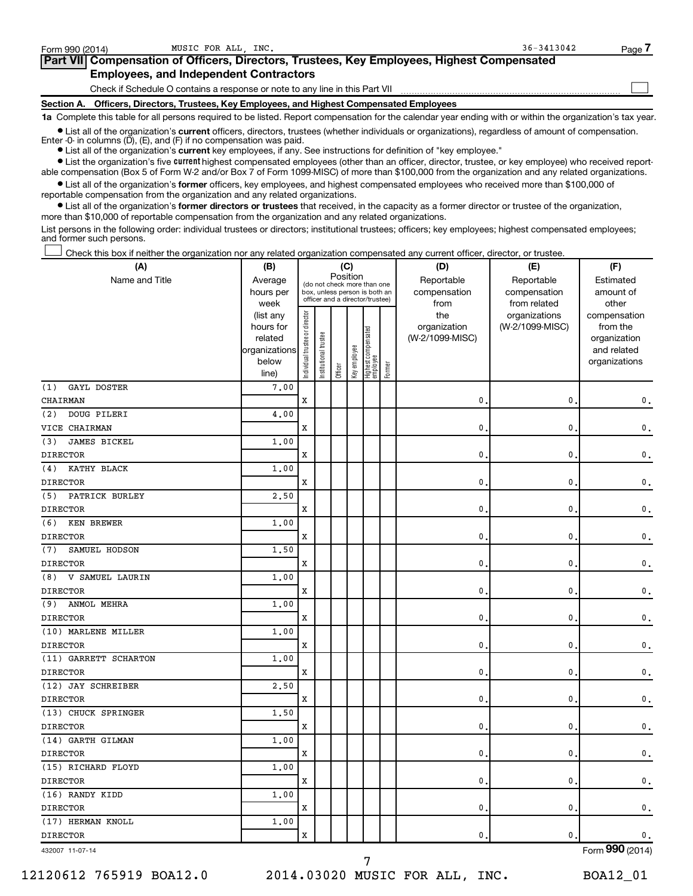| Form 990 (2014)   | MUSIC FOR ALL INC.                                                              | $36 - 3413042$                                                                                    | Page i |
|-------------------|---------------------------------------------------------------------------------|---------------------------------------------------------------------------------------------------|--------|
|                   |                                                                                 | <b>Part VII</b> Compensation of Officers, Directors, Trustees, Key Employees, Highest Compensated |        |
|                   | <b>Employees, and Independent Contractors</b>                                   |                                                                                                   |        |
|                   | Check if Schedule O contains a response or note to any line in this Part VII    |                                                                                                   |        |
| <b>Section A.</b> | Officers, Directors, Trustees, Key Employees, and Highest Compensated Employees |                                                                                                   |        |

**1a**  Complete this table for all persons required to be listed. Report compensation for the calendar year ending with or within the organization's tax year.

**•** List all of the organization's current officers, directors, trustees (whether individuals or organizations), regardless of amount of compensation. Enter  $-0$ - in columns  $(D)$ ,  $(E)$ , and  $(F)$  if no compensation was paid.

**•** List all of the organization's **current** key employees, if any. See instructions for definition of "key employee."

**•** List the organization's five current highest compensated employees (other than an officer, director, trustee, or key employee) who received reportable compensation (Box 5 of Form W-2 and/or Box 7 of Form 1099-MISC) of more than \$100,000 from the organization and any related organizations.

**•** List all of the organization's former officers, key employees, and highest compensated employees who received more than \$100,000 of reportable compensation from the organization and any related organizations.

**•** List all of the organization's former directors or trustees that received, in the capacity as a former director or trustee of the organization, more than \$10,000 of reportable compensation from the organization and any related organizations.

List persons in the following order: individual trustees or directors; institutional trustees; officers; key employees; highest compensated employees; and former such persons.

Check this box if neither the organization nor any related organization compensated any current officer, director, or trustee. †

| (A)                       | (B)                    |                                |                                                                  |         | (C)          |                                 |        | (D)                 | (E)                              | (F)                      |
|---------------------------|------------------------|--------------------------------|------------------------------------------------------------------|---------|--------------|---------------------------------|--------|---------------------|----------------------------------|--------------------------|
| Name and Title            | Average                |                                | (do not check more than one                                      |         | Position     |                                 |        | Reportable          | Reportable                       | Estimated                |
|                           | hours per              |                                | box, unless person is both an<br>officer and a director/trustee) |         |              |                                 |        | compensation        | compensation                     | amount of                |
|                           | week                   |                                |                                                                  |         |              |                                 |        | from                | from related                     | other                    |
|                           | (list any<br>hours for | Individual trustee or director |                                                                  |         |              |                                 |        | the<br>organization | organizations<br>(W-2/1099-MISC) | compensation<br>from the |
|                           | related                |                                |                                                                  |         |              | Highest compensated<br>employee |        | (W-2/1099-MISC)     |                                  | organization             |
|                           | organizations          |                                | Institutional trustee                                            |         |              |                                 |        |                     |                                  | and related              |
|                           | below                  |                                |                                                                  |         | Key employee |                                 |        |                     |                                  | organizations            |
|                           | line)                  |                                |                                                                  | Officer |              |                                 | Former |                     |                                  |                          |
| <b>GAYL DOSTER</b><br>(1) | 7.00                   |                                |                                                                  |         |              |                                 |        |                     |                                  |                          |
| CHAIRMAN                  |                        | $\mathbf x$                    |                                                                  |         |              |                                 |        | 0.                  | 0                                | 0.                       |
| DOUG PILERI<br>(2)        | 4.00                   |                                |                                                                  |         |              |                                 |        |                     |                                  |                          |
| VICE CHAIRMAN             |                        | $\mathbf x$                    |                                                                  |         |              |                                 |        | $\mathbf{0}$ .      | 0                                | 0.                       |
| JAMES BICKEL<br>(3)       | 1.00                   |                                |                                                                  |         |              |                                 |        |                     |                                  |                          |
| <b>DIRECTOR</b>           |                        | X                              |                                                                  |         |              |                                 |        | 0                   | 0                                | 0.                       |
| KATHY BLACK<br>(4)        | 1.00                   |                                |                                                                  |         |              |                                 |        |                     |                                  |                          |
| <b>DIRECTOR</b>           |                        | X                              |                                                                  |         |              |                                 |        | $\mathbf{0}$ .      | 0                                | 0.                       |
| (5)<br>PATRICK BURLEY     | 2.50                   |                                |                                                                  |         |              |                                 |        |                     |                                  |                          |
| <b>DIRECTOR</b>           |                        | X                              |                                                                  |         |              |                                 |        | $\mathbf{0}$ .      | 0                                | 0.                       |
| <b>KEN BREWER</b><br>(6)  | 1.00                   |                                |                                                                  |         |              |                                 |        |                     |                                  |                          |
| <b>DIRECTOR</b>           |                        | X                              |                                                                  |         |              |                                 |        | $\mathbf 0$ .       | 0                                | 0.                       |
| (7)<br>SAMUEL HODSON      | 1.50                   |                                |                                                                  |         |              |                                 |        |                     |                                  |                          |
| <b>DIRECTOR</b>           |                        | X                              |                                                                  |         |              |                                 |        | $\mathbf 0$ .       | 0                                | 0.                       |
| V SAMUEL LAURIN<br>(8)    | 1.00                   |                                |                                                                  |         |              |                                 |        |                     |                                  |                          |
| <b>DIRECTOR</b>           |                        | Х                              |                                                                  |         |              |                                 |        | 0.                  | 0                                | $\mathbf 0$ .            |
| ANMOL MEHRA<br>(9)        | 1.00                   |                                |                                                                  |         |              |                                 |        |                     |                                  |                          |
| <b>DIRECTOR</b>           |                        | $\mathbf x$                    |                                                                  |         |              |                                 |        | $\mathbf{0}$ .      | 0                                | 0.                       |
| (10) MARLENE MILLER       | 1.00                   |                                |                                                                  |         |              |                                 |        |                     |                                  |                          |
| <b>DIRECTOR</b>           |                        | $\mathbf x$                    |                                                                  |         |              |                                 |        | $\mathbf{0}$        | 0                                | $\mathbf 0$ .            |
| (11) GARRETT SCHARTON     | 1.00                   |                                |                                                                  |         |              |                                 |        |                     |                                  |                          |
| <b>DIRECTOR</b>           |                        | х                              |                                                                  |         |              |                                 |        | 0.                  | 0                                | 0.                       |
| (12) JAY SCHREIBER        | 2,50                   |                                |                                                                  |         |              |                                 |        |                     |                                  |                          |
| <b>DIRECTOR</b>           |                        | X                              |                                                                  |         |              |                                 |        | $\mathbf{0}$        | 0                                | 0.                       |
| (13) CHUCK SPRINGER       | 1,50                   |                                |                                                                  |         |              |                                 |        |                     |                                  |                          |
| <b>DIRECTOR</b>           |                        | X                              |                                                                  |         |              |                                 |        | 0.                  | 0                                | 0.                       |
| (14) GARTH GILMAN         | 1.00                   |                                |                                                                  |         |              |                                 |        |                     |                                  |                          |
| <b>DIRECTOR</b>           |                        | X                              |                                                                  |         |              |                                 |        | $\mathbf{0}$ .      | 0                                | 0.                       |
| (15) RICHARD FLOYD        | 1,00                   |                                |                                                                  |         |              |                                 |        |                     |                                  |                          |
| <b>DIRECTOR</b>           |                        | X                              |                                                                  |         |              |                                 |        | 0.                  | 0                                | 0.                       |
| (16) RANDY KIDD           | 1.00                   |                                |                                                                  |         |              |                                 |        |                     |                                  |                          |
| <b>DIRECTOR</b>           |                        | X                              |                                                                  |         |              |                                 |        | 0.                  | 0                                | 0.                       |
| (17) HERMAN KNOLL         | 1,00                   |                                |                                                                  |         |              |                                 |        |                     |                                  |                          |
| <b>DIRECTOR</b>           |                        | X                              |                                                                  |         |              |                                 |        | 0.                  | 0                                | 0.                       |
| 432007 11-07-14           |                        |                                |                                                                  |         |              |                                 |        |                     |                                  | Form 990 (2014)          |

432007 11-07-14

7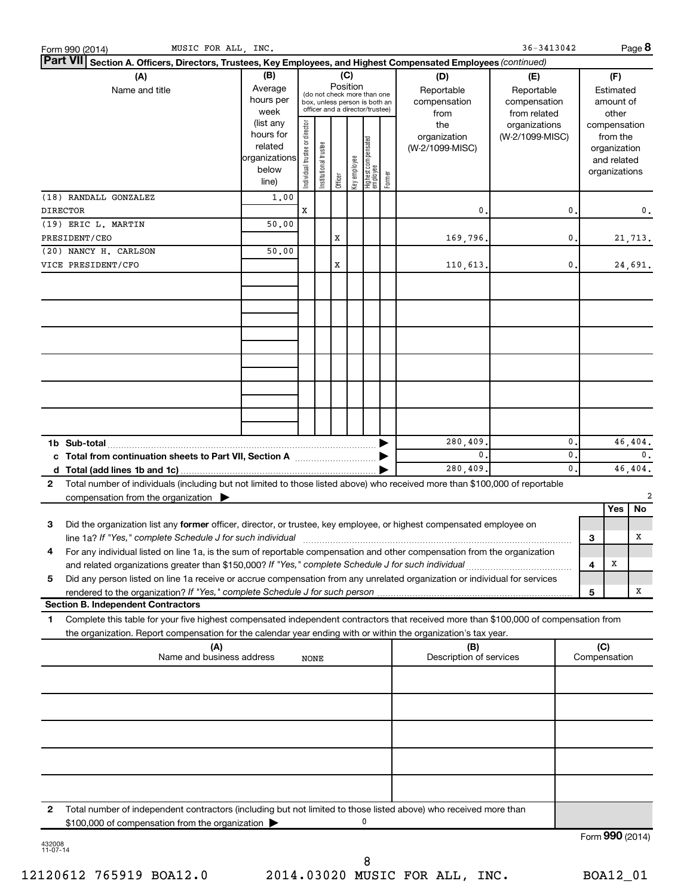|                 | MUSIC FOR ALL, INC.<br>Form 990 (2014)                                                                                                                                                                                                                             |                                                                      |                                |                                                                                                                    |         |              |                                 |        |                                           | 36-3413042                                        |          |               |                                                                          | Page 8          |
|-----------------|--------------------------------------------------------------------------------------------------------------------------------------------------------------------------------------------------------------------------------------------------------------------|----------------------------------------------------------------------|--------------------------------|--------------------------------------------------------------------------------------------------------------------|---------|--------------|---------------------------------|--------|-------------------------------------------|---------------------------------------------------|----------|---------------|--------------------------------------------------------------------------|-----------------|
|                 | Part VII Section A. Officers, Directors, Trustees, Key Employees, and Highest Compensated Employees (continued)                                                                                                                                                    |                                                                      |                                |                                                                                                                    |         |              |                                 |        |                                           |                                                   |          |               |                                                                          |                 |
|                 | (A)<br>Name and title                                                                                                                                                                                                                                              | (B)<br>Average<br>hours per<br>week                                  |                                | (C)<br>Position<br>(do not check more than one<br>box, unless person is both an<br>officer and a director/trustee) |         |              |                                 |        | (D)<br>Reportable<br>compensation<br>from | (E)<br>Reportable<br>compensation<br>from related |          |               | (F)<br>Estimated<br>amount of<br>other                                   |                 |
|                 |                                                                                                                                                                                                                                                                    | (list any<br>hours for<br>related<br>organizations<br>below<br>line) | Individual trustee or director | Institutional trustee                                                                                              | Officer | Key employee | Highest compensated<br>employee | Former | the<br>organization<br>(W-2/1099-MISC)    | organizations<br>(W-2/1099-MISC)                  |          |               | compensation<br>from the<br>organization<br>and related<br>organizations |                 |
|                 | (18) RANDALL GONZALEZ                                                                                                                                                                                                                                              | 1,00                                                                 |                                |                                                                                                                    |         |              |                                 |        |                                           |                                                   |          |               |                                                                          |                 |
| <b>DIRECTOR</b> |                                                                                                                                                                                                                                                                    |                                                                      | х                              |                                                                                                                    |         |              |                                 |        | 0                                         |                                                   | 0.       |               |                                                                          | 0.              |
|                 | (19) ERIC L. MARTIN                                                                                                                                                                                                                                                | 50.00                                                                |                                |                                                                                                                    |         |              |                                 |        |                                           |                                                   |          |               |                                                                          |                 |
|                 | PRESIDENT/CEO<br>(20) NANCY H. CARLSON                                                                                                                                                                                                                             | 50.00                                                                |                                |                                                                                                                    | х       |              |                                 |        | 169,796.                                  |                                                   | 0.       |               |                                                                          | 21,713.         |
|                 | VICE PRESIDENT/CFO                                                                                                                                                                                                                                                 |                                                                      |                                |                                                                                                                    | х       |              |                                 |        | 110,613.                                  |                                                   | 0.       |               |                                                                          | 24,691.         |
|                 |                                                                                                                                                                                                                                                                    |                                                                      |                                |                                                                                                                    |         |              |                                 |        |                                           |                                                   |          |               |                                                                          |                 |
|                 |                                                                                                                                                                                                                                                                    |                                                                      |                                |                                                                                                                    |         |              |                                 |        |                                           |                                                   |          |               |                                                                          |                 |
|                 |                                                                                                                                                                                                                                                                    |                                                                      |                                |                                                                                                                    |         |              |                                 |        |                                           |                                                   |          |               |                                                                          |                 |
|                 |                                                                                                                                                                                                                                                                    |                                                                      |                                |                                                                                                                    |         |              |                                 |        |                                           |                                                   |          |               |                                                                          |                 |
|                 |                                                                                                                                                                                                                                                                    |                                                                      |                                |                                                                                                                    |         |              |                                 |        |                                           |                                                   |          |               |                                                                          |                 |
|                 |                                                                                                                                                                                                                                                                    |                                                                      |                                |                                                                                                                    |         |              |                                 |        |                                           |                                                   |          |               |                                                                          |                 |
|                 |                                                                                                                                                                                                                                                                    |                                                                      |                                |                                                                                                                    |         |              |                                 |        | 280,409.                                  |                                                   | 0.       |               |                                                                          | 46,404.         |
|                 |                                                                                                                                                                                                                                                                    |                                                                      |                                |                                                                                                                    |         |              |                                 |        | 0.<br>280,409.                            |                                                   | 0.<br>0. | 0.<br>46,404. |                                                                          |                 |
| $\mathbf{2}$    | Total number of individuals (including but not limited to those listed above) who received more than \$100,000 of reportable<br>compensation from the organization $\blacktriangleright$                                                                           |                                                                      |                                |                                                                                                                    |         |              |                                 |        |                                           |                                                   |          |               |                                                                          | 2               |
|                 |                                                                                                                                                                                                                                                                    |                                                                      |                                |                                                                                                                    |         |              |                                 |        |                                           |                                                   |          |               | Yes                                                                      | No              |
| 3               | Did the organization list any former officer, director, or trustee, key employee, or highest compensated employee on<br>line 1a? If "Yes," complete Schedule J for such individual manufacture content to the set of the set of the schedule J for such individual |                                                                      |                                |                                                                                                                    |         |              |                                 |        |                                           |                                                   |          | З             |                                                                          | Χ               |
| 4               | For any individual listed on line 1a, is the sum of reportable compensation and other compensation from the organization                                                                                                                                           |                                                                      |                                |                                                                                                                    |         |              |                                 |        |                                           |                                                   |          | 4             | X                                                                        |                 |
| 5               | Did any person listed on line 1a receive or accrue compensation from any unrelated organization or individual for services                                                                                                                                         |                                                                      |                                |                                                                                                                    |         |              |                                 |        |                                           |                                                   |          |               |                                                                          |                 |
|                 |                                                                                                                                                                                                                                                                    |                                                                      |                                |                                                                                                                    |         |              |                                 |        |                                           |                                                   |          | 5             |                                                                          | X               |
| 1               | <b>Section B. Independent Contractors</b><br>Complete this table for your five highest compensated independent contractors that received more than \$100,000 of compensation from                                                                                  |                                                                      |                                |                                                                                                                    |         |              |                                 |        |                                           |                                                   |          |               |                                                                          |                 |
|                 | the organization. Report compensation for the calendar year ending with or within the organization's tax year.                                                                                                                                                     |                                                                      |                                |                                                                                                                    |         |              |                                 |        |                                           |                                                   |          |               |                                                                          |                 |
|                 | (A)<br>Name and business address                                                                                                                                                                                                                                   |                                                                      | NONE                           |                                                                                                                    |         |              |                                 |        | (B)<br>Description of services            |                                                   |          | (C)           | Compensation                                                             |                 |
|                 |                                                                                                                                                                                                                                                                    |                                                                      |                                |                                                                                                                    |         |              |                                 |        |                                           |                                                   |          |               |                                                                          |                 |
|                 |                                                                                                                                                                                                                                                                    |                                                                      |                                |                                                                                                                    |         |              |                                 |        |                                           |                                                   |          |               |                                                                          |                 |
|                 |                                                                                                                                                                                                                                                                    |                                                                      |                                |                                                                                                                    |         |              |                                 |        |                                           |                                                   |          |               |                                                                          |                 |
|                 |                                                                                                                                                                                                                                                                    |                                                                      |                                |                                                                                                                    |         |              |                                 |        |                                           |                                                   |          |               |                                                                          |                 |
|                 |                                                                                                                                                                                                                                                                    |                                                                      |                                |                                                                                                                    |         |              |                                 |        |                                           |                                                   |          |               |                                                                          |                 |
| $\mathbf{2}$    | Total number of independent contractors (including but not limited to those listed above) who received more than<br>\$100,000 of compensation from the organization                                                                                                |                                                                      |                                |                                                                                                                    |         |              | 0                               |        |                                           |                                                   |          |               |                                                                          |                 |
|                 |                                                                                                                                                                                                                                                                    |                                                                      |                                |                                                                                                                    |         |              |                                 |        |                                           |                                                   |          |               |                                                                          | Form 990 (2014) |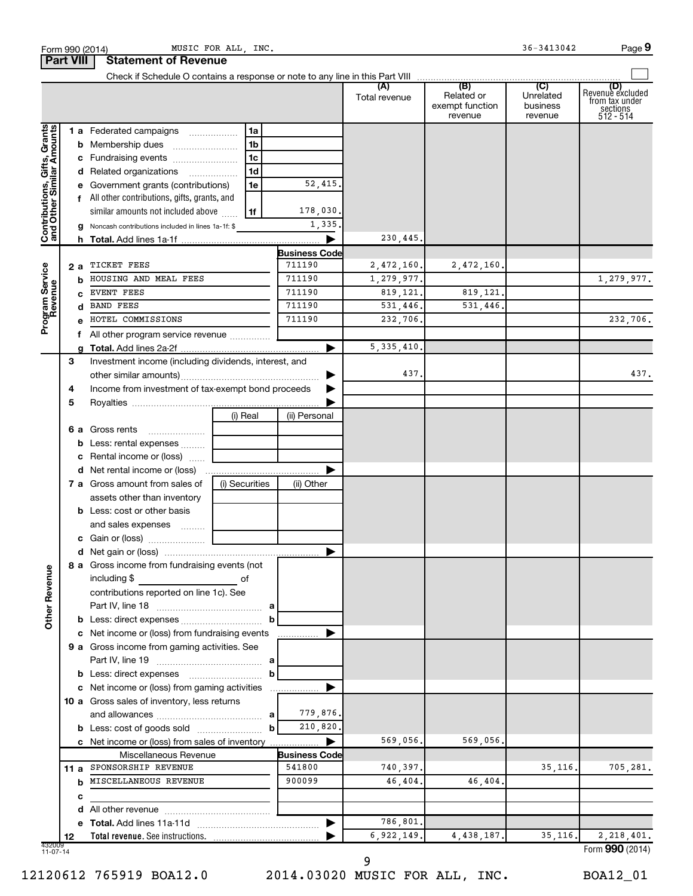|                                                           |      |    | Form 990 (2014)                                                                     | MUSIC FOR ALL, INC. |                      |                        |                                                 | 36-3413042                              | Page 9                                                             |
|-----------------------------------------------------------|------|----|-------------------------------------------------------------------------------------|---------------------|----------------------|------------------------|-------------------------------------------------|-----------------------------------------|--------------------------------------------------------------------|
| <b>Part VIII</b>                                          |      |    | <b>Statement of Revenue</b>                                                         |                     |                      |                        |                                                 |                                         |                                                                    |
|                                                           |      |    |                                                                                     |                     |                      | (A)<br>Total revenue   | (B)<br>Related or<br>exempt function<br>revenue | (C)<br>Unrelated<br>business<br>revenue | (D)<br>Revenue excluded<br>from tax under<br>sections<br>512 - 514 |
|                                                           |      |    | 1 a Federated campaigns                                                             | 1a                  |                      |                        |                                                 |                                         |                                                                    |
|                                                           |      |    |                                                                                     | 1b                  |                      |                        |                                                 |                                         |                                                                    |
|                                                           |      |    | c Fundraising events                                                                | 1 <sub>c</sub>      |                      |                        |                                                 |                                         |                                                                    |
|                                                           |      |    | d Related organizations                                                             | 1 <sub>d</sub>      |                      |                        |                                                 |                                         |                                                                    |
|                                                           |      |    | e Government grants (contributions)                                                 | 1e                  | 52,415.              |                        |                                                 |                                         |                                                                    |
| Contributions, Gifts, Grants<br>and Other Similar Amounts |      |    | f All other contributions, gifts, grants, and<br>similar amounts not included above | 1f                  | 178,030.             |                        |                                                 |                                         |                                                                    |
|                                                           |      |    | <b>g</b> Noncash contributions included in lines 1a-1f: \$                          |                     | 1,335.               |                        |                                                 |                                         |                                                                    |
|                                                           |      |    |                                                                                     |                     |                      | 230,445.               |                                                 |                                         |                                                                    |
|                                                           |      |    |                                                                                     |                     | <b>Business Code</b> |                        |                                                 |                                         |                                                                    |
| Program Service<br>Revenue                                |      | 2а | TICKET FEES<br>HOUSING AND MEAL FEES                                                |                     | 711190<br>711190     | 2,472,160.             | 2,472,160.                                      |                                         |                                                                    |
|                                                           |      | b  | EVENT FEES                                                                          |                     | 711190               | 1,279,977.<br>819,121. | 819,121.                                        |                                         | 1,279,977.                                                         |
|                                                           |      |    | <b>BAND FEES</b>                                                                    |                     | 711190               | 531,446.               | 531,446.                                        |                                         |                                                                    |
|                                                           |      |    | HOTEL COMMISSIONS                                                                   |                     | 711190               | 232,706.               |                                                 |                                         | 232,706.                                                           |
|                                                           |      |    | f All other program service revenue                                                 |                     |                      |                        |                                                 |                                         |                                                                    |
|                                                           |      |    |                                                                                     |                     |                      | 5, 335, 410.           |                                                 |                                         |                                                                    |
|                                                           | 3    |    | Investment income (including dividends, interest, and                               |                     |                      |                        |                                                 |                                         |                                                                    |
|                                                           |      |    |                                                                                     |                     |                      | 437.                   |                                                 |                                         | 437.                                                               |
|                                                           | 4    |    | Income from investment of tax-exempt bond proceeds                                  |                     |                      |                        |                                                 |                                         |                                                                    |
|                                                           | 5    |    |                                                                                     |                     |                      |                        |                                                 |                                         |                                                                    |
|                                                           |      |    |                                                                                     | (i) Real            | (ii) Personal        |                        |                                                 |                                         |                                                                    |
|                                                           |      |    | <b>6 a</b> Gross rents                                                              |                     |                      |                        |                                                 |                                         |                                                                    |
|                                                           |      |    | <b>b</b> Less: rental expenses                                                      |                     |                      |                        |                                                 |                                         |                                                                    |
|                                                           |      |    | c Rental income or (loss)                                                           |                     |                      |                        |                                                 |                                         |                                                                    |
|                                                           |      |    |                                                                                     |                     |                      |                        |                                                 |                                         |                                                                    |
|                                                           |      |    | <b>7 a</b> Gross amount from sales of                                               | (i) Securities      | (ii) Other           |                        |                                                 |                                         |                                                                    |
|                                                           |      |    | assets other than inventory                                                         |                     |                      |                        |                                                 |                                         |                                                                    |
|                                                           |      |    | <b>b</b> Less: cost or other basis                                                  |                     |                      |                        |                                                 |                                         |                                                                    |
|                                                           |      |    | and sales expenses                                                                  |                     |                      |                        |                                                 |                                         |                                                                    |
|                                                           |      |    |                                                                                     |                     |                      |                        |                                                 |                                         |                                                                    |
|                                                           |      |    |                                                                                     |                     |                      |                        |                                                 |                                         |                                                                    |
| <b>Other Revenue</b>                                      |      |    | 8 a Gross income from fundraising events (not<br>including \$                       | оf                  |                      |                        |                                                 |                                         |                                                                    |
|                                                           |      |    | contributions reported on line 1c). See                                             |                     |                      |                        |                                                 |                                         |                                                                    |
|                                                           |      |    |                                                                                     |                     |                      |                        |                                                 |                                         |                                                                    |
|                                                           |      |    | <b>b</b> Less: direct expenses <b>contained b</b> Less: direct expenses             | b                   |                      |                        |                                                 |                                         |                                                                    |
|                                                           |      |    | c Net income or (loss) from fundraising events                                      |                     |                      |                        |                                                 |                                         |                                                                    |
|                                                           |      |    | 9 a Gross income from gaming activities. See                                        |                     |                      |                        |                                                 |                                         |                                                                    |
|                                                           |      |    |                                                                                     | b                   |                      |                        |                                                 |                                         |                                                                    |
|                                                           |      |    | c Net income or (loss) from gaming activities                                       |                     |                      |                        |                                                 |                                         |                                                                    |
|                                                           |      |    | 10 a Gross sales of inventory, less returns                                         |                     |                      |                        |                                                 |                                         |                                                                    |
|                                                           |      |    |                                                                                     |                     | 779,876.             |                        |                                                 |                                         |                                                                    |
|                                                           |      |    |                                                                                     | b                   | 210,820.             |                        |                                                 |                                         |                                                                    |
|                                                           |      |    | c Net income or (loss) from sales of inventory                                      |                     |                      | 569,056.               | 569,056.                                        |                                         |                                                                    |
|                                                           |      |    | Miscellaneous Revenue                                                               |                     | <b>Business Code</b> |                        |                                                 |                                         |                                                                    |
|                                                           | 11 a |    | SPONSORSHIP REVENUE                                                                 |                     | 541800               | 740,397.               |                                                 | 35, 116.                                | 705,281.                                                           |
|                                                           |      | b  | MISCELLANEOUS REVENUE                                                               |                     | 900099               | 46,404.                | 46,404.                                         |                                         |                                                                    |
|                                                           |      | c  |                                                                                     |                     |                      |                        |                                                 |                                         |                                                                    |
|                                                           |      | d  |                                                                                     |                     |                      |                        |                                                 |                                         |                                                                    |
|                                                           |      |    |                                                                                     |                     |                      | 786,801.               |                                                 |                                         |                                                                    |
|                                                           | 12   |    |                                                                                     |                     |                      | 6,922,149.             | 4,438,187.                                      | 35, 116.                                | 2,218,401.                                                         |
| 432009<br>11-07-14                                        |      |    |                                                                                     |                     |                      |                        |                                                 |                                         | Form 990 (2014)                                                    |

12120612 765919 BOA12.0 2014.03020 MUSIC FOR ALL, INC. BOA12\_01

 <sup>9</sup>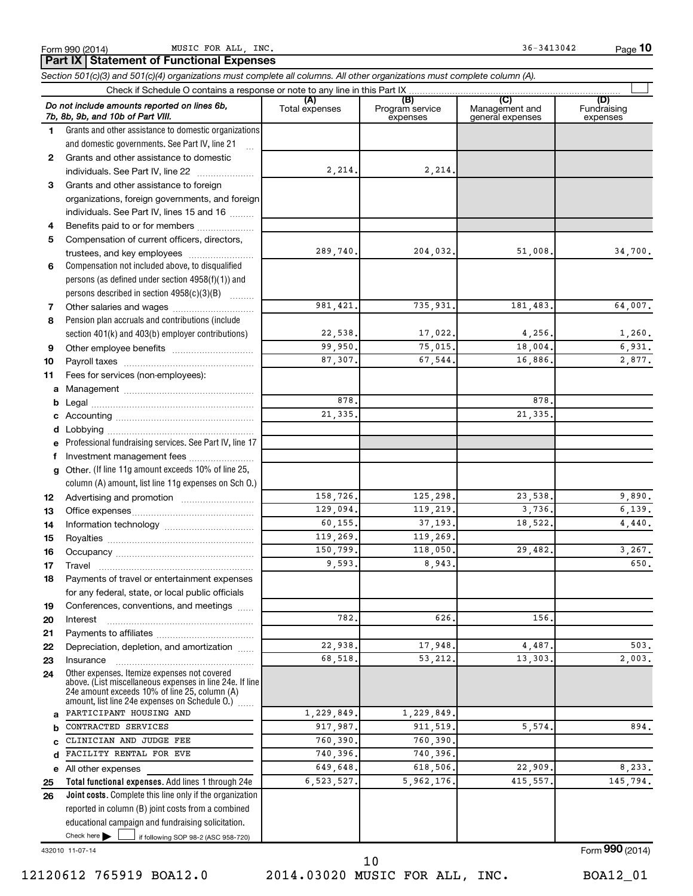**10**

|          | Part IX   Statement of Functional Expenses                                                                                                                |                       |                                    |                                           |                                |
|----------|-----------------------------------------------------------------------------------------------------------------------------------------------------------|-----------------------|------------------------------------|-------------------------------------------|--------------------------------|
|          | Section 501(c)(3) and 501(c)(4) organizations must complete all columns. All other organizations must complete column (A).                                |                       |                                    |                                           |                                |
|          | Check if Schedule O contains a response or note to any line in this Part IX                                                                               |                       |                                    |                                           |                                |
|          | Do not include amounts reported on lines 6b,<br>7b, 8b, 9b, and 10b of Part VIII.                                                                         | (A)<br>Total expenses | (B)<br>Program service<br>expenses | (C)<br>Management and<br>general expenses | (D)<br>Fundraising<br>expenses |
| 1.       | Grants and other assistance to domestic organizations                                                                                                     |                       |                                    |                                           |                                |
|          | and domestic governments. See Part IV, line 21                                                                                                            |                       |                                    |                                           |                                |
| 2        | Grants and other assistance to domestic                                                                                                                   |                       |                                    |                                           |                                |
|          | individuals. See Part IV, line 22                                                                                                                         | 2,214.                | 2,214.                             |                                           |                                |
| 3        | Grants and other assistance to foreign                                                                                                                    |                       |                                    |                                           |                                |
|          | organizations, foreign governments, and foreign                                                                                                           |                       |                                    |                                           |                                |
|          | individuals. See Part IV, lines 15 and 16                                                                                                                 |                       |                                    |                                           |                                |
| 4        | Benefits paid to or for members                                                                                                                           |                       |                                    |                                           |                                |
| 5        | Compensation of current officers, directors,                                                                                                              |                       |                                    |                                           |                                |
|          | trustees, and key employees                                                                                                                               | 289,740.              | 204,032.                           | 51,008.                                   | 34,700.                        |
| 6        | Compensation not included above, to disqualified                                                                                                          |                       |                                    |                                           |                                |
|          | persons (as defined under section 4958(f)(1)) and<br>persons described in section 4958(c)(3)(B)                                                           |                       |                                    |                                           |                                |
| 7        |                                                                                                                                                           | 981.421.              | 735,931.                           | 181,483.                                  | 64,007.                        |
| 8        | Pension plan accruals and contributions (include                                                                                                          |                       |                                    |                                           |                                |
|          | section 401(k) and 403(b) employer contributions)                                                                                                         | 22,538.               | 17,022.                            | 4,256.                                    | 1,260.                         |
| 9        |                                                                                                                                                           | 99,950.               | 75,015.                            | 18,004.                                   | 6,931.                         |
| 10       |                                                                                                                                                           | 87,307.               | 67.544.                            | 16,886.                                   | 2,877.                         |
| 11       | Fees for services (non-employees):                                                                                                                        |                       |                                    |                                           |                                |
| а        |                                                                                                                                                           |                       |                                    |                                           |                                |
| b        |                                                                                                                                                           | 878.                  |                                    | 878.                                      |                                |
|          |                                                                                                                                                           | 21,335.               |                                    | 21,335.                                   |                                |
| d        |                                                                                                                                                           |                       |                                    |                                           |                                |
| е        | Professional fundraising services. See Part IV, line 17                                                                                                   |                       |                                    |                                           |                                |
|          | f Investment management fees                                                                                                                              |                       |                                    |                                           |                                |
| g        | Other. (If line 11g amount exceeds 10% of line 25,                                                                                                        |                       |                                    |                                           |                                |
|          | column (A) amount, list line 11g expenses on Sch O.)                                                                                                      |                       |                                    |                                           |                                |
| 12       |                                                                                                                                                           | 158,726.              | 125,298.                           | 23,538.                                   | 9,890.                         |
| 13       |                                                                                                                                                           | 129,094.              | 119,219.                           | 3,736.                                    | 6,139.                         |
| 14       |                                                                                                                                                           | 60,155.               | 37, 193.                           | 18,522.                                   | 4,440.                         |
| 15       |                                                                                                                                                           | 119,269.              | 119,269.                           |                                           |                                |
| 16       |                                                                                                                                                           | 150,799.              | 118,050.                           | 29,482.                                   | 3,267.                         |
| 17       | Travel                                                                                                                                                    | 9,593.                | 8,943.                             |                                           | 650.                           |
| 18       | Payments of travel or entertainment expenses                                                                                                              |                       |                                    |                                           |                                |
|          | for any federal, state, or local public officials                                                                                                         |                       |                                    |                                           |                                |
| 19       | Conferences, conventions, and meetings                                                                                                                    | 782.                  | 626                                |                                           |                                |
| 20       | Interest                                                                                                                                                  |                       |                                    | 156.                                      |                                |
| 21<br>22 | Depreciation, depletion, and amortization                                                                                                                 | 22,938.               | 17,948.                            | 4,487.                                    | 503.                           |
| 23       | Insurance                                                                                                                                                 | 68,518.               | 53,212.                            | 13,303.                                   | 2,003.                         |
| 24       | Other expenses. Itemize expenses not covered<br>above. (List miscellaneous expenses in line 24e. If line<br>24e amount exceeds 10% of line 25, column (A) |                       |                                    |                                           |                                |
|          | amount, list line 24e expenses on Schedule O.)<br>PARTICIPANT HOUSING AND                                                                                 |                       |                                    |                                           |                                |
| a        | CONTRACTED SERVICES                                                                                                                                       | 1,229,849.            | 1,229,849.                         |                                           | 894.                           |
| b        | CLINICIAN AND JUDGE FEE                                                                                                                                   | 917,987.<br>760,390.  | 911, 519.<br>760,390.              | 5,574.                                    |                                |
| C<br>d   | FACILITY RENTAL FOR EVE                                                                                                                                   | 740,396.              | 740,396.                           |                                           |                                |
|          | All other expenses                                                                                                                                        | 649,648.              | 618,506.                           | 22,909.                                   | 8,233.                         |
| е<br>25  | Total functional expenses. Add lines 1 through 24e                                                                                                        | 6,523,527.            | 5,962,176.                         | 415, 557.                                 | 145,794.                       |
| 26       | Joint costs. Complete this line only if the organization                                                                                                  |                       |                                    |                                           |                                |
|          | reported in column (B) joint costs from a combined                                                                                                        |                       |                                    |                                           |                                |
|          | educational campaign and fundraising solicitation.                                                                                                        |                       |                                    |                                           |                                |

432010 11-07-14

Check here

 $\Box$ 

if following SOP 98-2 (ASC 958-720)

Form (2014) **990**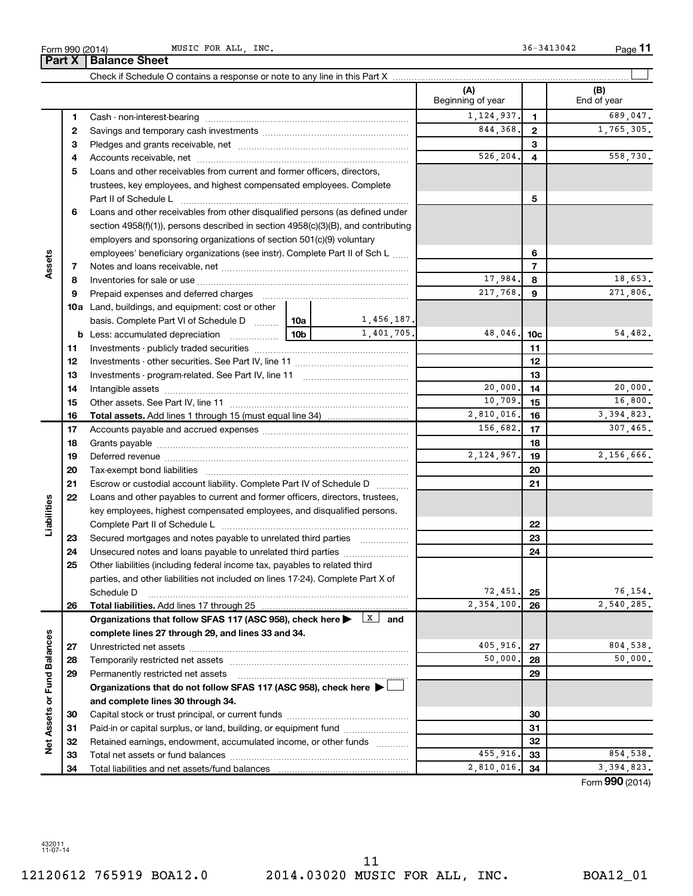|                             |    |                                                                                                                                                                                                                                |                 |            | Beginning of year           |                         | End of year                   |
|-----------------------------|----|--------------------------------------------------------------------------------------------------------------------------------------------------------------------------------------------------------------------------------|-----------------|------------|-----------------------------|-------------------------|-------------------------------|
|                             | 1  |                                                                                                                                                                                                                                |                 |            | 1, 124, 937.                | $\mathbf{1}$            | 689,047.                      |
|                             | 2  |                                                                                                                                                                                                                                |                 |            | 844,368.                    | $\overline{2}$          | 1,765,305.                    |
|                             | З  |                                                                                                                                                                                                                                |                 |            |                             | 3                       |                               |
|                             | 4  |                                                                                                                                                                                                                                |                 |            | 526,204.                    | $\overline{\mathbf{4}}$ | 558,730.                      |
|                             | 5  | Loans and other receivables from current and former officers, directors,                                                                                                                                                       |                 |            |                             |                         |                               |
|                             |    | trustees, key employees, and highest compensated employees. Complete                                                                                                                                                           |                 |            |                             |                         |                               |
|                             |    |                                                                                                                                                                                                                                |                 |            |                             | 5                       |                               |
|                             | 6  | Loans and other receivables from other disqualified persons (as defined under                                                                                                                                                  |                 |            |                             |                         |                               |
|                             |    | section 4958(f)(1)), persons described in section 4958(c)(3)(B), and contributing                                                                                                                                              |                 |            |                             |                         |                               |
|                             |    | employers and sponsoring organizations of section 501(c)(9) voluntary                                                                                                                                                          |                 |            |                             |                         |                               |
|                             |    | employees' beneficiary organizations (see instr). Complete Part II of Sch L                                                                                                                                                    |                 |            |                             | 6                       |                               |
| Assets                      | 7  |                                                                                                                                                                                                                                |                 |            |                             | $\overline{7}$          |                               |
|                             | 8  |                                                                                                                                                                                                                                |                 |            | 17,984.                     | 8                       | 18,653.                       |
|                             | 9  | Prepaid expenses and deferred charges [11] [11] prepaid expenses and deferred charges [11] [11] minimum and the Prepaid expenses and deferred charges [11] minimum and the Prepaid expenses and the Prepaid experiment of Prep |                 |            | 217,768.                    | 9                       | 271,806.                      |
|                             |    | <b>10a</b> Land, buildings, and equipment: cost or other                                                                                                                                                                       |                 |            |                             |                         |                               |
|                             |    | basis. Complete Part VI of Schedule D  10a                                                                                                                                                                                     |                 | 1,456,187. |                             |                         |                               |
|                             |    | <b>b</b> Less: accumulated depreciation<br>. 1                                                                                                                                                                                 | 10 <sub>b</sub> | 1,401,705. | 48,046.                     | 10 <sub>c</sub>         | 54,482.                       |
|                             | 11 |                                                                                                                                                                                                                                |                 |            |                             | 11                      |                               |
|                             | 12 |                                                                                                                                                                                                                                |                 |            |                             | 12                      |                               |
|                             | 13 |                                                                                                                                                                                                                                |                 |            |                             | 13                      |                               |
|                             | 14 |                                                                                                                                                                                                                                |                 |            | 20,000.                     | 14                      | 20,000.                       |
|                             | 15 |                                                                                                                                                                                                                                |                 |            | 10,709.                     | 15                      | 16,800.                       |
|                             | 16 |                                                                                                                                                                                                                                |                 |            | 2,810,016.                  | 16                      | 3, 394, 823.                  |
|                             | 17 |                                                                                                                                                                                                                                |                 |            | 156,682.                    | 17                      | 307,465.                      |
|                             | 18 |                                                                                                                                                                                                                                |                 |            |                             | 18                      |                               |
|                             | 19 |                                                                                                                                                                                                                                | 2,124,967.      | 19         | 2,156,666.                  |                         |                               |
|                             | 20 |                                                                                                                                                                                                                                |                 |            |                             | 20                      |                               |
|                             | 21 |                                                                                                                                                                                                                                |                 |            |                             | 21                      |                               |
|                             | 22 | Escrow or custodial account liability. Complete Part IV of Schedule D                                                                                                                                                          |                 |            |                             |                         |                               |
|                             |    | Loans and other payables to current and former officers, directors, trustees,                                                                                                                                                  |                 |            |                             |                         |                               |
| Liabilities                 |    | key employees, highest compensated employees, and disqualified persons.                                                                                                                                                        |                 |            |                             | 22                      |                               |
|                             |    |                                                                                                                                                                                                                                |                 |            |                             | 23                      |                               |
|                             | 23 | Secured mortgages and notes payable to unrelated third parties                                                                                                                                                                 |                 |            |                             | 24                      |                               |
|                             | 24 | Unsecured notes and loans payable to unrelated third parties                                                                                                                                                                   |                 |            |                             |                         |                               |
|                             | 25 | Other liabilities (including federal income tax, payables to related third                                                                                                                                                     |                 |            |                             |                         |                               |
|                             |    | parties, and other liabilities not included on lines 17-24). Complete Part X of                                                                                                                                                |                 |            | 72,451.                     |                         | 76,154.                       |
|                             |    | Schedule D                                                                                                                                                                                                                     |                 |            | $\overline{2,354,100}$ , 26 | 25                      | $\overline{2,540,285}$ .      |
|                             | 26 |                                                                                                                                                                                                                                |                 |            |                             |                         |                               |
|                             |    | Organizations that follow SFAS 117 (ASC 958), check here $\blacktriangleright \begin{array}{c} \boxed{X} \\ \end{array}$ and                                                                                                   |                 |            |                             |                         |                               |
|                             |    | complete lines 27 through 29, and lines 33 and 34.                                                                                                                                                                             |                 |            | 405,916.                    |                         | 804,538.                      |
|                             | 27 |                                                                                                                                                                                                                                |                 |            | 50,000.                     | 27<br>28                | 50,000.                       |
|                             | 28 |                                                                                                                                                                                                                                |                 |            |                             |                         |                               |
|                             | 29 | Permanently restricted net assets                                                                                                                                                                                              |                 |            |                             | 29                      |                               |
|                             |    | Organizations that do not follow SFAS 117 (ASC 958), check here $\blacktriangleright$                                                                                                                                          |                 |            |                             |                         |                               |
| Net Assets or Fund Balances |    | and complete lines 30 through 34.                                                                                                                                                                                              |                 |            |                             |                         |                               |
|                             | 30 |                                                                                                                                                                                                                                |                 |            |                             | 30                      |                               |
|                             | 31 | Paid-in or capital surplus, or land, building, or equipment fund                                                                                                                                                               |                 |            |                             | 31                      |                               |
|                             | 32 | Retained earnings, endowment, accumulated income, or other funds                                                                                                                                                               |                 |            |                             | 32                      |                               |
|                             | 33 |                                                                                                                                                                                                                                |                 |            | 455,916.                    | 33                      | 854,538.                      |
|                             | 34 |                                                                                                                                                                                                                                |                 |            | 2,810,016.                  | 34                      | 3,394,823.<br>Form 990 (2014) |

Check if Schedule O contains a response or note to any line in this Part X

**(A) (B)**

**11**

 $\perp$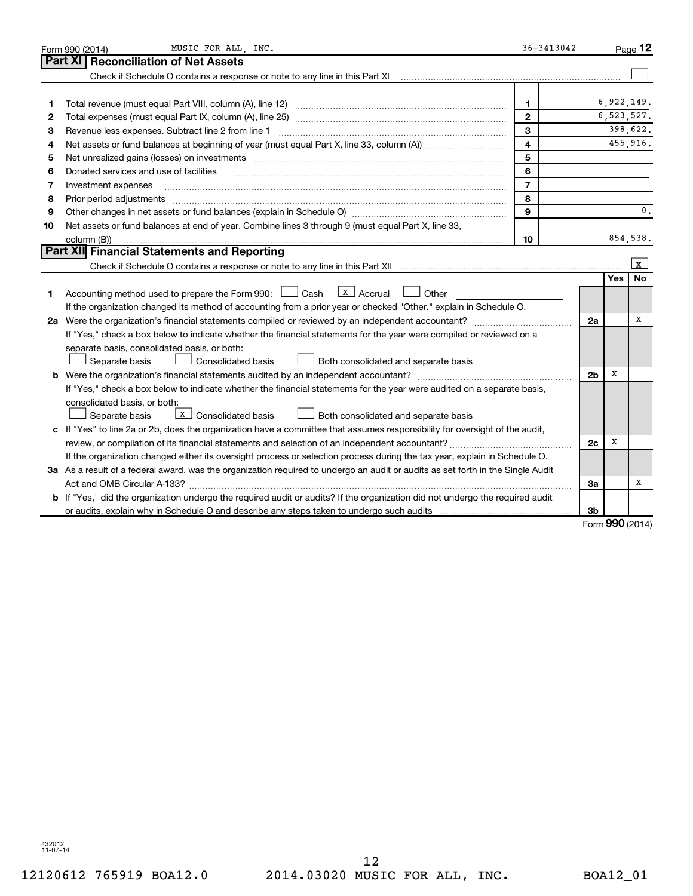|    | MUSIC FOR ALL, INC.<br>Form 990 (2014)                                                                                          | 36-3413042     |                |            | Page 12        |
|----|---------------------------------------------------------------------------------------------------------------------------------|----------------|----------------|------------|----------------|
|    | Part XI<br><b>Reconciliation of Net Assets</b>                                                                                  |                |                |            |                |
|    |                                                                                                                                 |                |                |            |                |
|    |                                                                                                                                 |                |                |            |                |
| 1  |                                                                                                                                 | 1              |                |            | 6,922,149.     |
| 2  |                                                                                                                                 | $\mathbf{2}$   |                |            | 6,523,527.     |
| з  | Revenue less expenses. Subtract line 2 from line 1                                                                              | 3              |                |            | 398,622.       |
| 4  |                                                                                                                                 | 4              |                |            | 455,916.       |
| 5  |                                                                                                                                 | 5              |                |            |                |
| 6  | Donated services and use of facilities                                                                                          | 6              |                |            |                |
| 7  | Investment expenses                                                                                                             | $\overline{7}$ |                |            |                |
| 8  | Prior period adjustments                                                                                                        | 8              |                |            |                |
| 9  |                                                                                                                                 | $\mathbf{Q}$   |                |            | 0.             |
| 10 | Net assets or fund balances at end of year. Combine lines 3 through 9 (must equal Part X, line 33,                              |                |                |            |                |
|    | column (B))                                                                                                                     | 10             |                |            | 854,538.       |
|    | Part XII Financial Statements and Reporting                                                                                     |                |                |            |                |
|    |                                                                                                                                 |                |                |            | l x            |
|    |                                                                                                                                 |                |                | <b>Yes</b> | No             |
| 1. | $X$ Accrual<br>Accounting method used to prepare the Form 990: [130] Cash<br>Other                                              |                |                |            |                |
|    | If the organization changed its method of accounting from a prior year or checked "Other," explain in Schedule O.               |                |                |            |                |
|    | 2a Were the organization's financial statements compiled or reviewed by an independent accountant?                              |                | 2a             |            | х              |
|    | If "Yes," check a box below to indicate whether the financial statements for the year were compiled or reviewed on a            |                |                |            |                |
|    | separate basis, consolidated basis, or both:                                                                                    |                |                |            |                |
|    | Separate basis<br>Consolidated basis<br>Both consolidated and separate basis                                                    |                |                |            |                |
|    |                                                                                                                                 |                | 2 <sub>b</sub> | х          |                |
|    | If "Yes," check a box below to indicate whether the financial statements for the year were audited on a separate basis,         |                |                |            |                |
|    | consolidated basis, or both:                                                                                                    |                |                |            |                |
|    | X   Consolidated basis<br>Separate basis<br>Both consolidated and separate basis                                                |                |                |            |                |
|    | c If "Yes" to line 2a or 2b, does the organization have a committee that assumes responsibility for oversight of the audit,     |                |                |            |                |
|    |                                                                                                                                 |                | 2c             | x          |                |
|    | If the organization changed either its oversight process or selection process during the tax year, explain in Schedule O.       |                |                |            |                |
|    | 3a As a result of a federal award, was the organization required to undergo an audit or audits as set forth in the Single Audit |                |                |            |                |
|    | Act and OMB Circular A-133?                                                                                                     |                | За             |            | x              |
|    | b If "Yes," did the organization undergo the required audit or audits? If the organization did not undergo the required audit   |                |                |            |                |
|    |                                                                                                                                 |                | 3b             |            | $000$ ( $0014$ |

Form (2014) **990**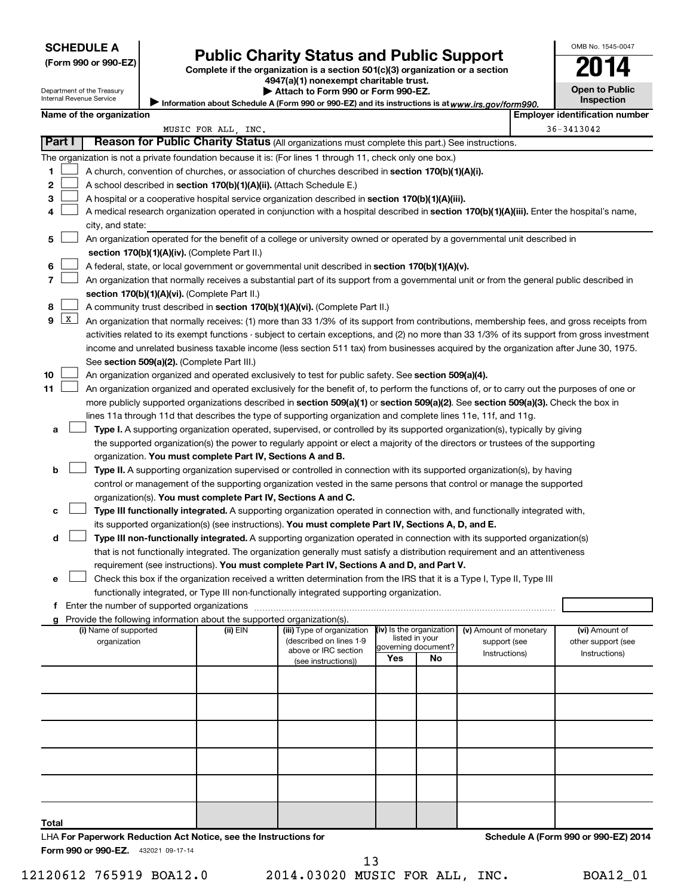# Form 990 or 990-EZ) **Public Charity Status and Public Support**<br>
Complete if the organization is a section 501(c)(3) organization or a section<br> **2014**

**4947(a)(1) nonexempt charitable trust.**

Information about Schedule A (Form 990 or 990-EZ) and its instructions is at www.irs.gov/form990. **| Attach to Form 990 or Form 990-EZ.** 

| <b>Open to Public</b><br>Inspection |
|-------------------------------------|
| tificatic                           |

OMB No. 1545-0047

Department of the Treasury Internal Revenue Service

|       |                 | Name of the organization                                                                                                                      |                     |                            |     |                           |                        |  | <b>Employer identification number</b> |  |
|-------|-----------------|-----------------------------------------------------------------------------------------------------------------------------------------------|---------------------|----------------------------|-----|---------------------------|------------------------|--|---------------------------------------|--|
|       |                 |                                                                                                                                               | MUSIC FOR ALL, INC. |                            |     |                           |                        |  | 36-3413042                            |  |
|       | Part I          | Reason for Public Charity Status (All organizations must complete this part.) See instructions.                                               |                     |                            |     |                           |                        |  |                                       |  |
|       |                 | The organization is not a private foundation because it is: (For lines 1 through 11, check only one box.)                                     |                     |                            |     |                           |                        |  |                                       |  |
| 1     |                 | A church, convention of churches, or association of churches described in <b>section 170(b)(1)(A)(i).</b>                                     |                     |                            |     |                           |                        |  |                                       |  |
| 2     |                 | A school described in section 170(b)(1)(A)(ii). (Attach Schedule E.)                                                                          |                     |                            |     |                           |                        |  |                                       |  |
| 3     |                 | A hospital or a cooperative hospital service organization described in section 170(b)(1)(A)(iii).                                             |                     |                            |     |                           |                        |  |                                       |  |
| 4     |                 | A medical research organization operated in conjunction with a hospital described in section 170(b)(1)(A)(iii). Enter the hospital's name,    |                     |                            |     |                           |                        |  |                                       |  |
|       |                 | city, and state:                                                                                                                              |                     |                            |     |                           |                        |  |                                       |  |
| 5     |                 | An organization operated for the benefit of a college or university owned or operated by a governmental unit described in                     |                     |                            |     |                           |                        |  |                                       |  |
|       |                 | section 170(b)(1)(A)(iv). (Complete Part II.)                                                                                                 |                     |                            |     |                           |                        |  |                                       |  |
| 6     |                 | A federal, state, or local government or governmental unit described in section 170(b)(1)(A)(v).                                              |                     |                            |     |                           |                        |  |                                       |  |
| 7     |                 | An organization that normally receives a substantial part of its support from a governmental unit or from the general public described in     |                     |                            |     |                           |                        |  |                                       |  |
|       |                 | section 170(b)(1)(A)(vi). (Complete Part II.)                                                                                                 |                     |                            |     |                           |                        |  |                                       |  |
| 8     |                 | A community trust described in section 170(b)(1)(A)(vi). (Complete Part II.)                                                                  |                     |                            |     |                           |                        |  |                                       |  |
| 9     | $\vert x \vert$ | An organization that normally receives: (1) more than 33 1/3% of its support from contributions, membership fees, and gross receipts from     |                     |                            |     |                           |                        |  |                                       |  |
|       |                 | activities related to its exempt functions - subject to certain exceptions, and (2) no more than 33 1/3% of its support from gross investment |                     |                            |     |                           |                        |  |                                       |  |
|       |                 | income and unrelated business taxable income (less section 511 tax) from businesses acquired by the organization after June 30, 1975.         |                     |                            |     |                           |                        |  |                                       |  |
|       |                 | See section 509(a)(2). (Complete Part III.)                                                                                                   |                     |                            |     |                           |                        |  |                                       |  |
| 10    |                 | An organization organized and operated exclusively to test for public safety. See section 509(a)(4).                                          |                     |                            |     |                           |                        |  |                                       |  |
| 11    |                 | An organization organized and operated exclusively for the benefit of, to perform the functions of, or to carry out the purposes of one or    |                     |                            |     |                           |                        |  |                                       |  |
|       |                 | more publicly supported organizations described in section 509(a)(1) or section 509(a)(2). See section 509(a)(3). Check the box in            |                     |                            |     |                           |                        |  |                                       |  |
|       |                 | lines 11a through 11d that describes the type of supporting organization and complete lines 11e, 11f, and 11g.                                |                     |                            |     |                           |                        |  |                                       |  |
| a     |                 | Type I. A supporting organization operated, supervised, or controlled by its supported organization(s), typically by giving                   |                     |                            |     |                           |                        |  |                                       |  |
|       |                 | the supported organization(s) the power to regularly appoint or elect a majority of the directors or trustees of the supporting               |                     |                            |     |                           |                        |  |                                       |  |
|       |                 | organization. You must complete Part IV, Sections A and B.                                                                                    |                     |                            |     |                           |                        |  |                                       |  |
| b     |                 | Type II. A supporting organization supervised or controlled in connection with its supported organization(s), by having                       |                     |                            |     |                           |                        |  |                                       |  |
|       |                 | control or management of the supporting organization vested in the same persons that control or manage the supported                          |                     |                            |     |                           |                        |  |                                       |  |
|       |                 | organization(s). You must complete Part IV, Sections A and C.                                                                                 |                     |                            |     |                           |                        |  |                                       |  |
| с     |                 | Type III functionally integrated. A supporting organization operated in connection with, and functionally integrated with,                    |                     |                            |     |                           |                        |  |                                       |  |
|       |                 | its supported organization(s) (see instructions). You must complete Part IV, Sections A, D, and E.                                            |                     |                            |     |                           |                        |  |                                       |  |
| d     |                 | Type III non-functionally integrated. A supporting organization operated in connection with its supported organization(s)                     |                     |                            |     |                           |                        |  |                                       |  |
|       |                 | that is not functionally integrated. The organization generally must satisfy a distribution requirement and an attentiveness                  |                     |                            |     |                           |                        |  |                                       |  |
|       |                 | requirement (see instructions). You must complete Part IV, Sections A and D, and Part V.                                                      |                     |                            |     |                           |                        |  |                                       |  |
| е     |                 | Check this box if the organization received a written determination from the IRS that it is a Type I, Type II, Type III                       |                     |                            |     |                           |                        |  |                                       |  |
|       |                 | functionally integrated, or Type III non-functionally integrated supporting organization.                                                     |                     |                            |     |                           |                        |  |                                       |  |
|       |                 |                                                                                                                                               |                     |                            |     |                           |                        |  |                                       |  |
|       |                 |                                                                                                                                               |                     |                            |     |                           |                        |  |                                       |  |
|       |                 | g Provide the following information about the supported organization(s).<br>(i) Name of supported                                             | (ii) EIN            | (iii) Type of organization |     | (iv) Is the organization  | (v) Amount of monetary |  | (vi) Amount of                        |  |
|       |                 | organization                                                                                                                                  |                     | (described on lines 1-9    |     | listed in your            | support (see           |  | other support (see                    |  |
|       |                 |                                                                                                                                               |                     | above or IRC section       | Yes | governing document?<br>No | Instructions)          |  | Instructions)                         |  |
|       |                 |                                                                                                                                               |                     | (see instructions))        |     |                           |                        |  |                                       |  |
|       |                 |                                                                                                                                               |                     |                            |     |                           |                        |  |                                       |  |
|       |                 |                                                                                                                                               |                     |                            |     |                           |                        |  |                                       |  |
|       |                 |                                                                                                                                               |                     |                            |     |                           |                        |  |                                       |  |
|       |                 |                                                                                                                                               |                     |                            |     |                           |                        |  |                                       |  |
|       |                 |                                                                                                                                               |                     |                            |     |                           |                        |  |                                       |  |
|       |                 |                                                                                                                                               |                     |                            |     |                           |                        |  |                                       |  |
|       |                 |                                                                                                                                               |                     |                            |     |                           |                        |  |                                       |  |
|       |                 |                                                                                                                                               |                     |                            |     |                           |                        |  |                                       |  |
|       |                 |                                                                                                                                               |                     |                            |     |                           |                        |  |                                       |  |
|       |                 |                                                                                                                                               |                     |                            |     |                           |                        |  |                                       |  |
|       |                 |                                                                                                                                               |                     |                            |     |                           |                        |  |                                       |  |
| Total |                 |                                                                                                                                               |                     |                            |     |                           |                        |  |                                       |  |
|       |                 | LHA For Paperwork Reduction Act Notice, see the Instructions for                                                                              |                     |                            |     |                           |                        |  | Schedule A (Form 990 or 990-EZ) 2014  |  |
|       |                 | Form 990 or 990-EZ. 432021 09-17-14                                                                                                           |                     |                            |     |                           |                        |  |                                       |  |

12120612 765919 BOA12.0 2014.03020 MUSIC FOR ALL, INC. BOA12\_01 13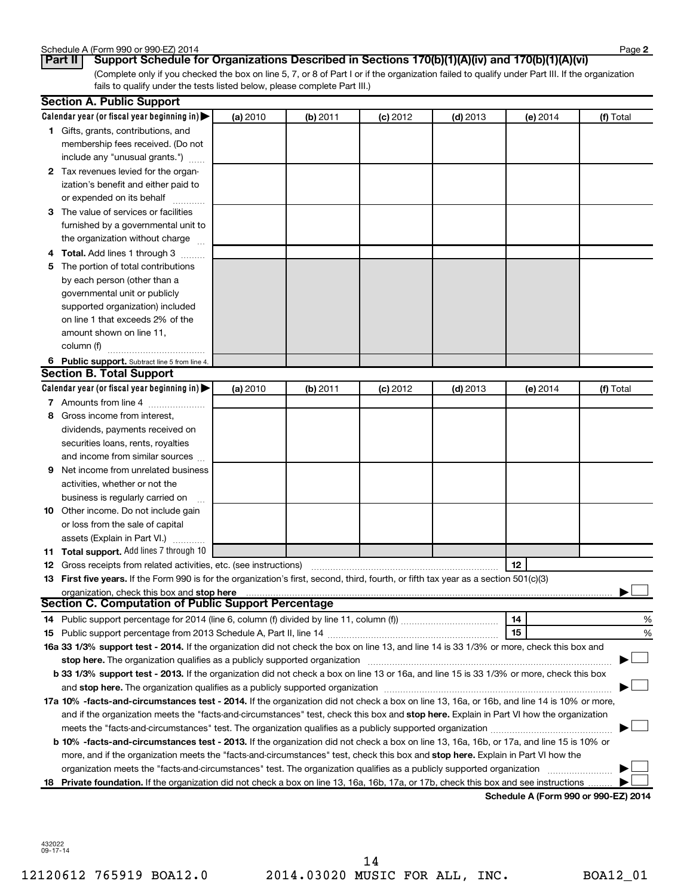| Schedule A (Form 990 or 990-EZ) 2014 | Page |
|--------------------------------------|------|
|--------------------------------------|------|

**2**

(Complete only if you checked the box on line 5, 7, or 8 of Part I or if the organization failed to qualify under Part III. If the organization fails to qualify under the tests listed below, please complete Part III.) **Part II Support Schedule for Organizations Described in Sections 170(b)(1)(A)(iv) and 170(b)(1)(A)(vi)**

|   | <b>Section A. Public Support</b>                                                                                                               |          |          |            |            |          |           |
|---|------------------------------------------------------------------------------------------------------------------------------------------------|----------|----------|------------|------------|----------|-----------|
|   | Calendar year (or fiscal year beginning in) $\blacktriangleright$                                                                              | (a) 2010 | (b) 2011 | $(c)$ 2012 | $(d)$ 2013 | (e) 2014 | (f) Total |
|   | 1 Gifts, grants, contributions, and                                                                                                            |          |          |            |            |          |           |
|   | membership fees received. (Do not                                                                                                              |          |          |            |            |          |           |
|   | include any "unusual grants.")                                                                                                                 |          |          |            |            |          |           |
|   | 2 Tax revenues levied for the organ-                                                                                                           |          |          |            |            |          |           |
|   | ization's benefit and either paid to                                                                                                           |          |          |            |            |          |           |
|   | or expended on its behalf                                                                                                                      |          |          |            |            |          |           |
|   | 3 The value of services or facilities                                                                                                          |          |          |            |            |          |           |
|   | furnished by a governmental unit to                                                                                                            |          |          |            |            |          |           |
|   | the organization without charge                                                                                                                |          |          |            |            |          |           |
|   | 4 Total. Add lines 1 through 3                                                                                                                 |          |          |            |            |          |           |
| 5 | The portion of total contributions                                                                                                             |          |          |            |            |          |           |
|   | by each person (other than a                                                                                                                   |          |          |            |            |          |           |
|   | governmental unit or publicly                                                                                                                  |          |          |            |            |          |           |
|   | supported organization) included                                                                                                               |          |          |            |            |          |           |
|   | on line 1 that exceeds 2% of the                                                                                                               |          |          |            |            |          |           |
|   | amount shown on line 11,                                                                                                                       |          |          |            |            |          |           |
|   | column (f)                                                                                                                                     |          |          |            |            |          |           |
|   | 6 Public support. Subtract line 5 from line 4.                                                                                                 |          |          |            |            |          |           |
|   | <b>Section B. Total Support</b>                                                                                                                |          |          |            |            |          |           |
|   | Calendar year (or fiscal year beginning in) $\blacktriangleright$                                                                              | (a) 2010 | (b) 2011 | $(c)$ 2012 | $(d)$ 2013 | (e) 2014 | (f) Total |
|   | 7 Amounts from line 4                                                                                                                          |          |          |            |            |          |           |
| 8 | Gross income from interest,                                                                                                                    |          |          |            |            |          |           |
|   | dividends, payments received on                                                                                                                |          |          |            |            |          |           |
|   | securities loans, rents, royalties                                                                                                             |          |          |            |            |          |           |
|   | and income from similar sources                                                                                                                |          |          |            |            |          |           |
| 9 | Net income from unrelated business                                                                                                             |          |          |            |            |          |           |
|   | activities, whether or not the                                                                                                                 |          |          |            |            |          |           |
|   | business is regularly carried on                                                                                                               |          |          |            |            |          |           |
|   | <b>10</b> Other income. Do not include gain                                                                                                    |          |          |            |            |          |           |
|   | or loss from the sale of capital                                                                                                               |          |          |            |            |          |           |
|   | assets (Explain in Part VI.)                                                                                                                   |          |          |            |            |          |           |
|   | 11 Total support. Add lines 7 through 10                                                                                                       |          |          |            |            |          |           |
|   | <b>12</b> Gross receipts from related activities, etc. (see instructions)                                                                      |          |          |            |            | 12       |           |
|   | 13 First five years. If the Form 990 is for the organization's first, second, third, fourth, or fifth tax year as a section 501(c)(3)          |          |          |            |            |          |           |
|   | organization, check this box and stop here                                                                                                     |          |          |            |            |          |           |
|   | Section C. Computation of Public Support Percentage                                                                                            |          |          |            |            |          |           |
|   |                                                                                                                                                |          |          |            |            | 14       | %         |
|   |                                                                                                                                                |          |          |            |            | 15       | %         |
|   | 16a 33 1/3% support test - 2014. If the organization did not check the box on line 13, and line 14 is 33 1/3% or more, check this box and      |          |          |            |            |          |           |
|   | stop here. The organization qualifies as a publicly supported organization manufactured content and the organization                           |          |          |            |            |          |           |
|   | b 33 1/3% support test - 2013. If the organization did not check a box on line 13 or 16a, and line 15 is 33 1/3% or more, check this box       |          |          |            |            |          |           |
|   |                                                                                                                                                |          |          |            |            |          |           |
|   | 17a 10% -facts-and-circumstances test - 2014. If the organization did not check a box on line 13, 16a, or 16b, and line 14 is 10% or more,     |          |          |            |            |          |           |
|   | and if the organization meets the "facts-and-circumstances" test, check this box and stop here. Explain in Part VI how the organization        |          |          |            |            |          |           |
|   |                                                                                                                                                |          |          |            |            |          |           |
|   | <b>b 10%</b> -facts-and-circumstances test - 2013. If the organization did not check a box on line 13, 16a, 16b, or 17a, and line 15 is 10% or |          |          |            |            |          |           |
|   | more, and if the organization meets the "facts-and-circumstances" test, check this box and stop here. Explain in Part VI how the               |          |          |            |            |          |           |
|   | organization meets the "facts-and-circumstances" test. The organization qualifies as a publicly supported organization                         |          |          |            |            |          |           |
|   | 18 Private foundation. If the organization did not check a box on line 13, 16a, 16b, 17a, or 17b, check this box and see instructions          |          |          |            |            |          |           |
|   |                                                                                                                                                |          |          |            |            |          |           |

**Schedule A (Form 990 or 990-EZ) 2014**

432022 09-17-14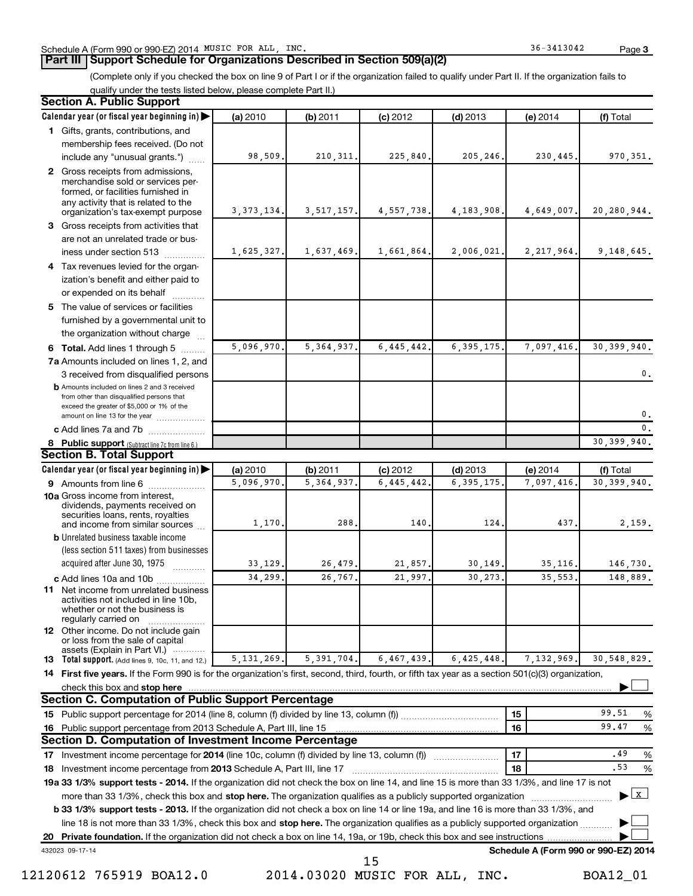### **Part III Support Schedule for Organizations Described in Section 509(a)(2)**

(Complete only if you checked the box on line 9 of Part I or if the organization failed to qualify under Part II. If the organization fails to qualify under the tests listed below, please complete Part II.)

| <b>Section A. Public Support</b>                                                                                                                                                 |              |              |            |              |                                      |                                           |
|----------------------------------------------------------------------------------------------------------------------------------------------------------------------------------|--------------|--------------|------------|--------------|--------------------------------------|-------------------------------------------|
| Calendar year (or fiscal year beginning in)                                                                                                                                      | (a) 2010     | (b) 2011     | $(c)$ 2012 | $(d)$ 2013   | (e) 2014                             | (f) Total                                 |
| 1 Gifts, grants, contributions, and                                                                                                                                              |              |              |            |              |                                      |                                           |
| membership fees received. (Do not                                                                                                                                                |              |              |            |              |                                      |                                           |
| include any "unusual grants.")                                                                                                                                                   | 98,509       | 210, 311.    | 225,840.   | 205,246.     | 230,445.                             | 970, 351.                                 |
| 2 Gross receipts from admissions,<br>merchandise sold or services per-<br>formed, or facilities furnished in<br>any activity that is related to the                              |              |              |            |              |                                      |                                           |
| organization's tax-exempt purpose                                                                                                                                                | 3, 373, 134. | 3, 517, 157. | 4,557,738. | 4, 183, 908. | 4,649,007.                           | 20,280,944.                               |
| 3 Gross receipts from activities that                                                                                                                                            |              |              |            |              |                                      |                                           |
| are not an unrelated trade or bus-                                                                                                                                               |              |              |            |              |                                      |                                           |
| iness under section 513                                                                                                                                                          | 1,625,327.   | 1,637,469.   | 1,661,864. | 2,006,021.   | 2, 217, 964.                         | 9,148,645.                                |
| 4 Tax revenues levied for the organ-                                                                                                                                             |              |              |            |              |                                      |                                           |
| ization's benefit and either paid to                                                                                                                                             |              |              |            |              |                                      |                                           |
| or expended on its behalf                                                                                                                                                        |              |              |            |              |                                      |                                           |
| 5 The value of services or facilities                                                                                                                                            |              |              |            |              |                                      |                                           |
| furnished by a governmental unit to                                                                                                                                              |              |              |            |              |                                      |                                           |
| the organization without charge                                                                                                                                                  |              |              |            |              |                                      |                                           |
| 6 Total. Add lines 1 through 5                                                                                                                                                   | 5,096,970    | 5, 364, 937  | 6,445,442  | 6, 395, 175. | 7,097,416.                           | 30, 399, 940.                             |
| 7a Amounts included on lines 1, 2, and                                                                                                                                           |              |              |            |              |                                      |                                           |
| 3 received from disqualified persons                                                                                                                                             |              |              |            |              |                                      | $\mathbf 0$ .                             |
| <b>b</b> Amounts included on lines 2 and 3 received<br>from other than disqualified persons that<br>exceed the greater of \$5,000 or 1% of the<br>amount on line 13 for the year |              |              |            |              |                                      | $\mathbf{0}$ .                            |
| c Add lines 7a and 7b                                                                                                                                                            |              |              |            |              |                                      | 0.                                        |
| 8 Public support (Subtract line 7c from line 6.)                                                                                                                                 |              |              |            |              |                                      | 30, 399, 940.                             |
| <b>Section B. Total Support</b>                                                                                                                                                  |              |              |            |              |                                      |                                           |
| Calendar year (or fiscal year beginning in)                                                                                                                                      | (a) 2010     | (b) 2011     | $(c)$ 2012 | $(d)$ 2013   | (e) 2014                             | (f) Total                                 |
| 9 Amounts from line 6                                                                                                                                                            | 5,096,970    | 5, 364, 937  | 6,445,442  | 6, 395, 175  | 7,097,416.                           | 30, 399, 940.                             |
| <b>10a</b> Gross income from interest,<br>dividends, payments received on<br>securities loans, rents, royalties                                                                  |              |              |            |              |                                      |                                           |
| and income from similar sources                                                                                                                                                  | 1,170        | 288          | 140        | 124          | 437.                                 | 2,159.                                    |
| <b>b</b> Unrelated business taxable income                                                                                                                                       |              |              |            |              |                                      |                                           |
| (less section 511 taxes) from businesses                                                                                                                                         |              |              |            |              |                                      |                                           |
| acquired after June 30, 1975                                                                                                                                                     | 33,129.      | 26,479       | 21,857,    | 30,149       | 35.116.                              | 146,730.                                  |
| c Add lines 10a and 10b                                                                                                                                                          | 34,299       | 26,767       | 21,997     | 30,273       | 35,553.                              | 148,889.                                  |
| 11 Net income from unrelated business<br>activities not included in line 10b.<br>whether or not the business is<br>regularly carried on                                          |              |              |            |              |                                      |                                           |
| 12 Other income. Do not include gain<br>or loss from the sale of capital<br>assets (Explain in Part VI.)                                                                         |              |              |            |              |                                      |                                           |
| <b>13</b> Total support. (Add lines 9, 10c, 11, and 12.)                                                                                                                         | 5, 131, 269. | 5, 391, 704. | 6,467,439. | 6,425,448    | 7,132,969.                           | 30,548,829.                               |
| 14 First five years. If the Form 990 is for the organization's first, second, third, fourth, or fifth tax year as a section 501(c)(3) organization,                              |              |              |            |              |                                      |                                           |
| check this box and stop here                                                                                                                                                     |              |              |            |              |                                      |                                           |
| <b>Section C. Computation of Public Support Percentage</b>                                                                                                                       |              |              |            |              |                                      |                                           |
|                                                                                                                                                                                  |              |              |            |              | 15                                   | 99.51<br>%                                |
| 16 Public support percentage from 2013 Schedule A, Part III, line 15                                                                                                             |              |              |            |              | 16                                   | 99.47<br>%                                |
| Section D. Computation of Investment Income Percentage                                                                                                                           |              |              |            |              |                                      |                                           |
| 17 Investment income percentage for 2014 (line 10c, column (f) divided by line 13, column (f))                                                                                   |              |              |            |              | 17                                   | .49<br>%                                  |
| 18 Investment income percentage from 2013 Schedule A, Part III, line 17                                                                                                          |              |              |            |              | 18                                   | .53<br>$\%$                               |
| 19a 33 1/3% support tests - 2014. If the organization did not check the box on line 14, and line 15 is more than 33 1/3%, and line 17 is not                                     |              |              |            |              |                                      |                                           |
| more than 33 1/3%, check this box and stop here. The organization qualifies as a publicly supported organization                                                                 |              |              |            |              |                                      | $\blacktriangleright$ $\lfloor x \rfloor$ |
| b 33 1/3% support tests - 2013. If the organization did not check a box on line 14 or line 19a, and line 16 is more than 33 1/3%, and                                            |              |              |            |              |                                      |                                           |
| line 18 is not more than 33 1/3%, check this box and stop here. The organization qualifies as a publicly supported organization                                                  |              |              |            |              |                                      |                                           |
|                                                                                                                                                                                  |              |              |            |              |                                      |                                           |
| 432023 09-17-14                                                                                                                                                                  |              |              | 15         |              | Schedule A (Form 990 or 990-EZ) 2014 |                                           |

12120612 765919 BOA12.0 2014.03020 MUSIC FOR ALL, INC. BOA12\_01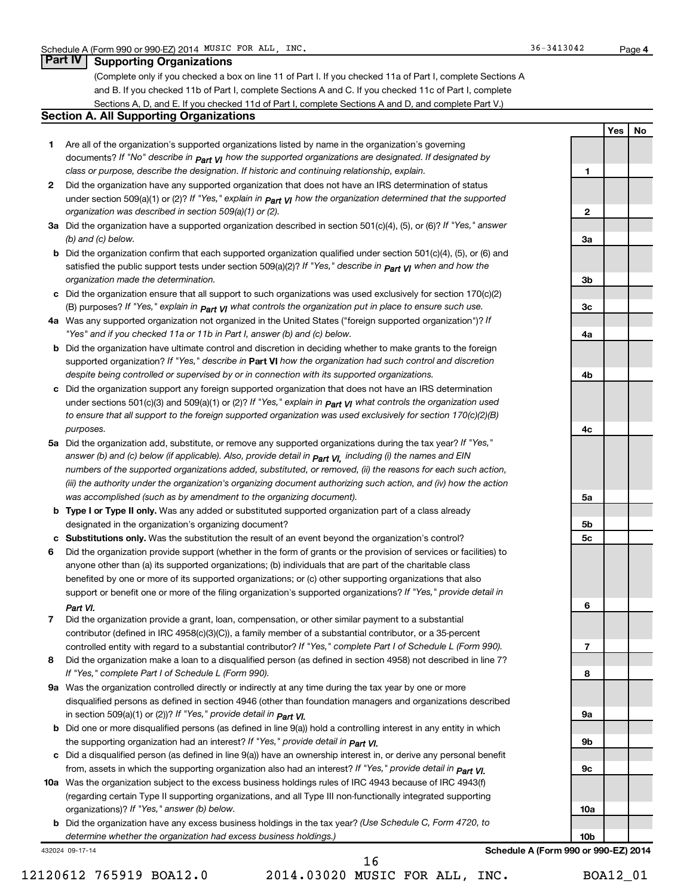### **Part IV Supporting Organizations**

(Complete only if you checked a box on line 11 of Part I. If you checked 11a of Part I, complete Sections A and B. If you checked 11b of Part I, complete Sections A and C. If you checked 11c of Part I, complete Sections A, D, and E. If you checked 11d of Part I, complete Sections A and D, and complete Part V.)

### **Section A. All Supporting Organizations**

- **1** Are all of the organization's supported organizations listed by name in the organization's governing documents? If "No" describe in  $_{\mathsf{Part}}$   $_{\mathsf{V}}$  how the supported organizations are designated. If designated by *class or purpose, describe the designation. If historic and continuing relationship, explain.*
- **2** Did the organization have any supported organization that does not have an IRS determination of status under section 509(a)(1) or (2)? If "Yes," explain in  $_{\sf Part}$   $_{\sf VI}$  how the organization determined that the supported *organization was described in section 509(a)(1) or (2).*
- **3a** Did the organization have a supported organization described in section 501(c)(4), (5), or (6)? If "Yes," answer *(b) and (c) below.*
- **b** Did the organization confirm that each supported organization qualified under section 501(c)(4), (5), or (6) and satisfied the public support tests under section 509(a)(2)? If "Yes," describe in  $_{\rm Part}$   $_{\rm VI}$  when and how the *organization made the determination.*
- **c** Did the organization ensure that all support to such organizations was used exclusively for section 170(c)(2) (B) purposes? If "Yes," explain in  $_{\mathsf{Part}}$   $_{\mathsf{V}}$  what controls the organization put in place to ensure such use.
- **4 a** *If* Was any supported organization not organized in the United States ("foreign supported organization")? *"Yes" and if you checked 11a or 11b in Part I, answer (b) and (c) below.*
- **b** Did the organization have ultimate control and discretion in deciding whether to make grants to the foreign supported organization? If "Yes," describe in Part VI how the organization had such control and discretion *despite being controlled or supervised by or in connection with its supported organizations.*
- **c** Did the organization support any foreign supported organization that does not have an IRS determination under sections 501(c)(3) and 509(a)(1) or (2)? If "Yes," ex*plain in*  $_{\sf Part}$  *v*J what controls the organization used *to ensure that all support to the foreign supported organization was used exclusively for section 170(c)(2)(B) purposes.*
- **5a** Did the organization add, substitute, or remove any supported organizations during the tax year? If "Yes," answer (b) and (c) below (if applicable). Also, provide detail in  $_{\mathsf{Part}}$   $_{\mathsf{V{\mathsf{I}}}}$ , including (i) the names and EIN *numbers of the supported organizations added, substituted, or removed, (ii) the reasons for each such action, (iii) the authority under the organization's organizing document authorizing such action, and (iv) how the action was accomplished (such as by amendment to the organizing document).*
- **b** Type I or Type II only. Was any added or substituted supported organization part of a class already designated in the organization's organizing document?
- **c Substitutions only.**  Was the substitution the result of an event beyond the organization's control?
- **6** Did the organization provide support (whether in the form of grants or the provision of services or facilities) to support or benefit one or more of the filing organization's supported organizations? If "Yes," provide detail in anyone other than (a) its supported organizations; (b) individuals that are part of the charitable class benefited by one or more of its supported organizations; or (c) other supporting organizations that also *Part VI.*
- **7** Did the organization provide a grant, loan, compensation, or other similar payment to a substantial controlled entity with regard to a substantial contributor? If "Yes," complete Part I of Schedule L (Form 990). contributor (defined in IRC 4958(c)(3)(C)), a family member of a substantial contributor, or a 35-percent
- **8** Did the organization make a loan to a disqualified person (as defined in section 4958) not described in line 7? *If "Yes," complete Part I of Schedule L (Form 990).*
- **9 a** Was the organization controlled directly or indirectly at any time during the tax year by one or more *If "Yes," provide detail in*  in section 509(a)(1) or (2))? *Part VI.* disqualified persons as defined in section 4946 (other than foundation managers and organizations described
- **b** Did one or more disqualified persons (as defined in line 9(a)) hold a controlling interest in any entity in which  *If "Yes," provide detail in*  the supporting organization had an interest? *Part VI.*
- **c** Did a disqualified person (as defined in line 9(a)) have an ownership interest in, or derive any personal benefit from, assets in which the supporting organization also had an interest? If "Yes," *provide detail in Part VI.*
- **10 a** Was the organization subject to the excess business holdings rules of IRC 4943 because of IRC 4943(f)  *If "Yes," answer (b) below.* organizations)? (regarding certain Type II supporting organizations, and all Type III non-functionally integrated supporting
	- **b** Did the organization have any excess business holdings in the tax year? (Use Schedule C, Form 4720, to *determine whether the organization had excess business holdings.)*

432024 09-17-14

12120612 765919 BOA12.0 2014.03020 MUSIC FOR ALL, INC. BOA12\_01 16

**1**

**2**

**3a**

**3b**

**3c**

**4a**

**4b**

**4c**

**5a**

**5b 5c**

**6**

**7**

**8**

**9a**

**9b**

**9c**

**10a**

**10b**

**Yes No**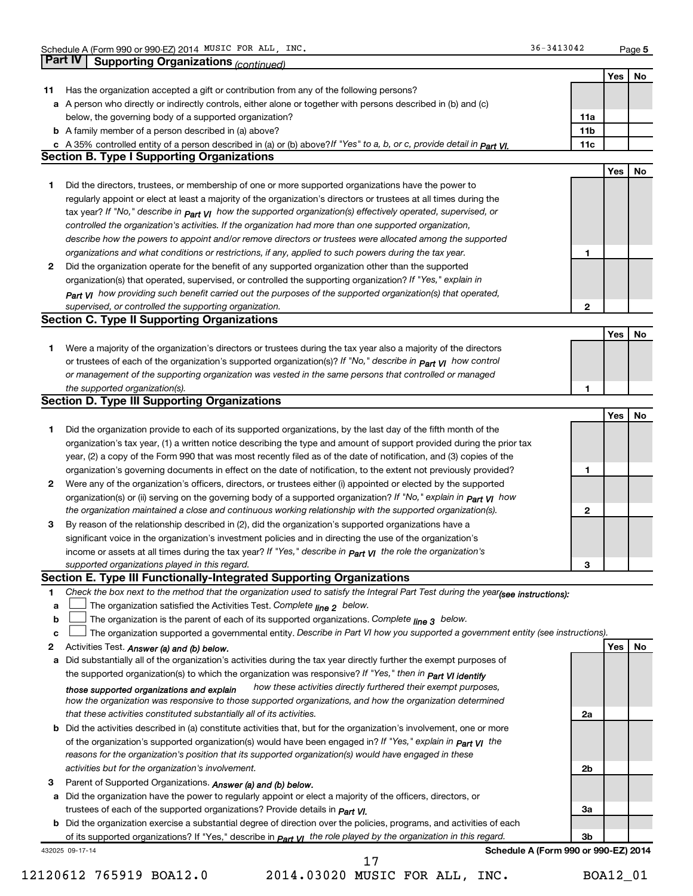**5**

|              | Part IV Supporting Organizations (continued)                                                                                                                                                                                                                  |                 |     |     |
|--------------|---------------------------------------------------------------------------------------------------------------------------------------------------------------------------------------------------------------------------------------------------------------|-----------------|-----|-----|
|              |                                                                                                                                                                                                                                                               |                 | Yes | No  |
| 11           | Has the organization accepted a gift or contribution from any of the following persons?                                                                                                                                                                       |                 |     |     |
|              | a A person who directly or indirectly controls, either alone or together with persons described in (b) and (c)                                                                                                                                                |                 |     |     |
|              | below, the governing body of a supported organization?                                                                                                                                                                                                        | 11a             |     |     |
|              | <b>b</b> A family member of a person described in (a) above?                                                                                                                                                                                                  | 11 <sub>b</sub> |     |     |
|              | c A 35% controlled entity of a person described in (a) or (b) above?If "Yes" to a, b, or c, provide detail in Part VI.                                                                                                                                        | 11c             |     |     |
|              | <b>Section B. Type I Supporting Organizations</b>                                                                                                                                                                                                             |                 |     |     |
|              |                                                                                                                                                                                                                                                               |                 | Yes | No  |
| 1            | Did the directors, trustees, or membership of one or more supported organizations have the power to                                                                                                                                                           |                 |     |     |
|              | regularly appoint or elect at least a majority of the organization's directors or trustees at all times during the                                                                                                                                            |                 |     |     |
|              | tax year? If "No," describe in $p_{art}$ VI how the supported organization(s) effectively operated, supervised, or                                                                                                                                            |                 |     |     |
|              | controlled the organization's activities. If the organization had more than one supported organization,                                                                                                                                                       |                 |     |     |
|              | describe how the powers to appoint and/or remove directors or trustees were allocated among the supported                                                                                                                                                     |                 |     |     |
|              | organizations and what conditions or restrictions, if any, applied to such powers during the tax year.                                                                                                                                                        | 1               |     |     |
| 2            | Did the organization operate for the benefit of any supported organization other than the supported                                                                                                                                                           |                 |     |     |
|              | organization(s) that operated, supervised, or controlled the supporting organization? If "Yes," explain in                                                                                                                                                    |                 |     |     |
|              | $_{Part}$ v <sub>I</sub> how providing such benefit carried out the purposes of the supported organization(s) that operated,                                                                                                                                  |                 |     |     |
|              | supervised, or controlled the supporting organization.                                                                                                                                                                                                        | 2               |     |     |
|              | <b>Section C. Type II Supporting Organizations</b>                                                                                                                                                                                                            |                 |     |     |
|              |                                                                                                                                                                                                                                                               |                 | Yes | No  |
| 1.           | Were a majority of the organization's directors or trustees during the tax year also a majority of the directors                                                                                                                                              |                 |     |     |
|              | or trustees of each of the organization's supported organization(s)? If "No," describe in <b>Part VI</b> how control                                                                                                                                          |                 |     |     |
|              | or management of the supporting organization was vested in the same persons that controlled or managed                                                                                                                                                        |                 |     |     |
|              | the supported organization(s).<br><b>Section D. Type III Supporting Organizations</b>                                                                                                                                                                         | 1               |     |     |
|              |                                                                                                                                                                                                                                                               |                 | Yes | No  |
| 1            | Did the organization provide to each of its supported organizations, by the last day of the fifth month of the                                                                                                                                                |                 |     |     |
|              | organization's tax year, (1) a written notice describing the type and amount of support provided during the prior tax                                                                                                                                         |                 |     |     |
|              | year, (2) a copy of the Form 990 that was most recently filed as of the date of notification, and (3) copies of the                                                                                                                                           |                 |     |     |
|              | organization's governing documents in effect on the date of notification, to the extent not previously provided?                                                                                                                                              | 1               |     |     |
| 2            | Were any of the organization's officers, directors, or trustees either (i) appointed or elected by the supported                                                                                                                                              |                 |     |     |
|              | organization(s) or (ii) serving on the governing body of a supported organization? If "No," explain in part VI how                                                                                                                                            |                 |     |     |
|              | the organization maintained a close and continuous working relationship with the supported organization(s).                                                                                                                                                   | 2               |     |     |
| 3            | By reason of the relationship described in (2), did the organization's supported organizations have a                                                                                                                                                         |                 |     |     |
|              | significant voice in the organization's investment policies and in directing the use of the organization's                                                                                                                                                    |                 |     |     |
|              | income or assets at all times during the tax year? If "Yes," describe in $P_{\text{art } VI}$ the role the organization's                                                                                                                                     |                 |     |     |
|              | supported organizations played in this regard.                                                                                                                                                                                                                | з               |     |     |
|              | Section E. Type III Functionally-Integrated Supporting Organizations                                                                                                                                                                                          |                 |     |     |
| 1            | Check the box next to the method that the organization used to satisfy the Integral Part Test during the year(see instructions):                                                                                                                              |                 |     |     |
| a            | The organization satisfied the Activities Test. Complete line 2 below.                                                                                                                                                                                        |                 |     |     |
| b            | The organization is the parent of each of its supported organizations. Complete $_{\text{line 3}}$ below.                                                                                                                                                     |                 |     |     |
| C            | The organization supported a governmental entity. Describe in Part VI how you supported a government entity (see instructions).                                                                                                                               |                 |     |     |
| $\mathbf{2}$ | Activities Test. Answer (a) and (b) below.                                                                                                                                                                                                                    |                 | Yes | No. |
| а            | Did substantially all of the organization's activities during the tax year directly further the exempt purposes of                                                                                                                                            |                 |     |     |
|              | the supported organization(s) to which the organization was responsive? If "Yes," then in Part VI identify                                                                                                                                                    |                 |     |     |
|              | how these activities directly furthered their exempt purposes,<br>those supported organizations and explain                                                                                                                                                   |                 |     |     |
|              | how the organization was responsive to those supported organizations, and how the organization determined                                                                                                                                                     |                 |     |     |
|              | that these activities constituted substantially all of its activities.                                                                                                                                                                                        | 2a              |     |     |
|              | <b>b</b> Did the activities described in (a) constitute activities that, but for the organization's involvement, one or more                                                                                                                                  |                 |     |     |
|              | of the organization's supported organization(s) would have been engaged in? If "Yes," explain in <b>Part VI</b> the                                                                                                                                           |                 |     |     |
|              | reasons for the organization's position that its supported organization(s) would have engaged in these                                                                                                                                                        |                 |     |     |
|              | activities but for the organization's involvement.                                                                                                                                                                                                            | 2b              |     |     |
|              | Parent of Supported Organizations. Answer (a) and (b) below.                                                                                                                                                                                                  |                 |     |     |
|              |                                                                                                                                                                                                                                                               |                 |     |     |
|              |                                                                                                                                                                                                                                                               |                 |     |     |
|              | a Did the organization have the power to regularly appoint or elect a majority of the officers, directors, or                                                                                                                                                 |                 |     |     |
|              | trustees of each of the supported organizations? Provide details in <i>Part VI.</i>                                                                                                                                                                           | За              |     |     |
| 3            | <b>b</b> Did the organization exercise a substantial degree of direction over the policies, programs, and activities of each<br>of its supported organizations? If "Yes," describe in $P_{\text{art}}$ VI the role played by the organization in this regard. | 3b              |     |     |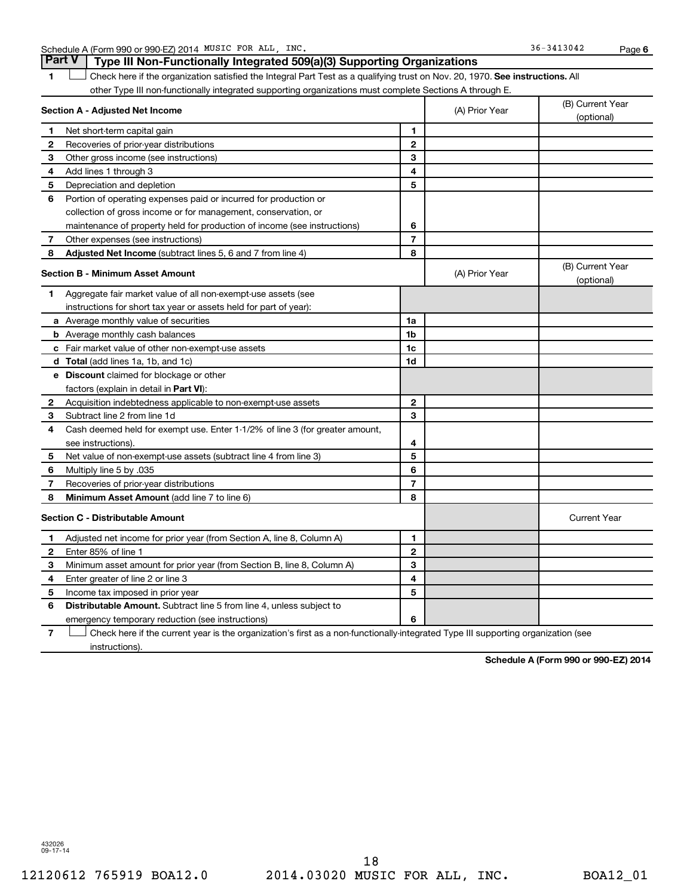Schedule A (Form 990 or 990-EZ) 2014 MUSIC FOR ALL, INC. Schedule A (Form 990 or 990-EZ) 2014 MUSIC FOR ALL, INC.

**6**

1 **Letter on Reck here if the organization satisfied the Integral Part Test as a qualifying trust on Nov. 20, 1970. See instructions. All** other Type III non-functionally integrated supporting organizations must complete Sections A through E. **Part V Type III Non-Functionally Integrated 509(a)(3) Supporting Organizations** 

|                | Section A - Adjusted Net Income                                                                                                   | (A) Prior Year | (B) Current Year<br>(optional) |                                |
|----------------|-----------------------------------------------------------------------------------------------------------------------------------|----------------|--------------------------------|--------------------------------|
| 1              | Net short-term capital gain                                                                                                       | 1              |                                |                                |
| $\mathbf{2}$   | Recoveries of prior-year distributions                                                                                            | $\overline{2}$ |                                |                                |
| 3              | Other gross income (see instructions)                                                                                             | 3              |                                |                                |
| 4              | Add lines 1 through 3                                                                                                             | 4              |                                |                                |
| 5              | Depreciation and depletion                                                                                                        | 5              |                                |                                |
| 6              | Portion of operating expenses paid or incurred for production or                                                                  |                |                                |                                |
|                | collection of gross income or for management, conservation, or                                                                    |                |                                |                                |
|                | maintenance of property held for production of income (see instructions)                                                          | 6              |                                |                                |
| $\overline{7}$ | Other expenses (see instructions)                                                                                                 | 7              |                                |                                |
| 8              | Adjusted Net Income (subtract lines 5, 6 and 7 from line 4)                                                                       | 8              |                                |                                |
|                | <b>Section B - Minimum Asset Amount</b>                                                                                           |                | (A) Prior Year                 | (B) Current Year<br>(optional) |
| 1              | Aggregate fair market value of all non-exempt-use assets (see                                                                     |                |                                |                                |
|                | instructions for short tax year or assets held for part of year):                                                                 |                |                                |                                |
|                | <b>a</b> Average monthly value of securities                                                                                      | 1a             |                                |                                |
|                | <b>b</b> Average monthly cash balances                                                                                            | 1 <sub>b</sub> |                                |                                |
|                | c Fair market value of other non-exempt-use assets                                                                                | 1c             |                                |                                |
|                | d Total (add lines 1a, 1b, and 1c)                                                                                                | 1 <sub>d</sub> |                                |                                |
|                | e Discount claimed for blockage or other                                                                                          |                |                                |                                |
|                | factors (explain in detail in Part VI):                                                                                           |                |                                |                                |
| 2              | Acquisition indebtedness applicable to non-exempt-use assets                                                                      | $\mathbf{2}$   |                                |                                |
| З              | Subtract line 2 from line 1d                                                                                                      | 3              |                                |                                |
| 4              | Cash deemed held for exempt use. Enter 1-1/2% of line 3 (for greater amount,                                                      |                |                                |                                |
|                | see instructions).                                                                                                                | 4              |                                |                                |
| 5              | Net value of non-exempt-use assets (subtract line 4 from line 3)                                                                  | 5              |                                |                                |
| 6              | Multiply line 5 by .035                                                                                                           | 6              |                                |                                |
| 7              | Recoveries of prior-year distributions                                                                                            | 7              |                                |                                |
| 8              | <b>Minimum Asset Amount (add line 7 to line 6)</b>                                                                                | 8              |                                |                                |
|                | <b>Section C - Distributable Amount</b>                                                                                           |                |                                | <b>Current Year</b>            |
| 1.             | Adjusted net income for prior year (from Section A, line 8, Column A)                                                             | 1              |                                |                                |
| $\mathbf{2}$   | Enter 85% of line 1                                                                                                               | $\mathbf{2}$   |                                |                                |
| З              | Minimum asset amount for prior year (from Section B, line 8, Column A)                                                            | 3              |                                |                                |
| 4              | Enter greater of line 2 or line 3                                                                                                 | 4              |                                |                                |
| 5              | Income tax imposed in prior year                                                                                                  | 5              |                                |                                |
| 6              | <b>Distributable Amount.</b> Subtract line 5 from line 4, unless subject to                                                       |                |                                |                                |
|                | emergency temporary reduction (see instructions)                                                                                  | 6              |                                |                                |
| 7              | Check here if the current year is the organization's first as a non-functionally-integrated Type III supporting organization (see |                |                                |                                |

instructions).

**Schedule A (Form 990 or 990-EZ) 2014**

432026 09-17-14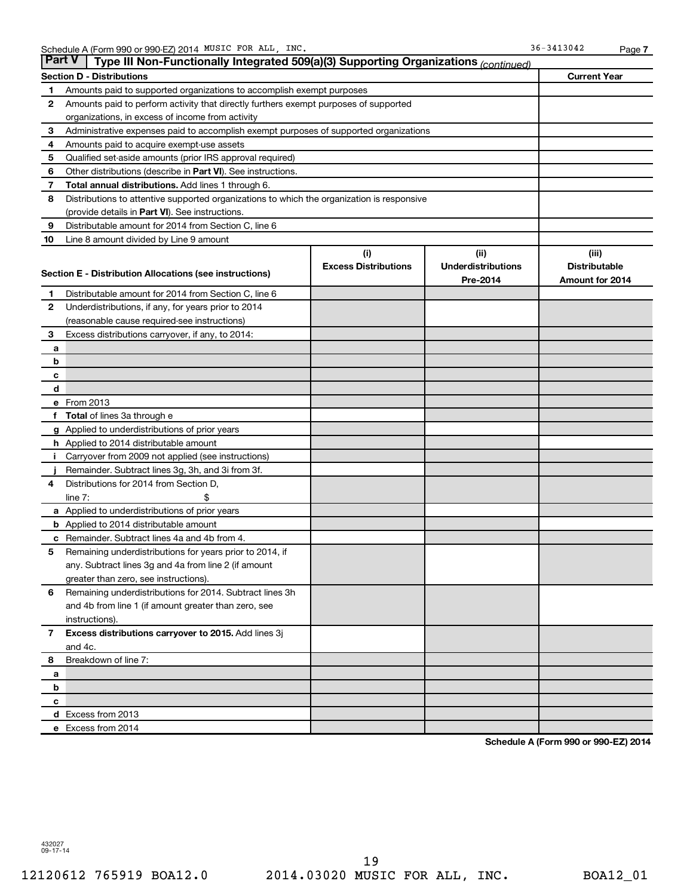| ∣ Part V∣    | Type III Non-Functionally Integrated 509(a)(3) Supporting Organizations (continued)        |                             |                           |                        |
|--------------|--------------------------------------------------------------------------------------------|-----------------------------|---------------------------|------------------------|
|              | <b>Section D - Distributions</b>                                                           |                             |                           | <b>Current Year</b>    |
| 1            | Amounts paid to supported organizations to accomplish exempt purposes                      |                             |                           |                        |
| 2            | Amounts paid to perform activity that directly furthers exempt purposes of supported       |                             |                           |                        |
|              | organizations, in excess of income from activity                                           |                             |                           |                        |
| 3            | Administrative expenses paid to accomplish exempt purposes of supported organizations      |                             |                           |                        |
| 4            | Amounts paid to acquire exempt-use assets                                                  |                             |                           |                        |
| 5            | Qualified set-aside amounts (prior IRS approval required)                                  |                             |                           |                        |
| 6            | Other distributions (describe in Part VI). See instructions.                               |                             |                           |                        |
| 7            | Total annual distributions. Add lines 1 through 6.                                         |                             |                           |                        |
| 8            | Distributions to attentive supported organizations to which the organization is responsive |                             |                           |                        |
|              | (provide details in Part VI). See instructions.                                            |                             |                           |                        |
| 9            | Distributable amount for 2014 from Section C, line 6                                       |                             |                           |                        |
| 10           | Line 8 amount divided by Line 9 amount                                                     |                             |                           |                        |
|              |                                                                                            | (i)                         | (ii)                      | (iii)                  |
|              | Section E - Distribution Allocations (see instructions)                                    | <b>Excess Distributions</b> | <b>Underdistributions</b> | <b>Distributable</b>   |
|              |                                                                                            |                             | Pre-2014                  | <b>Amount for 2014</b> |
| 1.           | Distributable amount for 2014 from Section C, line 6                                       |                             |                           |                        |
| $\mathbf{2}$ | Underdistributions, if any, for years prior to 2014                                        |                             |                           |                        |
|              | (reasonable cause required-see instructions)                                               |                             |                           |                        |
| 3            | Excess distributions carryover, if any, to 2014:                                           |                             |                           |                        |
| a            |                                                                                            |                             |                           |                        |
| b            |                                                                                            |                             |                           |                        |
| с<br>d       |                                                                                            |                             |                           |                        |
|              | e From 2013                                                                                |                             |                           |                        |
|              | f Total of lines 3a through e                                                              |                             |                           |                        |
|              | g Applied to underdistributions of prior years                                             |                             |                           |                        |
|              | <b>h</b> Applied to 2014 distributable amount                                              |                             |                           |                        |
| Î.           | Carryover from 2009 not applied (see instructions)                                         |                             |                           |                        |
|              | Remainder. Subtract lines 3g, 3h, and 3i from 3f.                                          |                             |                           |                        |
| 4            | Distributions for 2014 from Section D,                                                     |                             |                           |                        |
|              | line $7:$<br>\$                                                                            |                             |                           |                        |
|              | a Applied to underdistributions of prior years                                             |                             |                           |                        |
|              | <b>b</b> Applied to 2014 distributable amount                                              |                             |                           |                        |
|              | c Remainder. Subtract lines 4a and 4b from 4.                                              |                             |                           |                        |
| 5            | Remaining underdistributions for years prior to 2014, if                                   |                             |                           |                        |
|              | any. Subtract lines 3g and 4a from line 2 (if amount                                       |                             |                           |                        |
|              | greater than zero, see instructions).                                                      |                             |                           |                        |
| 6            | Remaining underdistributions for 2014. Subtract lines 3h                                   |                             |                           |                        |
|              | and 4b from line 1 (if amount greater than zero, see                                       |                             |                           |                        |
|              | instructions).                                                                             |                             |                           |                        |
| $\mathbf{7}$ | Excess distributions carryover to 2015. Add lines 3j                                       |                             |                           |                        |
|              | and 4c.                                                                                    |                             |                           |                        |
| 8            | Breakdown of line 7:                                                                       |                             |                           |                        |
| a            |                                                                                            |                             |                           |                        |
| b            |                                                                                            |                             |                           |                        |
| c            |                                                                                            |                             |                           |                        |
|              | d Excess from 2013                                                                         |                             |                           |                        |
|              | e Excess from 2014                                                                         |                             |                           |                        |

**Schedule A (Form 990 or 990-EZ) 2014**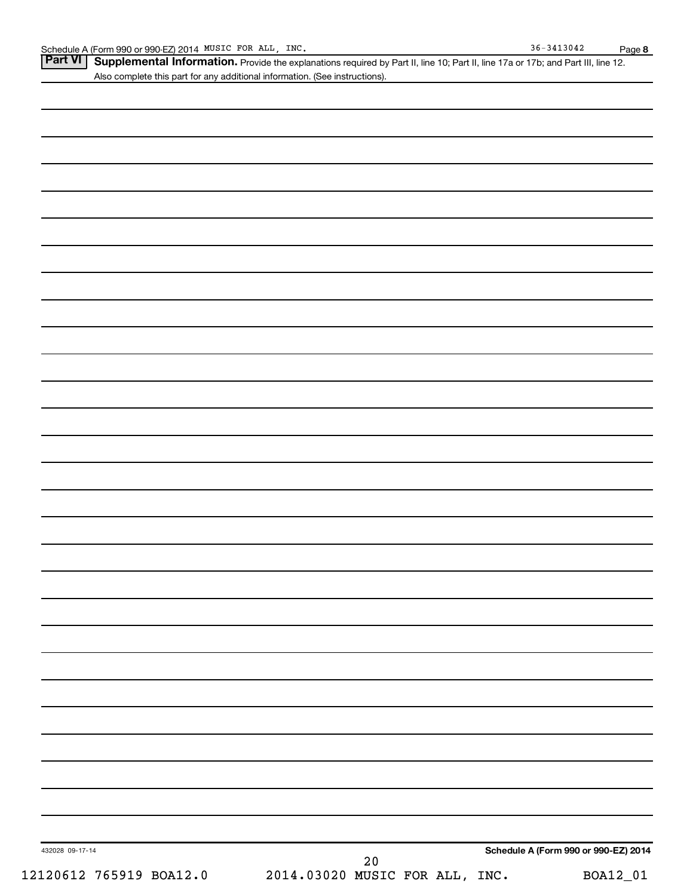Part VI | Supplemental Information. Provide the explanations required by Part II, line 10; Part II, line 17a or 17b; and Part III, line 12. Also complete this part for any additional information. (See instructions).

| 432028 09-17-14         |                                | $2\,0$ |  | Schedule A (Form 990 or 990-EZ) 2014 |
|-------------------------|--------------------------------|--------|--|--------------------------------------|
| 12120612 765919 BOA12.0 | 2014.03020 MUSIC FOR ALL, INC. |        |  | BOA12_01                             |
|                         |                                |        |  |                                      |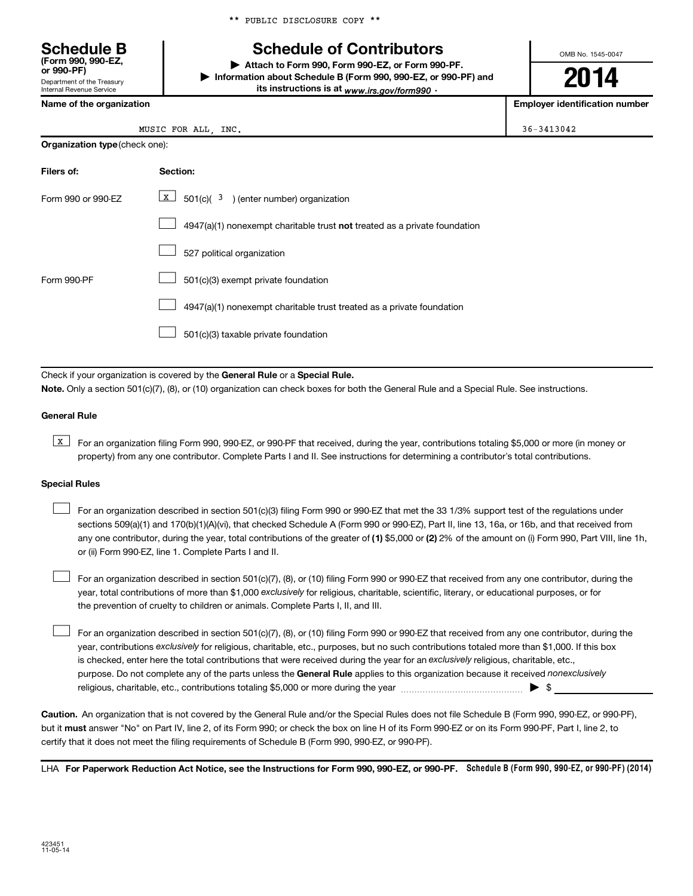\*\* PUBLIC DISCLOSURE COPY \*\*

### **Schedule B Schedule of Contributors**

**or 990-PF) | Attach to Form 990, Form 990-EZ, or Form 990-PF. | Information about Schedule B (Form 990, 990-EZ, or 990-PF) and** its instructions is at <sub>www.irs.gov/form990  $\cdot$ </sub>

OMB No. 1545-0047

**2014**

**Name of the organization Employer identification number**

| Name of the organization |  |
|--------------------------|--|

Department of the Treasury Internal Revenue Service

**(Form 990, 990-EZ,**

| MUSIC FOR ALL | INC. | $36 - 3413042$ |
|---------------|------|----------------|
|               |      |                |

| <b>Organization type (check one):</b> |                                                                                    |  |  |  |
|---------------------------------------|------------------------------------------------------------------------------------|--|--|--|
| Filers of:                            | Section:                                                                           |  |  |  |
| Form 990 or 990-EZ                    | $X \mid$<br>$\frac{1}{2}$ 501(c)( $\frac{3}{2}$ ) (enter number) organization      |  |  |  |
|                                       | $4947(a)(1)$ nonexempt charitable trust <b>not</b> treated as a private foundation |  |  |  |
|                                       | 527 political organization                                                         |  |  |  |
| Form 990-PF                           | 501(c)(3) exempt private foundation                                                |  |  |  |
|                                       | 4947(a)(1) nonexempt charitable trust treated as a private foundation              |  |  |  |
|                                       | 501(c)(3) taxable private foundation                                               |  |  |  |

Check if your organization is covered by the General Rule or a Special Rule.

**Note.**  Only a section 501(c)(7), (8), or (10) organization can check boxes for both the General Rule and a Special Rule. See instructions.

### **General Rule**

**K** For an organization filing Form 990, 990-EZ, or 990-PF that received, during the year, contributions totaling \$5,000 or more (in money or property) from any one contributor. Complete Parts I and II. See instructions for determining a contributor's total contributions.

#### **Special Rules**

 $\Box$ 

any one contributor, during the year, total contributions of the greater of **(1)** \$5,000 or **(2)** 2% of the amount on (i) Form 990, Part VIII, line 1h, For an organization described in section 501(c)(3) filing Form 990 or 990-EZ that met the 33 1/3% support test of the regulations under sections 509(a)(1) and 170(b)(1)(A)(vi), that checked Schedule A (Form 990 or 990-EZ), Part II, line 13, 16a, or 16b, and that received from or (ii) Form 990-EZ, line 1. Complete Parts I and II.  $\Box$ 

year, total contributions of more than \$1,000 *exclusively* for religious, charitable, scientific, literary, or educational purposes, or for For an organization described in section 501(c)(7), (8), or (10) filing Form 990 or 990-EZ that received from any one contributor, during the the prevention of cruelty to children or animals. Complete Parts I, II, and III.  $\Box$ 

purpose. Do not complete any of the parts unless the General Rule applies to this organization because it received nonexclusively year, contributions exclusively for religious, charitable, etc., purposes, but no such contributions totaled more than \$1,000. If this box is checked, enter here the total contributions that were received during the year for an exclusively religious, charitable, etc., For an organization described in section 501(c)(7), (8), or (10) filing Form 990 or 990-EZ that received from any one contributor, during the religious, charitable, etc., contributions totaling \$5,000 or more during the year  $\ldots$  $\ldots$  $\ldots$  $\ldots$  $\ldots$  $\ldots$ 

**Caution.** An organization that is not covered by the General Rule and/or the Special Rules does not file Schedule B (Form 990, 990-EZ, or 990-PF),  **must** but it answer "No" on Part IV, line 2, of its Form 990; or check the box on line H of its Form 990-EZ or on its Form 990-PF, Part I, line 2, to certify that it does not meet the filing requirements of Schedule B (Form 990, 990-EZ, or 990-PF).

LHA For Paperwork Reduction Act Notice, see the Instructions for Form 990, 990-EZ, or 990-PF. Schedule B (Form 990, 990-EZ, or 990-PF) (2014)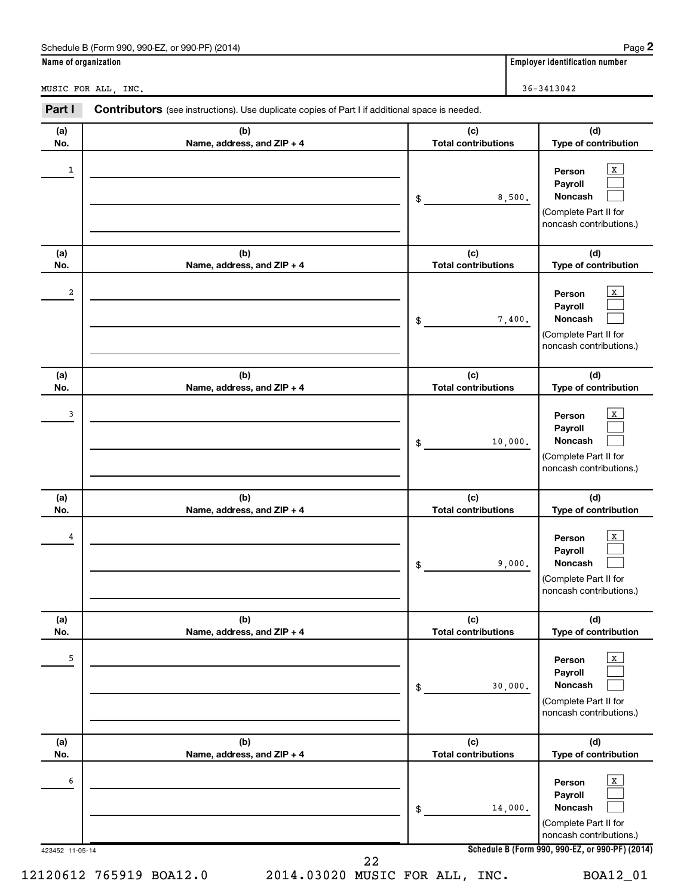|                      | Schedule B (Form 990, 990-EZ, or 990-PF) (2014)                                                       |                                   | Page $2$                                                                                                    |
|----------------------|-------------------------------------------------------------------------------------------------------|-----------------------------------|-------------------------------------------------------------------------------------------------------------|
| Name of organization |                                                                                                       |                                   | <b>Employer identification number</b>                                                                       |
|                      | MUSIC FOR ALL, INC.                                                                                   |                                   | 36-3413042                                                                                                  |
| Part I               | <b>Contributors</b> (see instructions). Use duplicate copies of Part I if additional space is needed. |                                   |                                                                                                             |
| (a)<br>No.           | (b)<br>Name, address, and ZIP + 4                                                                     | (c)<br><b>Total contributions</b> | (d)<br>Type of contribution                                                                                 |
| 1                    |                                                                                                       | \$                                | X<br>Person<br>Payroll<br>Noncash<br>8,500.<br>(Complete Part II for<br>noncash contributions.)             |
| (a)<br>No.           | (b)<br>Name, address, and ZIP + 4                                                                     | (c)<br><b>Total contributions</b> | (d)<br>Type of contribution                                                                                 |
| 2                    |                                                                                                       | \$                                | X<br>Person<br>Payroll<br>Noncash<br>7,400.<br>(Complete Part II for<br>noncash contributions.)             |
| (a)<br>No.           | (b)<br>Name, address, and ZIP + 4                                                                     | (c)<br><b>Total contributions</b> | (d)<br>Type of contribution                                                                                 |
| 3                    |                                                                                                       | \$                                | X<br>Person<br>Payroll<br>Noncash<br>10,000.<br>(Complete Part II for<br>noncash contributions.)            |
| (a)<br>No.           | (b)<br>Name, address, and ZIP + 4                                                                     | (c)<br><b>Total contributions</b> | (d)<br>Type of contribution                                                                                 |
| 4                    |                                                                                                       | \$                                | $\mathbf{x}$<br>Person<br>Payroll<br>Noncash<br>9,000.<br>(Complete Part II for<br>noncash contributions.)  |
| (a)<br>No.           | (b)<br>Name, address, and ZIP + 4                                                                     | (c)<br><b>Total contributions</b> | (d)<br>Type of contribution                                                                                 |
| 5                    |                                                                                                       | \$                                | $\mathbf{X}$<br>Person<br>Payroll<br>Noncash<br>30,000.<br>(Complete Part II for<br>noncash contributions.) |
| (a)<br>No.           | (b)<br>Name, address, and ZIP + 4                                                                     | (c)<br><b>Total contributions</b> | (d)<br>Type of contribution                                                                                 |
| 6                    |                                                                                                       | \$                                | $\mathbf{X}$<br>Person<br>Payroll<br>Noncash<br>14,000.<br>(Complete Part II for<br>noncash contributions.) |
| 423452 11-05-14      |                                                                                                       |                                   | Schedule B (Form 990, 990-EZ, or 990-PF) (2014)                                                             |

22

12120612 765919 BOA12.0 2014.03020 MUSIC FOR ALL, INC. BOA12\_01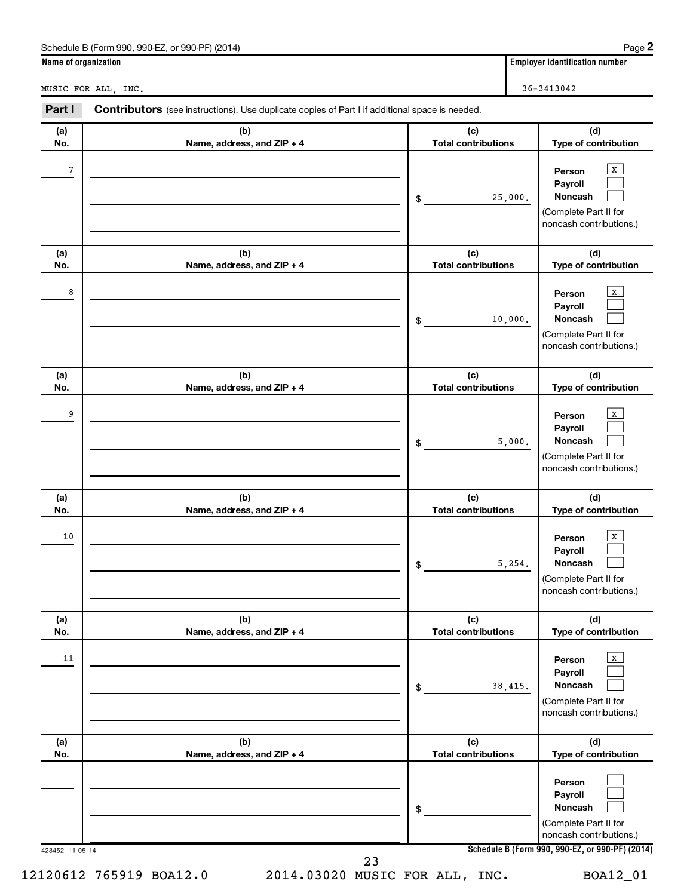|                      | Schedule B (Form 990, 990-EZ, or 990-PF) (2014)                                                |                                   | Page 2                                                                                           |
|----------------------|------------------------------------------------------------------------------------------------|-----------------------------------|--------------------------------------------------------------------------------------------------|
| Name of organization |                                                                                                |                                   | <b>Employer identification number</b>                                                            |
|                      | MUSIC FOR ALL, INC.                                                                            |                                   | 36-3413042                                                                                       |
| Part I               | Contributors (see instructions). Use duplicate copies of Part I if additional space is needed. |                                   |                                                                                                  |
| (a)<br>No.           | (b)<br>Name, address, and ZIP + 4                                                              | (c)<br><b>Total contributions</b> | (d)<br>Type of contribution                                                                      |
| $\overline{7}$       |                                                                                                | 25,000.<br>\$                     | X<br>Person<br>Payroll<br>Noncash<br>(Complete Part II for<br>noncash contributions.)            |
| (a)<br>No.           | (b)<br>Name, address, and ZIP + 4                                                              | (c)<br><b>Total contributions</b> | (d)<br>Type of contribution                                                                      |
| 8                    |                                                                                                | 10,000.<br>\$                     | X<br>Person<br>Payroll<br>Noncash<br>(Complete Part II for<br>noncash contributions.)            |
| (a)<br>No.           | (b)<br>Name, address, and ZIP + 4                                                              | (c)<br><b>Total contributions</b> | (d)<br>Type of contribution                                                                      |
| 9                    |                                                                                                | 5,000.<br>\$                      | x<br>Person<br>Payroll<br>Noncash<br>(Complete Part II for<br>noncash contributions.)            |
| (a)<br>No.           | (b)<br>Name, address, and ZIP + 4                                                              | (c)<br><b>Total contributions</b> | (d)<br>Type of contribution                                                                      |
| 10                   |                                                                                                | 5,254.<br>\$                      | $\mathbf{x}$<br>Person<br>Payroll<br>Noncash<br>(Complete Part II for<br>noncash contributions.) |
| (a)<br>No.           | (b)<br>Name, address, and ZIP + 4                                                              | (c)<br><b>Total contributions</b> | (d)<br>Type of contribution                                                                      |
| 11                   |                                                                                                | 38,415.<br>\$                     | X<br>Person<br>Payroll<br>Noncash<br>(Complete Part II for<br>noncash contributions.)            |
| (a)<br>No.           | (b)<br>Name, address, and ZIP + 4                                                              | (c)<br><b>Total contributions</b> | (d)<br>Type of contribution                                                                      |
|                      |                                                                                                | \$                                | Person<br>Payroll<br>Noncash<br>(Complete Part II for<br>noncash contributions.)                 |

**Schedule B (Form 990, 990-EZ, or 990-PF) (2014)**

12120612 765919 BOA12.0 2014.03020 MUSIC FOR ALL, INC. BOA12\_01

423452 11-05-14

23

**2**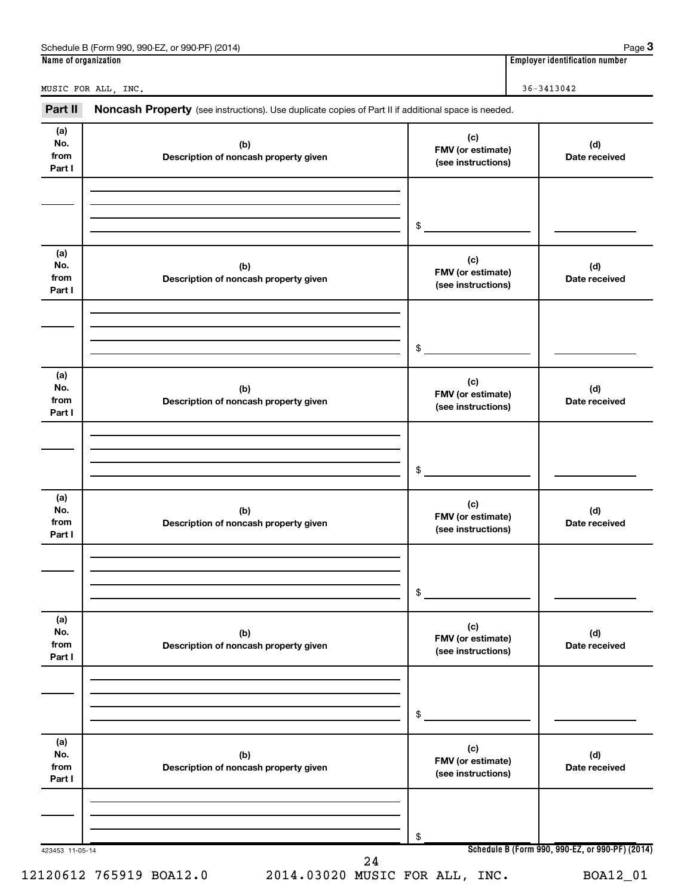| Part II                      | Noncash Property (see instructions). Use duplicate copies of Part II if additional space is needed. |                                                |                      |
|------------------------------|-----------------------------------------------------------------------------------------------------|------------------------------------------------|----------------------|
| (a)<br>No.<br>from<br>Part I | (b)<br>Description of noncash property given                                                        | (c)<br>FMV (or estimate)<br>(see instructions) | (d)<br>Date received |
|                              |                                                                                                     | \$                                             |                      |
| (a)<br>No.<br>from<br>Part I | (b)<br>Description of noncash property given                                                        | (c)<br>FMV (or estimate)<br>(see instructions) | (d)<br>Date received |
|                              |                                                                                                     | \$                                             |                      |
| (a)<br>No.<br>from<br>Part I | (b)<br>Description of noncash property given                                                        | (c)<br>FMV (or estimate)<br>(see instructions) | (d)<br>Date received |
|                              |                                                                                                     | \$                                             |                      |
| (a)<br>No.<br>from<br>Part I | (b)<br>Description of noncash property given                                                        | (c)<br>FMV (or estimate)<br>(see instructions) | (d)<br>Date received |
|                              |                                                                                                     | \$                                             |                      |
| (a)<br>No.<br>from<br>Part I | (b)<br>Description of noncash property given                                                        | (c)<br>FMV (or estimate)<br>(see instructions) | (d)<br>Date received |
|                              |                                                                                                     | \$                                             |                      |
| (a)<br>No.<br>from<br>Part I | (b)<br>Description of noncash property given                                                        | (c)<br>FMV (or estimate)<br>(see instructions) | (d)<br>Date received |
|                              |                                                                                                     | \$                                             |                      |

Schedule B (Form 990, 990-EZ, or 990-PF) (2014)

**3**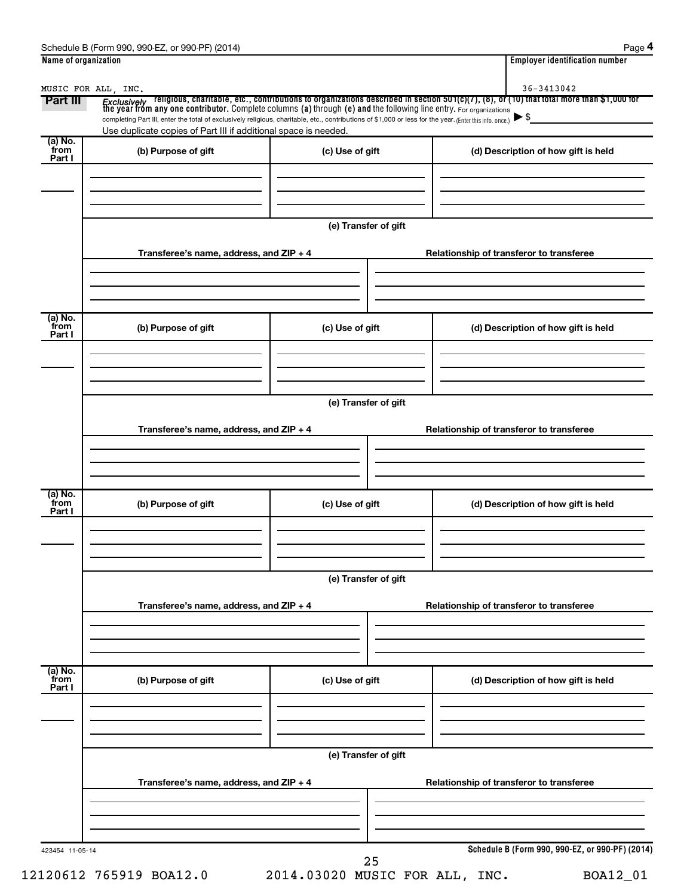| Schedule B<br>990-EZ<br>(2014)<br>. or 990-PF<br>(Form 990) | Paɑe                               |
|-------------------------------------------------------------|------------------------------------|
| Name of organization                                        | <br>Emplover identification number |

|--|--|

| Part III                  | <i>Exclusively</i> religious, charitable, etc., contributions to organizations described in section 501(c)(7), (8), or (10) that total more than \$1,000 for<br>the year from any one contributor. Complete columns (a) through (e) and<br>completing Part III, enter the total of exclusively religious, charitable, etc., contributions of \$1,000 or less for the year. (Enter this info. once.)<br>Use duplicate copies of Part III if additional space is needed. |                      | $\blacktriangleright$ \$                        |
|---------------------------|------------------------------------------------------------------------------------------------------------------------------------------------------------------------------------------------------------------------------------------------------------------------------------------------------------------------------------------------------------------------------------------------------------------------------------------------------------------------|----------------------|-------------------------------------------------|
| (a) No.<br>from<br>Part I | (b) Purpose of gift                                                                                                                                                                                                                                                                                                                                                                                                                                                    | (c) Use of gift      | (d) Description of how gift is held             |
|                           | Transferee's name, address, and ZIP + 4                                                                                                                                                                                                                                                                                                                                                                                                                                | (e) Transfer of gift | Relationship of transferor to transferee        |
| (a) No.<br>from<br>Part I | (b) Purpose of gift                                                                                                                                                                                                                                                                                                                                                                                                                                                    | (c) Use of gift      | (d) Description of how gift is held             |
|                           | Transferee's name, address, and ZIP + 4                                                                                                                                                                                                                                                                                                                                                                                                                                | (e) Transfer of gift | Relationship of transferor to transferee        |
| (a) No.<br>from<br>Part I | (b) Purpose of gift                                                                                                                                                                                                                                                                                                                                                                                                                                                    | (c) Use of gift      | (d) Description of how gift is held             |
|                           | Transferee's name, address, and ZIP + 4                                                                                                                                                                                                                                                                                                                                                                                                                                | (e) Transfer of gift | Relationship of transferor to transferee        |
| (a) No.<br>from<br>Part I | (b) Purpose of gift                                                                                                                                                                                                                                                                                                                                                                                                                                                    | (c) Use of gift      | (d) Description of how gift is held             |
|                           | Transferee's name, address, and ZIP + 4                                                                                                                                                                                                                                                                                                                                                                                                                                | (e) Transfer of gift | Relationship of transferor to transferee        |
|                           |                                                                                                                                                                                                                                                                                                                                                                                                                                                                        |                      | Schedule B (Form 990, 990-EZ, or 990-PF) (2014) |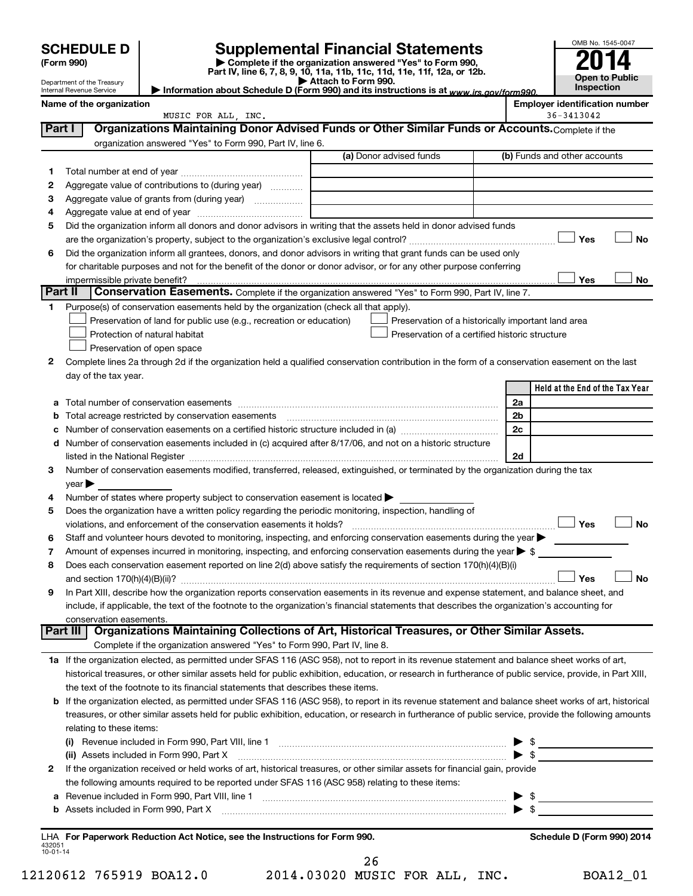Department of the Treasury Internal Revenue Service

| (Form 990) |  |
|------------|--|
|------------|--|

# **SCHEDULE D Supplemental Financial Statements**<br> **Form 990 2014**<br> **Part IV** line 6.7.8.9.10, 11a, 11b, 11d, 11d, 11d, 11d, 11d, 12a, 0r, 12b

**(Form 990) | Complete if the organization answered "Yes" to Form 990, Part IV, line 6, 7, 8, 9, 10, 11a, 11b, 11c, 11d, 11e, 11f, 12a, or 12b.**

| OMB No. 1545-0047     |
|-----------------------|
| 2014                  |
| <b>Open to Public</b> |
| Inspection            |

**| Attach to Form 990. | Information about Schedule D (Form 990) and its instructions is at**  *www.irs.gov/form990.*

|         | Name of the organization                                                                                                                                  |                         | <b>Employer identification number</b><br>36-3413042 |
|---------|-----------------------------------------------------------------------------------------------------------------------------------------------------------|-------------------------|-----------------------------------------------------|
| Part I  | MUSIC FOR ALL, INC.<br>Organizations Maintaining Donor Advised Funds or Other Similar Funds or Accounts. Complete if the                                  |                         |                                                     |
|         | organization answered "Yes" to Form 990, Part IV, line 6.                                                                                                 |                         |                                                     |
|         |                                                                                                                                                           | (a) Donor advised funds | (b) Funds and other accounts                        |
|         |                                                                                                                                                           |                         |                                                     |
| 1       | Aggregate value of contributions to (during year)                                                                                                         |                         |                                                     |
| 2<br>3  | Aggregate value of grants from (during year)                                                                                                              |                         |                                                     |
| 4       |                                                                                                                                                           |                         |                                                     |
| 5       | Did the organization inform all donors and donor advisors in writing that the assets held in donor advised funds                                          |                         |                                                     |
|         |                                                                                                                                                           |                         | <b>No</b><br>Yes                                    |
| 6       | Did the organization inform all grantees, donors, and donor advisors in writing that grant funds can be used only                                         |                         |                                                     |
|         | for charitable purposes and not for the benefit of the donor or donor advisor, or for any other purpose conferring                                        |                         |                                                     |
|         | impermissible private benefit?                                                                                                                            |                         | Yes<br>No                                           |
| Part II | Conservation Easements. Complete if the organization answered "Yes" to Form 990, Part IV, line 7.                                                         |                         |                                                     |
| 1       | Purpose(s) of conservation easements held by the organization (check all that apply).                                                                     |                         |                                                     |
|         | Preservation of land for public use (e.g., recreation or education)                                                                                       |                         | Preservation of a historically important land area  |
|         | Protection of natural habitat                                                                                                                             |                         | Preservation of a certified historic structure      |
|         | Preservation of open space                                                                                                                                |                         |                                                     |
| 2       | Complete lines 2a through 2d if the organization held a qualified conservation contribution in the form of a conservation easement on the last            |                         |                                                     |
|         | day of the tax year.                                                                                                                                      |                         |                                                     |
|         |                                                                                                                                                           |                         | Held at the End of the Tax Year                     |
|         |                                                                                                                                                           |                         | 2a                                                  |
| b       |                                                                                                                                                           |                         | 2b                                                  |
| с       |                                                                                                                                                           |                         | 2c                                                  |
|         | d Number of conservation easements included in (c) acquired after 8/17/06, and not on a historic structure                                                |                         |                                                     |
|         |                                                                                                                                                           |                         | 2d                                                  |
| 3       | Number of conservation easements modified, transferred, released, extinguished, or terminated by the organization during the tax                          |                         |                                                     |
| 4       | $year \triangleright$<br>Number of states where property subject to conservation easement is located >                                                    |                         |                                                     |
| 5       | Does the organization have a written policy regarding the periodic monitoring, inspection, handling of                                                    |                         |                                                     |
|         | violations, and enforcement of the conservation easements it holds?                                                                                       |                         | <b>No</b><br>Yes                                    |
| 6       | Staff and volunteer hours devoted to monitoring, inspecting, and enforcing conservation easements during the year                                         |                         |                                                     |
| 7       | Amount of expenses incurred in monitoring, inspecting, and enforcing conservation easements during the year $\triangleright$ \$                           |                         |                                                     |
| 8       | Does each conservation easement reported on line 2(d) above satisfy the requirements of section 170(h)(4)(B)(i)                                           |                         |                                                     |
|         |                                                                                                                                                           |                         | Yes<br>No                                           |
| 9       | In Part XIII, describe how the organization reports conservation easements in its revenue and expense statement, and balance sheet, and                   |                         |                                                     |
|         | include, if applicable, the text of the footnote to the organization's financial statements that describes the organization's accounting for              |                         |                                                     |
|         | conservation easements.                                                                                                                                   |                         |                                                     |
|         | Organizations Maintaining Collections of Art, Historical Treasures, or Other Similar Assets.<br>Part III                                                  |                         |                                                     |
|         | Complete if the organization answered "Yes" to Form 990, Part IV, line 8.                                                                                 |                         |                                                     |
|         | 1a If the organization elected, as permitted under SFAS 116 (ASC 958), not to report in its revenue statement and balance sheet works of art,             |                         |                                                     |
|         | historical treasures, or other similar assets held for public exhibition, education, or research in furtherance of public service, provide, in Part XIII, |                         |                                                     |
|         | the text of the footnote to its financial statements that describes these items.                                                                          |                         |                                                     |
|         | b If the organization elected, as permitted under SFAS 116 (ASC 958), to report in its revenue statement and balance sheet works of art, historical       |                         |                                                     |
|         | treasures, or other similar assets held for public exhibition, education, or research in furtherance of public service, provide the following amounts     |                         |                                                     |
|         | relating to these items:                                                                                                                                  |                         |                                                     |
|         | (ii) Assets included in Form 990, Part X                                                                                                                  |                         | \$<br>$\blacktriangleright$ \$                      |
| 2       | If the organization received or held works of art, historical treasures, or other similar assets for financial gain, provide                              |                         |                                                     |
|         | the following amounts required to be reported under SFAS 116 (ASC 958) relating to these items:                                                           |                         |                                                     |
| а       |                                                                                                                                                           |                         | $\frac{1}{2}$                                       |
| b       | Assets included in Form 990, Part X                                                                                                                       |                         | $\bullet$ \$                                        |
|         |                                                                                                                                                           |                         |                                                     |

432051 10-01-14 **For Paperwork Reduction Act Notice, see the Instructions for Form 990. Schedule D (Form 990) 2014** LHA 26

12120612 765919 BOA12.0 2014.03020 MUSIC FOR ALL, INC. BOA12\_01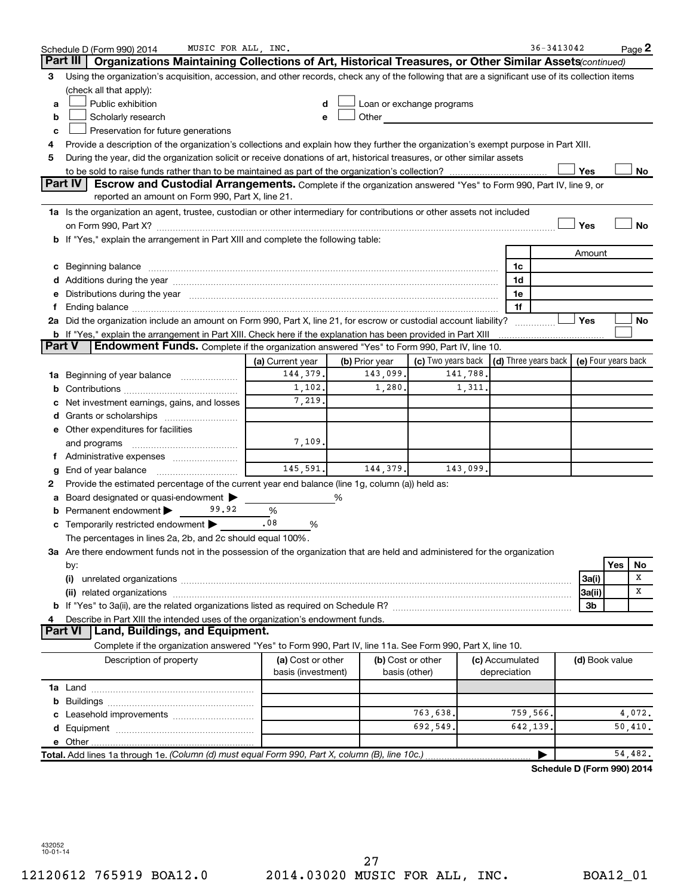|               | MUSIC FOR ALL, INC.<br>Schedule D (Form 990) 2014                                                                                                                                                                              |                                         |                |                            |          |                                                          | 36-3413042                 |                |     | Page 2            |
|---------------|--------------------------------------------------------------------------------------------------------------------------------------------------------------------------------------------------------------------------------|-----------------------------------------|----------------|----------------------------|----------|----------------------------------------------------------|----------------------------|----------------|-----|-------------------|
|               | Part III<br>Organizations Maintaining Collections of Art, Historical Treasures, or Other Similar Assets (continued)                                                                                                            |                                         |                |                            |          |                                                          |                            |                |     |                   |
| 3             | Using the organization's acquisition, accession, and other records, check any of the following that are a significant use of its collection items                                                                              |                                         |                |                            |          |                                                          |                            |                |     |                   |
|               | (check all that apply):                                                                                                                                                                                                        |                                         |                |                            |          |                                                          |                            |                |     |                   |
| a             | Public exhibition                                                                                                                                                                                                              | d                                       |                | Loan or exchange programs  |          |                                                          |                            |                |     |                   |
| b             | Scholarly research                                                                                                                                                                                                             | е                                       |                | Other <b>Communication</b> |          |                                                          |                            |                |     |                   |
| c             | Preservation for future generations                                                                                                                                                                                            |                                         |                |                            |          |                                                          |                            |                |     |                   |
| 4             | Provide a description of the organization's collections and explain how they further the organization's exempt purpose in Part XIII.                                                                                           |                                         |                |                            |          |                                                          |                            |                |     |                   |
| 5             | During the year, did the organization solicit or receive donations of art, historical treasures, or other similar assets                                                                                                       |                                         |                |                            |          |                                                          |                            |                |     |                   |
|               |                                                                                                                                                                                                                                |                                         |                |                            |          |                                                          |                            | Yes            |     | No                |
|               | <b>Part IV</b><br><b>Escrow and Custodial Arrangements.</b> Complete if the organization answered "Yes" to Form 990, Part IV, line 9, or<br>reported an amount on Form 990, Part X, line 21.                                   |                                         |                |                            |          |                                                          |                            |                |     |                   |
|               | 1a Is the organization an agent, trustee, custodian or other intermediary for contributions or other assets not included                                                                                                       |                                         |                |                            |          |                                                          |                            |                |     |                   |
|               |                                                                                                                                                                                                                                |                                         |                |                            |          |                                                          |                            | Yes            |     | No                |
|               | b If "Yes," explain the arrangement in Part XIII and complete the following table:                                                                                                                                             |                                         |                |                            |          |                                                          |                            |                |     |                   |
|               |                                                                                                                                                                                                                                |                                         |                |                            |          |                                                          |                            | Amount         |     |                   |
|               | Beginning balance material continuum contracts and a series of the contract of the contract of the contract of                                                                                                                 |                                         |                |                            |          | 1c                                                       |                            |                |     |                   |
|               | Additions during the year manufactured and an account of the state of the state of the state of the state of the state of the state of the state of the state of the state of the state of the state of the state of the state |                                         |                |                            |          | 1d                                                       |                            |                |     |                   |
|               | Distributions during the year manufactured and an according to the state of the state of the state of the state of the state of the state of the state of the state of the state of the state of the state of the state of the |                                         |                |                            |          | 1e                                                       |                            |                |     |                   |
|               |                                                                                                                                                                                                                                |                                         |                |                            |          | 1f                                                       |                            |                |     |                   |
|               | 2a Did the organization include an amount on Form 990, Part X, line 21, for escrow or custodial account liability?                                                                                                             |                                         |                |                            |          |                                                          |                            | Yes            |     | No                |
|               | <b>b</b> If "Yes," explain the arrangement in Part XIII. Check here if the explanation has been provided in Part XIII                                                                                                          |                                         |                |                            |          |                                                          |                            |                |     |                   |
| <b>Part V</b> | Endowment Funds. Complete if the organization answered "Yes" to Form 990, Part IV, line 10.                                                                                                                                    |                                         |                |                            |          |                                                          |                            |                |     |                   |
|               |                                                                                                                                                                                                                                | (a) Current year                        | (b) Prior year | (c) Two years back         |          | $\vert$ (d) Three years back $\vert$ (e) Four years back |                            |                |     |                   |
| ٦а            | Beginning of year balance                                                                                                                                                                                                      | 144,379.                                | 143,099.       |                            | 141,788. |                                                          |                            |                |     |                   |
| b             |                                                                                                                                                                                                                                | 1,102.                                  | 1,280.         |                            | 1,311.   |                                                          |                            |                |     |                   |
|               | Net investment earnings, gains, and losses                                                                                                                                                                                     | 7,219.                                  |                |                            |          |                                                          |                            |                |     |                   |
|               | Grants or scholarships                                                                                                                                                                                                         |                                         |                |                            |          |                                                          |                            |                |     |                   |
|               | e Other expenditures for facilities                                                                                                                                                                                            |                                         |                |                            |          |                                                          |                            |                |     |                   |
|               | and programs                                                                                                                                                                                                                   | 7,109.                                  |                |                            |          |                                                          |                            |                |     |                   |
|               |                                                                                                                                                                                                                                |                                         |                |                            |          |                                                          |                            |                |     |                   |
|               |                                                                                                                                                                                                                                | 145,591.                                | 144,379.       |                            | 143,099. |                                                          |                            |                |     |                   |
| 2             | Provide the estimated percentage of the current year end balance (line 1g, column (a)) held as:                                                                                                                                |                                         |                |                            |          |                                                          |                            |                |     |                   |
|               | Board designated or quasi-endowment                                                                                                                                                                                            |                                         | %              |                            |          |                                                          |                            |                |     |                   |
| b             | Permanent endowment<br>99.92                                                                                                                                                                                                   | $\%$                                    |                |                            |          |                                                          |                            |                |     |                   |
| с             | Temporarily restricted endowment                                                                                                                                                                                               | .08<br>%                                |                |                            |          |                                                          |                            |                |     |                   |
|               | The percentages in lines 2a, 2b, and 2c should equal 100%.                                                                                                                                                                     |                                         |                |                            |          |                                                          |                            |                |     |                   |
|               | 3a Are there endowment funds not in the possession of the organization that are held and administered for the organization                                                                                                     |                                         |                |                            |          |                                                          |                            |                |     |                   |
|               | by:                                                                                                                                                                                                                            |                                         |                |                            |          |                                                          |                            |                | Yes | No                |
|               | (i)                                                                                                                                                                                                                            |                                         |                |                            |          |                                                          |                            | 3a(i)          |     | х                 |
|               | (ii) related organizations                                                                                                                                                                                                     |                                         |                |                            |          |                                                          |                            | 3a(ii)         |     | х                 |
|               |                                                                                                                                                                                                                                |                                         |                |                            |          |                                                          |                            | Зb             |     |                   |
|               | Describe in Part XIII the intended uses of the organization's endowment funds.                                                                                                                                                 |                                         |                |                            |          |                                                          |                            |                |     |                   |
|               | Land, Buildings, and Equipment.<br>Part VI                                                                                                                                                                                     |                                         |                |                            |          |                                                          |                            |                |     |                   |
|               | Complete if the organization answered "Yes" to Form 990, Part IV, line 11a. See Form 990, Part X, line 10.                                                                                                                     |                                         |                |                            |          |                                                          |                            |                |     |                   |
|               | Description of property                                                                                                                                                                                                        | (a) Cost or other<br>basis (investment) |                | (b) Cost or other          |          | (c) Accumulated                                          |                            | (d) Book value |     |                   |
|               |                                                                                                                                                                                                                                |                                         |                | basis (other)              |          | depreciation                                             |                            |                |     |                   |
|               |                                                                                                                                                                                                                                |                                         |                |                            |          |                                                          |                            |                |     |                   |
| b             |                                                                                                                                                                                                                                |                                         |                | 763,638.                   |          |                                                          |                            |                |     |                   |
|               |                                                                                                                                                                                                                                |                                         |                | 692,549.                   |          | 759,566.<br>642,139                                      |                            |                |     | 4,072.<br>50,410. |
|               |                                                                                                                                                                                                                                |                                         |                |                            |          |                                                          |                            |                |     |                   |
|               | Total. Add lines 1a through 1e. (Column (d) must equal Form 990, Part X, column (B), line 10c.)                                                                                                                                |                                         |                |                            |          |                                                          |                            |                |     | 54,482.           |
|               |                                                                                                                                                                                                                                |                                         |                |                            |          |                                                          | Schedule D (Form 990) 2014 |                |     |                   |
|               |                                                                                                                                                                                                                                |                                         |                |                            |          |                                                          |                            |                |     |                   |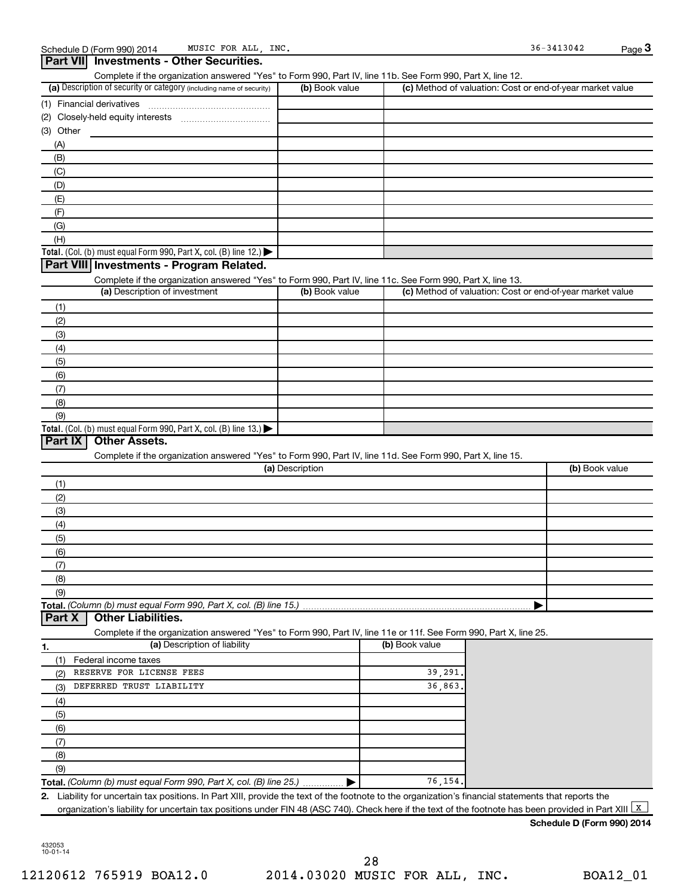| (a) Description of security or category (including name of security)                                                                                                                              | Complete if the organization answered "Yes" to Form 990, Part IV, line 11b. See Form 990, Part X, line 12.<br>(b) Book value |                |         | (c) Method of valuation: Cost or end-of-year market value |
|---------------------------------------------------------------------------------------------------------------------------------------------------------------------------------------------------|------------------------------------------------------------------------------------------------------------------------------|----------------|---------|-----------------------------------------------------------|
|                                                                                                                                                                                                   |                                                                                                                              |                |         |                                                           |
|                                                                                                                                                                                                   |                                                                                                                              |                |         |                                                           |
| (2)                                                                                                                                                                                               |                                                                                                                              |                |         |                                                           |
| (3) Other                                                                                                                                                                                         |                                                                                                                              |                |         |                                                           |
| (A)                                                                                                                                                                                               |                                                                                                                              |                |         |                                                           |
| (B)                                                                                                                                                                                               |                                                                                                                              |                |         |                                                           |
| (C)                                                                                                                                                                                               |                                                                                                                              |                |         |                                                           |
| (D)                                                                                                                                                                                               |                                                                                                                              |                |         |                                                           |
| (E)                                                                                                                                                                                               |                                                                                                                              |                |         |                                                           |
| (F)                                                                                                                                                                                               |                                                                                                                              |                |         |                                                           |
| (G)                                                                                                                                                                                               |                                                                                                                              |                |         |                                                           |
| (H)                                                                                                                                                                                               |                                                                                                                              |                |         |                                                           |
| Total. (Col. (b) must equal Form 990, Part X, col. (B) line 12.)                                                                                                                                  |                                                                                                                              |                |         |                                                           |
| Part VIII Investments - Program Related.                                                                                                                                                          |                                                                                                                              |                |         |                                                           |
|                                                                                                                                                                                                   |                                                                                                                              |                |         |                                                           |
| Complete if the organization answered "Yes" to Form 990, Part IV, line 11c. See Form 990, Part X, line 13.<br>(a) Description of investment                                                       | (b) Book value                                                                                                               |                |         | (c) Method of valuation: Cost or end-of-year market value |
|                                                                                                                                                                                                   |                                                                                                                              |                |         |                                                           |
| (1)                                                                                                                                                                                               |                                                                                                                              |                |         |                                                           |
| (2)                                                                                                                                                                                               |                                                                                                                              |                |         |                                                           |
| (3)                                                                                                                                                                                               |                                                                                                                              |                |         |                                                           |
| (4)                                                                                                                                                                                               |                                                                                                                              |                |         |                                                           |
| (5)                                                                                                                                                                                               |                                                                                                                              |                |         |                                                           |
| (6)                                                                                                                                                                                               |                                                                                                                              |                |         |                                                           |
| (7)                                                                                                                                                                                               |                                                                                                                              |                |         |                                                           |
| (8)                                                                                                                                                                                               |                                                                                                                              |                |         |                                                           |
| (9)                                                                                                                                                                                               |                                                                                                                              |                |         |                                                           |
|                                                                                                                                                                                                   |                                                                                                                              |                |         |                                                           |
|                                                                                                                                                                                                   |                                                                                                                              |                |         |                                                           |
| <b>Other Assets.</b><br>Complete if the organization answered "Yes" to Form 990, Part IV, line 11d. See Form 990, Part X, line 15.                                                                |                                                                                                                              |                |         |                                                           |
|                                                                                                                                                                                                   | (a) Description                                                                                                              |                |         | (b) Book value                                            |
| (1)                                                                                                                                                                                               |                                                                                                                              |                |         |                                                           |
| Total. (Col. (b) must equal Form 990, Part X, col. (B) line 13.) $\blacktriangleright$<br>Part IX<br>(2)                                                                                          |                                                                                                                              |                |         |                                                           |
| (3)                                                                                                                                                                                               |                                                                                                                              |                |         |                                                           |
| (4)                                                                                                                                                                                               |                                                                                                                              |                |         |                                                           |
| (5)                                                                                                                                                                                               |                                                                                                                              |                |         |                                                           |
| (6)                                                                                                                                                                                               |                                                                                                                              |                |         |                                                           |
| (7)                                                                                                                                                                                               |                                                                                                                              |                |         |                                                           |
| (8)                                                                                                                                                                                               |                                                                                                                              |                |         |                                                           |
| (9)                                                                                                                                                                                               |                                                                                                                              |                |         |                                                           |
| <b>Other Liabilities.</b>                                                                                                                                                                         |                                                                                                                              |                |         |                                                           |
| Total. (Column (b) must equal Form 990, Part X, col. (B) line 15.)<br>Part X<br>Complete if the organization answered "Yes" to Form 990, Part IV, line 11e or 11f. See Form 990, Part X, line 25. |                                                                                                                              |                |         |                                                           |
| (a) Description of liability                                                                                                                                                                      |                                                                                                                              | (b) Book value |         |                                                           |
| 1.<br>Federal income taxes<br>(1)                                                                                                                                                                 |                                                                                                                              |                |         |                                                           |
| RESERVE FOR LICENSE FEES<br>(2)                                                                                                                                                                   |                                                                                                                              |                | 39,291. |                                                           |
| DEFERRED TRUST LIABILITY<br>(3)                                                                                                                                                                   |                                                                                                                              |                | 36,863. |                                                           |
|                                                                                                                                                                                                   |                                                                                                                              |                |         |                                                           |
| (4)                                                                                                                                                                                               |                                                                                                                              |                |         |                                                           |
| (5)                                                                                                                                                                                               |                                                                                                                              |                |         |                                                           |
| (6)                                                                                                                                                                                               |                                                                                                                              |                |         |                                                           |
| (7)                                                                                                                                                                                               |                                                                                                                              |                |         |                                                           |
| (8)                                                                                                                                                                                               |                                                                                                                              |                |         |                                                           |
| (9)<br>Total. (Column (b) must equal Form 990, Part X, col. (B) line 25.)  ▶                                                                                                                      |                                                                                                                              |                | 76,154. |                                                           |

### **Schedule D (Form 990) 2014**

432053 10-01-14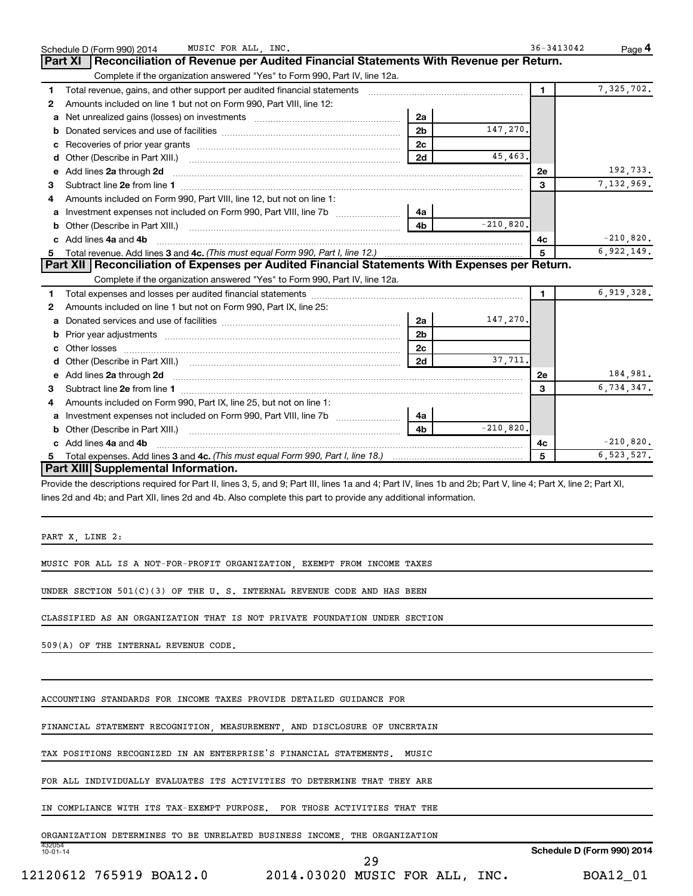| Reconciliation of Revenue per Audited Financial Statements With Revenue per Return.<br><b>Part XI</b><br>Complete if the organization answered "Yes" to Form 990, Part IV, line 12a.<br>Total revenue, gains, and other support per audited financial statements [[[[[[[[[[[[[[[[[[[[[[]]]]]]]]]]]]]]<br>Amounts included on line 1 but not on Form 990, Part VIII, line 12:<br>а |                |             |                |             |
|-----------------------------------------------------------------------------------------------------------------------------------------------------------------------------------------------------------------------------------------------------------------------------------------------------------------------------------------------------------------------------------|----------------|-------------|----------------|-------------|
|                                                                                                                                                                                                                                                                                                                                                                                   |                |             |                |             |
|                                                                                                                                                                                                                                                                                                                                                                                   |                |             |                |             |
|                                                                                                                                                                                                                                                                                                                                                                                   |                |             | $\blacksquare$ | 7,325,702.  |
|                                                                                                                                                                                                                                                                                                                                                                                   |                |             |                |             |
|                                                                                                                                                                                                                                                                                                                                                                                   | 2a             |             |                |             |
| b                                                                                                                                                                                                                                                                                                                                                                                 | 2 <sub>b</sub> | 147,270.    |                |             |
| с                                                                                                                                                                                                                                                                                                                                                                                 | 2c             |             |                |             |
| d                                                                                                                                                                                                                                                                                                                                                                                 | 2d             | 45,463.     |                |             |
| Add lines 2a through 2d<br>е                                                                                                                                                                                                                                                                                                                                                      |                |             | 2e             | 192,733.    |
|                                                                                                                                                                                                                                                                                                                                                                                   |                |             | 3              | 7,132,969.  |
| Amounts included on Form 990, Part VIII, line 12, but not on line 1:                                                                                                                                                                                                                                                                                                              |                |             |                |             |
| Investment expenses not included on Form 990, Part VIII, line 7b<br>а                                                                                                                                                                                                                                                                                                             | 4a             |             |                |             |
| b                                                                                                                                                                                                                                                                                                                                                                                 | 4 <sub>h</sub> | $-210.820.$ |                |             |
| c Add lines 4a and 4b                                                                                                                                                                                                                                                                                                                                                             |                |             | 4с             | $-210,820.$ |
| 5.                                                                                                                                                                                                                                                                                                                                                                                |                |             | 5              | 6,922,149.  |
| Part XII   Reconciliation of Expenses per Audited Financial Statements With Expenses per Return.                                                                                                                                                                                                                                                                                  |                |             |                |             |
| Complete if the organization answered "Yes" to Form 990, Part IV, line 12a.                                                                                                                                                                                                                                                                                                       |                |             |                |             |
|                                                                                                                                                                                                                                                                                                                                                                                   |                |             | $\mathbf{1}$   | 6,919,328.  |
| Amounts included on line 1 but not on Form 990, Part IX, line 25:                                                                                                                                                                                                                                                                                                                 |                |             |                |             |
| a                                                                                                                                                                                                                                                                                                                                                                                 | 2a             | 147,270.    |                |             |
| b                                                                                                                                                                                                                                                                                                                                                                                 | 2 <sub>b</sub> |             |                |             |
|                                                                                                                                                                                                                                                                                                                                                                                   | 2c             |             |                |             |
| d                                                                                                                                                                                                                                                                                                                                                                                 | 2d             | 37,711.     |                |             |
| Add lines 2a through 2d <b>contract and a contract and a contract a</b> contract a contract and a contract a contract a<br>е                                                                                                                                                                                                                                                      |                |             | 2е             | 184,981.    |
|                                                                                                                                                                                                                                                                                                                                                                                   |                |             | 3              | 6,734,347.  |
| Amounts included on Form 990, Part IX, line 25, but not on line 1:                                                                                                                                                                                                                                                                                                                |                |             |                |             |
| a                                                                                                                                                                                                                                                                                                                                                                                 | 4a             |             |                |             |
| b                                                                                                                                                                                                                                                                                                                                                                                 | 4b             | $-210.820.$ |                |             |
| c Add lines 4a and 4b                                                                                                                                                                                                                                                                                                                                                             |                |             | 4c             | $-210,820.$ |
|                                                                                                                                                                                                                                                                                                                                                                                   |                |             | 5              | 6,523,527.  |
| Part XIII Supplemental Information.                                                                                                                                                                                                                                                                                                                                               |                |             |                |             |
| Provide the descriptions required for Part II, lines 3, 5, and 9; Part III, lines 1a and 4; Part IV, lines 1b and 2b; Part V, line 4; Part X, line 2; Part XI,                                                                                                                                                                                                                    |                |             |                |             |
| lines 2d and 4b; and Part XII, lines 2d and 4b. Also complete this part to provide any additional information.                                                                                                                                                                                                                                                                    |                |             |                |             |
|                                                                                                                                                                                                                                                                                                                                                                                   |                |             |                |             |

PART X, LINE 2:

MUSIC FOR ALL IS A NOT-FOR-PROFIT ORGANIZATION, EXEMPT FROM INCOME TAXES

UNDER SECTION 501(C)(3) OF THE U. S. INTERNAL REVENUE CODE AND HAS BEEN

CLASSIFIED AS AN ORGANIZATION THAT IS NOT PRIVATE FOUNDATION UNDER SECTION

509(A) OF THE INTERNAL REVENUE CODE.

ACCOUNTING STANDARDS FOR INCOME TAXES PROVIDE DETAILED GUIDANCE FOR

FINANCIAL STATEMENT RECOGNITION, MEASUREMENT, AND DISCLOSURE OF UNCERTAIN

TAX POSITIONS RECOGNIZED IN AN ENTERPRISE'S FINANCIAL STATEMENTS. MUSIC

FOR ALL INDIVIDUALLY EVALUATES ITS ACTIVITIES TO DETERMINE THAT THEY ARE

IN COMPLIANCE WITH ITS TAX-EXEMPT PURPOSE. FOR THOSE ACTIVITIES THAT THE

ORGANIZATION DETERMINES TO BE UNRELATED BUSINESS INCOME, THE ORGANIZATION

432054 10-01-14

**Schedule D (Form 990) 2014**

12120612 765919 BOA12.0 2014.03020 MUSIC FOR ALL, INC. BOA12\_01 29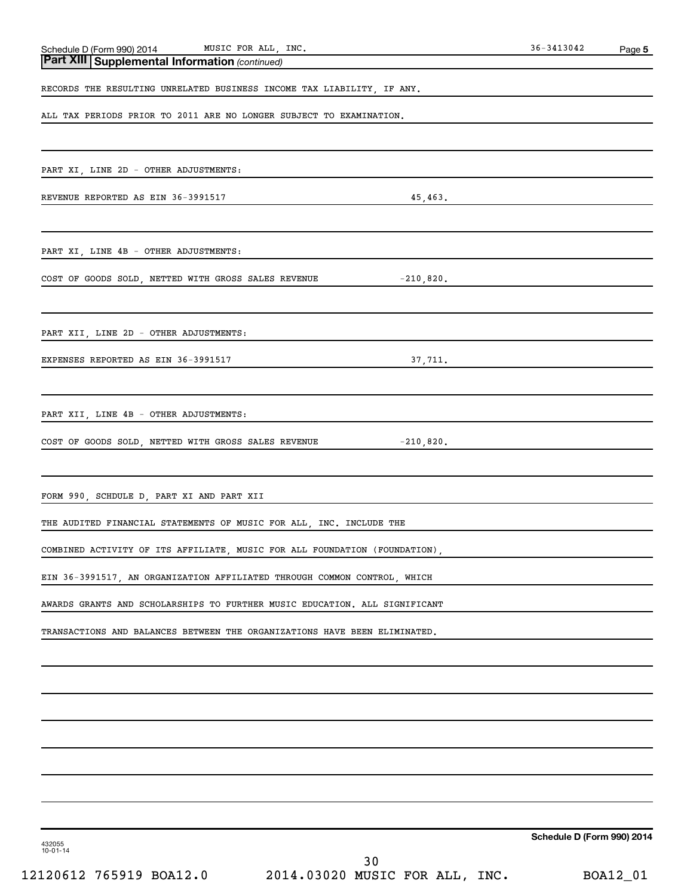| Schedule D (Form 990) 2014 MUSIC FOR ALL, INC.<br><b>Part XIII Supplemental Information</b> (continued)<br>RECORDS THE RESULTING UNRELATED BUSINESS INCOME TAX LIABILITY, IF ANY.<br>ALL TAX PERIODS PRIOR TO 2011 ARE NO LONGER SUBJECT TO EXAMINATION.<br>PART XI, LINE 2D - OTHER ADJUSTMENTS:<br>REVENUE REPORTED AS EIN 36-3991517<br>45,463.<br>PART XI, LINE 4B - OTHER ADJUSTMENTS:<br>COST OF GOODS SOLD, NETTED WITH GROSS SALES REVENUE $-210,820$ .<br>PART XII, LINE 2D - OTHER ADJUSTMENTS:<br><u> 1989 - Johann John Stein, mars ar breist fan de Fryske kommunenter oantal fan de Fryske kommunenter oantal f</u><br>EXPENSES REPORTED AS EIN 36-3991517<br>37,711.<br>PART XII, LINE 4B - OTHER ADJUSTMENTS:<br>COST OF GOODS SOLD, NETTED WITH GROSS SALES REVENUE $-210,820$ .<br>FORM 990, SCHDULE D, PART XI AND PART XII<br>THE AUDITED FINANCIAL STATEMENTS OF MUSIC FOR ALL, INC. INCLUDE THE<br>COMBINED ACTIVITY OF ITS AFFILIATE, MUSIC FOR ALL FOUNDATION (FOUNDATION),<br>EIN 36-3991517, AN ORGANIZATION AFFILIATED THROUGH COMMON CONTROL, WHICH<br>AWARDS GRANTS AND SCHOLARSHIPS TO FURTHER MUSIC EDUCATION. ALL SIGNIFICANT<br>TRANSACTIONS AND BALANCES BETWEEN THE ORGANIZATIONS HAVE BEEN ELIMINATED. | 36-3413042 | Page 5 |
|--------------------------------------------------------------------------------------------------------------------------------------------------------------------------------------------------------------------------------------------------------------------------------------------------------------------------------------------------------------------------------------------------------------------------------------------------------------------------------------------------------------------------------------------------------------------------------------------------------------------------------------------------------------------------------------------------------------------------------------------------------------------------------------------------------------------------------------------------------------------------------------------------------------------------------------------------------------------------------------------------------------------------------------------------------------------------------------------------------------------------------------------------------------------------------------------------------------------------------------------|------------|--------|
|                                                                                                                                                                                                                                                                                                                                                                                                                                                                                                                                                                                                                                                                                                                                                                                                                                                                                                                                                                                                                                                                                                                                                                                                                                            |            |        |
|                                                                                                                                                                                                                                                                                                                                                                                                                                                                                                                                                                                                                                                                                                                                                                                                                                                                                                                                                                                                                                                                                                                                                                                                                                            |            |        |
|                                                                                                                                                                                                                                                                                                                                                                                                                                                                                                                                                                                                                                                                                                                                                                                                                                                                                                                                                                                                                                                                                                                                                                                                                                            |            |        |
|                                                                                                                                                                                                                                                                                                                                                                                                                                                                                                                                                                                                                                                                                                                                                                                                                                                                                                                                                                                                                                                                                                                                                                                                                                            |            |        |
|                                                                                                                                                                                                                                                                                                                                                                                                                                                                                                                                                                                                                                                                                                                                                                                                                                                                                                                                                                                                                                                                                                                                                                                                                                            |            |        |
|                                                                                                                                                                                                                                                                                                                                                                                                                                                                                                                                                                                                                                                                                                                                                                                                                                                                                                                                                                                                                                                                                                                                                                                                                                            |            |        |
|                                                                                                                                                                                                                                                                                                                                                                                                                                                                                                                                                                                                                                                                                                                                                                                                                                                                                                                                                                                                                                                                                                                                                                                                                                            |            |        |
|                                                                                                                                                                                                                                                                                                                                                                                                                                                                                                                                                                                                                                                                                                                                                                                                                                                                                                                                                                                                                                                                                                                                                                                                                                            |            |        |
|                                                                                                                                                                                                                                                                                                                                                                                                                                                                                                                                                                                                                                                                                                                                                                                                                                                                                                                                                                                                                                                                                                                                                                                                                                            |            |        |
|                                                                                                                                                                                                                                                                                                                                                                                                                                                                                                                                                                                                                                                                                                                                                                                                                                                                                                                                                                                                                                                                                                                                                                                                                                            |            |        |
|                                                                                                                                                                                                                                                                                                                                                                                                                                                                                                                                                                                                                                                                                                                                                                                                                                                                                                                                                                                                                                                                                                                                                                                                                                            |            |        |
|                                                                                                                                                                                                                                                                                                                                                                                                                                                                                                                                                                                                                                                                                                                                                                                                                                                                                                                                                                                                                                                                                                                                                                                                                                            |            |        |
|                                                                                                                                                                                                                                                                                                                                                                                                                                                                                                                                                                                                                                                                                                                                                                                                                                                                                                                                                                                                                                                                                                                                                                                                                                            |            |        |
|                                                                                                                                                                                                                                                                                                                                                                                                                                                                                                                                                                                                                                                                                                                                                                                                                                                                                                                                                                                                                                                                                                                                                                                                                                            |            |        |
|                                                                                                                                                                                                                                                                                                                                                                                                                                                                                                                                                                                                                                                                                                                                                                                                                                                                                                                                                                                                                                                                                                                                                                                                                                            |            |        |
|                                                                                                                                                                                                                                                                                                                                                                                                                                                                                                                                                                                                                                                                                                                                                                                                                                                                                                                                                                                                                                                                                                                                                                                                                                            |            |        |
|                                                                                                                                                                                                                                                                                                                                                                                                                                                                                                                                                                                                                                                                                                                                                                                                                                                                                                                                                                                                                                                                                                                                                                                                                                            |            |        |
|                                                                                                                                                                                                                                                                                                                                                                                                                                                                                                                                                                                                                                                                                                                                                                                                                                                                                                                                                                                                                                                                                                                                                                                                                                            |            |        |
|                                                                                                                                                                                                                                                                                                                                                                                                                                                                                                                                                                                                                                                                                                                                                                                                                                                                                                                                                                                                                                                                                                                                                                                                                                            |            |        |
|                                                                                                                                                                                                                                                                                                                                                                                                                                                                                                                                                                                                                                                                                                                                                                                                                                                                                                                                                                                                                                                                                                                                                                                                                                            |            |        |
|                                                                                                                                                                                                                                                                                                                                                                                                                                                                                                                                                                                                                                                                                                                                                                                                                                                                                                                                                                                                                                                                                                                                                                                                                                            |            |        |
|                                                                                                                                                                                                                                                                                                                                                                                                                                                                                                                                                                                                                                                                                                                                                                                                                                                                                                                                                                                                                                                                                                                                                                                                                                            |            |        |
|                                                                                                                                                                                                                                                                                                                                                                                                                                                                                                                                                                                                                                                                                                                                                                                                                                                                                                                                                                                                                                                                                                                                                                                                                                            |            |        |
|                                                                                                                                                                                                                                                                                                                                                                                                                                                                                                                                                                                                                                                                                                                                                                                                                                                                                                                                                                                                                                                                                                                                                                                                                                            |            |        |
|                                                                                                                                                                                                                                                                                                                                                                                                                                                                                                                                                                                                                                                                                                                                                                                                                                                                                                                                                                                                                                                                                                                                                                                                                                            |            |        |
|                                                                                                                                                                                                                                                                                                                                                                                                                                                                                                                                                                                                                                                                                                                                                                                                                                                                                                                                                                                                                                                                                                                                                                                                                                            |            |        |
|                                                                                                                                                                                                                                                                                                                                                                                                                                                                                                                                                                                                                                                                                                                                                                                                                                                                                                                                                                                                                                                                                                                                                                                                                                            |            |        |
|                                                                                                                                                                                                                                                                                                                                                                                                                                                                                                                                                                                                                                                                                                                                                                                                                                                                                                                                                                                                                                                                                                                                                                                                                                            |            |        |
|                                                                                                                                                                                                                                                                                                                                                                                                                                                                                                                                                                                                                                                                                                                                                                                                                                                                                                                                                                                                                                                                                                                                                                                                                                            |            |        |
|                                                                                                                                                                                                                                                                                                                                                                                                                                                                                                                                                                                                                                                                                                                                                                                                                                                                                                                                                                                                                                                                                                                                                                                                                                            |            |        |
|                                                                                                                                                                                                                                                                                                                                                                                                                                                                                                                                                                                                                                                                                                                                                                                                                                                                                                                                                                                                                                                                                                                                                                                                                                            |            |        |
|                                                                                                                                                                                                                                                                                                                                                                                                                                                                                                                                                                                                                                                                                                                                                                                                                                                                                                                                                                                                                                                                                                                                                                                                                                            |            |        |
|                                                                                                                                                                                                                                                                                                                                                                                                                                                                                                                                                                                                                                                                                                                                                                                                                                                                                                                                                                                                                                                                                                                                                                                                                                            |            |        |
|                                                                                                                                                                                                                                                                                                                                                                                                                                                                                                                                                                                                                                                                                                                                                                                                                                                                                                                                                                                                                                                                                                                                                                                                                                            |            |        |
|                                                                                                                                                                                                                                                                                                                                                                                                                                                                                                                                                                                                                                                                                                                                                                                                                                                                                                                                                                                                                                                                                                                                                                                                                                            |            |        |

**Schedule D (Form 990) 2014**

432055 10-01-14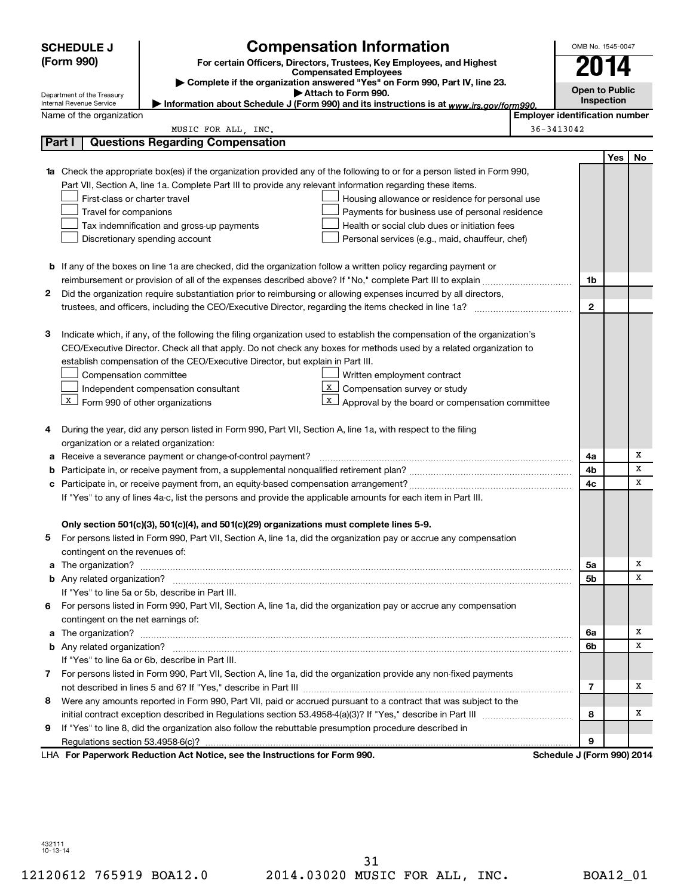|              | <b>Compensation Information</b><br><b>SCHEDULE J</b>                                                                                                                                                                                 |                                       | OMB No. 1545-0047     |            |    |
|--------------|--------------------------------------------------------------------------------------------------------------------------------------------------------------------------------------------------------------------------------------|---------------------------------------|-----------------------|------------|----|
|              | (Form 990)<br>For certain Officers, Directors, Trustees, Key Employees, and Highest                                                                                                                                                  |                                       |                       | 74         |    |
|              | <b>Compensated Employees</b><br>Complete if the organization answered "Yes" on Form 990, Part IV, line 23.                                                                                                                           |                                       |                       |            |    |
|              | Attach to Form 990.<br>Department of the Treasury                                                                                                                                                                                    |                                       | <b>Open to Public</b> |            |    |
|              | Information about Schedule J (Form 990) and its instructions is at www.irs.gov/form990.<br>Internal Revenue Service                                                                                                                  |                                       |                       | Inspection |    |
|              | Name of the organization                                                                                                                                                                                                             | <b>Employer identification number</b> |                       |            |    |
| Part I       | MUSIC FOR ALL, INC.<br><b>Questions Regarding Compensation</b>                                                                                                                                                                       | 36-3413042                            |                       |            |    |
|              |                                                                                                                                                                                                                                      |                                       |                       | Yes        | No |
|              |                                                                                                                                                                                                                                      |                                       |                       |            |    |
| 1a           | Check the appropriate box(es) if the organization provided any of the following to or for a person listed in Form 990,<br>Part VII, Section A, line 1a. Complete Part III to provide any relevant information regarding these items. |                                       |                       |            |    |
|              | First-class or charter travel<br>Housing allowance or residence for personal use                                                                                                                                                     |                                       |                       |            |    |
|              | Travel for companions<br>Payments for business use of personal residence                                                                                                                                                             |                                       |                       |            |    |
|              | Health or social club dues or initiation fees<br>Tax indemnification and gross-up payments                                                                                                                                           |                                       |                       |            |    |
|              | Discretionary spending account<br>Personal services (e.g., maid, chauffeur, chef)                                                                                                                                                    |                                       |                       |            |    |
|              |                                                                                                                                                                                                                                      |                                       |                       |            |    |
|              | b If any of the boxes on line 1a are checked, did the organization follow a written policy regarding payment or                                                                                                                      |                                       |                       |            |    |
|              |                                                                                                                                                                                                                                      |                                       | 1b                    |            |    |
| 2            | Did the organization require substantiation prior to reimbursing or allowing expenses incurred by all directors,                                                                                                                     |                                       |                       |            |    |
|              |                                                                                                                                                                                                                                      |                                       | $\mathbf{2}$          |            |    |
|              |                                                                                                                                                                                                                                      |                                       |                       |            |    |
| З            | Indicate which, if any, of the following the filing organization used to establish the compensation of the organization's                                                                                                            |                                       |                       |            |    |
|              | CEO/Executive Director. Check all that apply. Do not check any boxes for methods used by a related organization to                                                                                                                   |                                       |                       |            |    |
|              | establish compensation of the CEO/Executive Director, but explain in Part III.                                                                                                                                                       |                                       |                       |            |    |
|              | Compensation committee<br>Written employment contract                                                                                                                                                                                |                                       |                       |            |    |
|              | $\mathbf{x}$<br>Compensation survey or study<br>Independent compensation consultant                                                                                                                                                  |                                       |                       |            |    |
|              | $\mathbf{X}$<br>$\boxed{\text{x}}$ Form 990 of other organizations<br>Approval by the board or compensation committee                                                                                                                |                                       |                       |            |    |
|              |                                                                                                                                                                                                                                      |                                       |                       |            |    |
| 4            | During the year, did any person listed in Form 990, Part VII, Section A, line 1a, with respect to the filing                                                                                                                         |                                       |                       |            |    |
|              | organization or a related organization:                                                                                                                                                                                              |                                       |                       |            |    |
| а            | Receive a severance payment or change-of-control payment?                                                                                                                                                                            |                                       | 4a                    |            | х  |
| b            |                                                                                                                                                                                                                                      |                                       | 4b                    |            | x  |
| с            |                                                                                                                                                                                                                                      |                                       | 4c                    |            | X  |
|              | If "Yes" to any of lines 4a-c, list the persons and provide the applicable amounts for each item in Part III.                                                                                                                        |                                       |                       |            |    |
|              |                                                                                                                                                                                                                                      |                                       |                       |            |    |
|              | Only section 501(c)(3), 501(c)(4), and 501(c)(29) organizations must complete lines 5-9.                                                                                                                                             |                                       |                       |            |    |
|              | For persons listed in Form 990, Part VII, Section A, line 1a, did the organization pay or accrue any compensation                                                                                                                    |                                       |                       |            |    |
|              | contingent on the revenues of:                                                                                                                                                                                                       |                                       |                       |            |    |
|              |                                                                                                                                                                                                                                      |                                       | 5а                    |            | х  |
|              |                                                                                                                                                                                                                                      |                                       | 5b                    |            | x  |
|              | If "Yes" to line 5a or 5b, describe in Part III.                                                                                                                                                                                     |                                       |                       |            |    |
| 6            | For persons listed in Form 990, Part VII, Section A, line 1a, did the organization pay or accrue any compensation                                                                                                                    |                                       |                       |            |    |
|              | contingent on the net earnings of:                                                                                                                                                                                                   |                                       |                       |            |    |
|              |                                                                                                                                                                                                                                      |                                       | 6a                    |            | х  |
|              |                                                                                                                                                                                                                                      |                                       | 6b                    |            | x  |
|              | If "Yes" to line 6a or 6b, describe in Part III.                                                                                                                                                                                     |                                       |                       |            |    |
| $\mathbf{7}$ | For persons listed in Form 990, Part VII, Section A, line 1a, did the organization provide any non-fixed payments                                                                                                                    |                                       |                       |            |    |
|              |                                                                                                                                                                                                                                      |                                       | 7                     |            | X  |
| 8            | Were any amounts reported in Form 990, Part VII, paid or accrued pursuant to a contract that was subject to the                                                                                                                      |                                       |                       |            |    |
|              |                                                                                                                                                                                                                                      |                                       | 8                     |            | х  |
| 9            | If "Yes" to line 8, did the organization also follow the rebuttable presumption procedure described in                                                                                                                               |                                       |                       |            |    |
|              |                                                                                                                                                                                                                                      |                                       | 9                     |            |    |
|              | LHA For Paperwork Reduction Act Notice, see the Instructions for Form 990.                                                                                                                                                           | Schedule J (Form 990) 2014            |                       |            |    |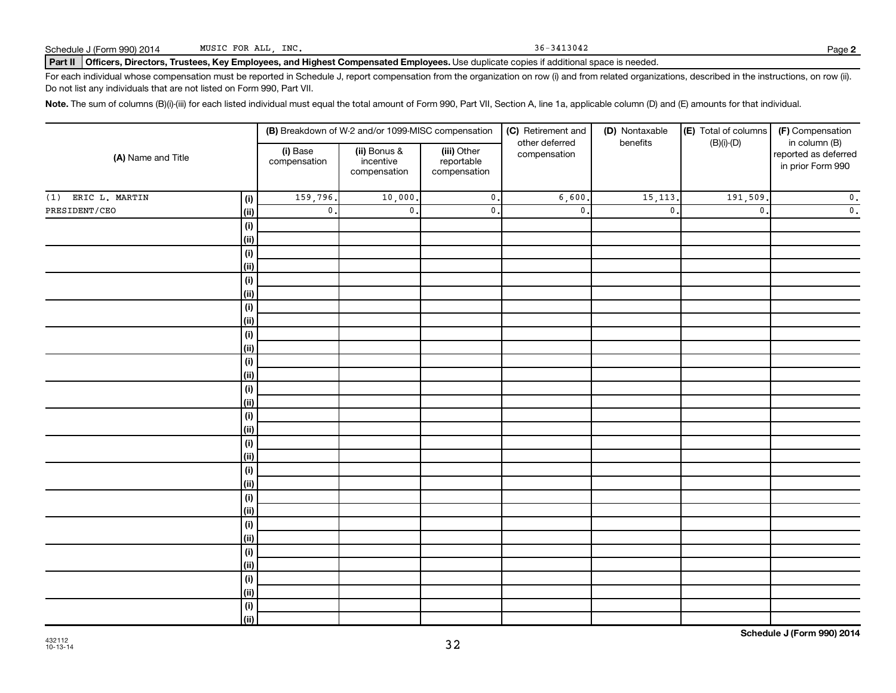Part II | Officers, Directors, Trustees, Key Employees, and Highest Compensated Employees. Use duplicate copies if additional space is needed.

For each individual whose compensation must be reported in Schedule J, report compensation from the organization on row (i) and from related organizations, described in the instructions, on row (ii). Do not list any individuals that are not listed on Form 990, Part VII.

Note. The sum of columns (B)(i)-(iii) for each listed individual must equal the total amount of Form 990, Part VII, Section A, line 1a, applicable column (D) and (E) amounts for that individual.

| (A) Name and Title    |                              |                          | (B) Breakdown of W-2 and/or 1099-MISC compensation |                                           | (C) Retirement and             | (D) Nontaxable | (E) Total of columns | (F) Compensation                                           |  |
|-----------------------|------------------------------|--------------------------|----------------------------------------------------|-------------------------------------------|--------------------------------|----------------|----------------------|------------------------------------------------------------|--|
|                       |                              | (i) Base<br>compensation | (ii) Bonus &<br>incentive<br>compensation          | (iii) Other<br>reportable<br>compensation | other deferred<br>compensation | benefits       | $(B)(i)-(D)$         | in column (B)<br>reported as deferred<br>in prior Form 990 |  |
| ERIC L. MARTIN<br>(1) | (i)                          | 159,796.                 | 10,000.                                            | $\mathfrak o$ .                           | 6,600                          | 15, 113.       | 191,509              | $\mathfrak o$ .                                            |  |
| PRESIDENT/CEO         | $\vert$ (ii)                 | $\mathbf{0}$ .           | $\mathbf{0}$ .                                     | $\mathfrak o$ .                           | $\mathfrak o$ .                | $\mathbf 0$    | $\mathbf 0$ .        | $\mathfrak o$ .                                            |  |
|                       | $\qquad \qquad \textbf{(i)}$ |                          |                                                    |                                           |                                |                |                      |                                                            |  |
|                       | (ii)                         |                          |                                                    |                                           |                                |                |                      |                                                            |  |
|                       | $\qquad \qquad \textbf{(i)}$ |                          |                                                    |                                           |                                |                |                      |                                                            |  |
|                       | $\vert$ (ii)                 |                          |                                                    |                                           |                                |                |                      |                                                            |  |
|                       | $\qquad \qquad \textbf{(i)}$ |                          |                                                    |                                           |                                |                |                      |                                                            |  |
|                       | (ii)                         |                          |                                                    |                                           |                                |                |                      |                                                            |  |
|                       | $(\sf{i})$                   |                          |                                                    |                                           |                                |                |                      |                                                            |  |
|                       | (ii)                         |                          |                                                    |                                           |                                |                |                      |                                                            |  |
|                       | $(\sf{i})$                   |                          |                                                    |                                           |                                |                |                      |                                                            |  |
|                       | (ii)                         |                          |                                                    |                                           |                                |                |                      |                                                            |  |
|                       | $(\sf{i})$                   |                          |                                                    |                                           |                                |                |                      |                                                            |  |
|                       | (ii)                         |                          |                                                    |                                           |                                |                |                      |                                                            |  |
|                       | $(\sf{i})$                   |                          |                                                    |                                           |                                |                |                      |                                                            |  |
|                       | (ii)                         |                          |                                                    |                                           |                                |                |                      |                                                            |  |
|                       | $(\sf{i})$<br>(ii)           |                          |                                                    |                                           |                                |                |                      |                                                            |  |
|                       | $(\sf{i})$                   |                          |                                                    |                                           |                                |                |                      |                                                            |  |
|                       | (ii)                         |                          |                                                    |                                           |                                |                |                      |                                                            |  |
|                       | $(\sf{i})$                   |                          |                                                    |                                           |                                |                |                      |                                                            |  |
|                       | (ii)                         |                          |                                                    |                                           |                                |                |                      |                                                            |  |
|                       | $(\sf{i})$                   |                          |                                                    |                                           |                                |                |                      |                                                            |  |
|                       | (ii)                         |                          |                                                    |                                           |                                |                |                      |                                                            |  |
|                       | $\qquad \qquad \textbf{(i)}$ |                          |                                                    |                                           |                                |                |                      |                                                            |  |
|                       | (ii)                         |                          |                                                    |                                           |                                |                |                      |                                                            |  |
|                       | $\qquad \qquad \textbf{(i)}$ |                          |                                                    |                                           |                                |                |                      |                                                            |  |
|                       | (ii)                         |                          |                                                    |                                           |                                |                |                      |                                                            |  |
|                       | $\qquad \qquad \textbf{(i)}$ |                          |                                                    |                                           |                                |                |                      |                                                            |  |
|                       | (ii)                         |                          |                                                    |                                           |                                |                |                      |                                                            |  |
|                       | $(\sf{i})$                   |                          |                                                    |                                           |                                |                |                      |                                                            |  |
|                       | $\overline{(\mathsf{ii})}$   |                          |                                                    |                                           |                                |                |                      |                                                            |  |

32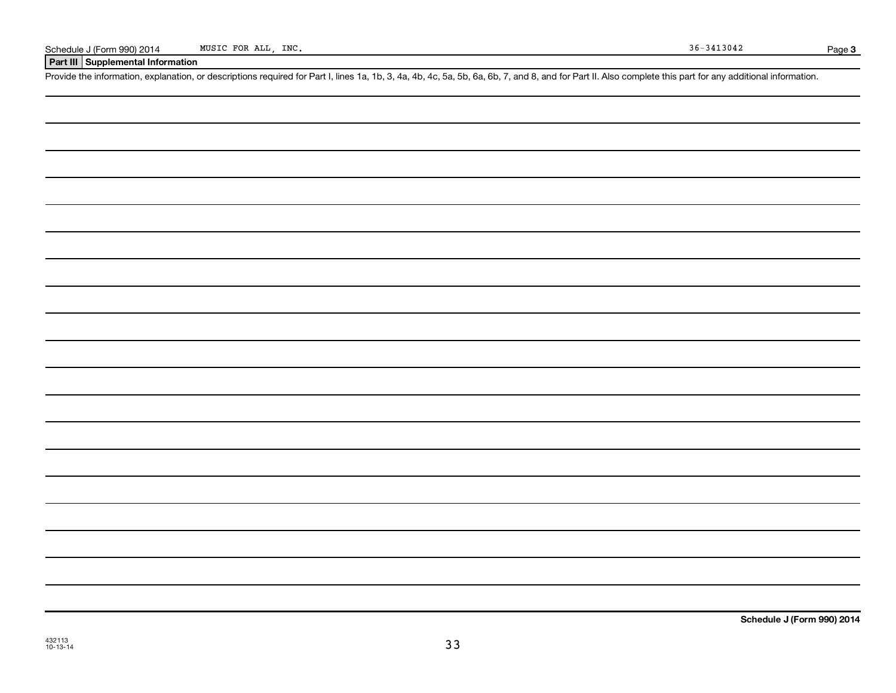**Part III Supplemental Information**

Provide the information, explanation, or descriptions required for Part I, lines 1a, 1b, 3, 4a, 4b, 4c, 5a, 5b, 6a, 6b, 7, and 8, and for Part II. Also complete this part for any additional information.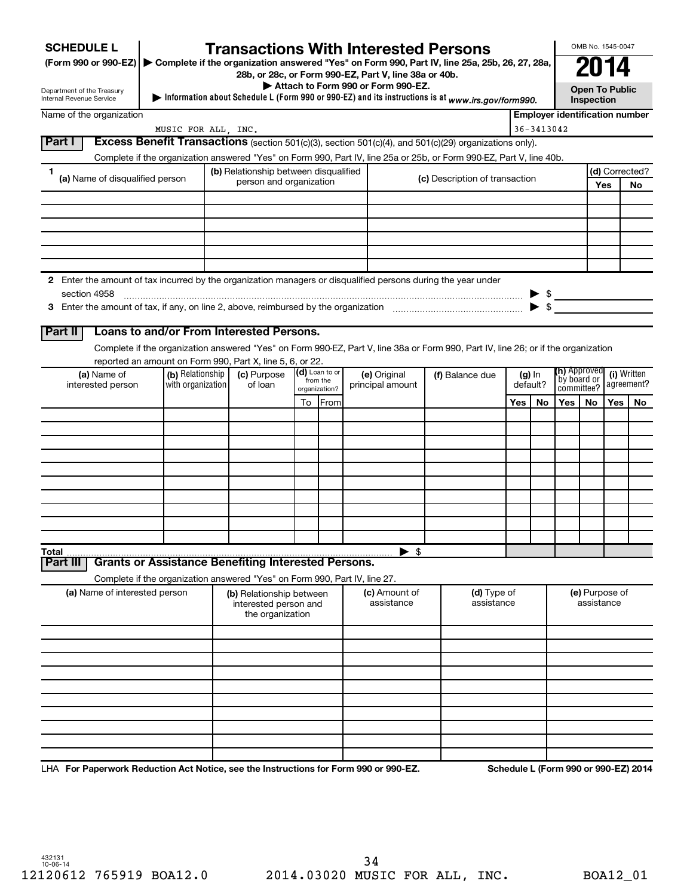| <b>SCHEDULE L</b>                                                                                                             |                                                                            |  | <b>Transactions With Interested Persons</b>                           |    |                                               |  |                                    |  |                                                                                                                                    |     |                                  |                                       |                                         | OMB No. 1545-0047 |                |  |  |  |  |  |  |                            |  |  |                           |
|-------------------------------------------------------------------------------------------------------------------------------|----------------------------------------------------------------------------|--|-----------------------------------------------------------------------|----|-----------------------------------------------|--|------------------------------------|--|------------------------------------------------------------------------------------------------------------------------------------|-----|----------------------------------|---------------------------------------|-----------------------------------------|-------------------|----------------|--|--|--|--|--|--|----------------------------|--|--|---------------------------|
| (Form 990 or 990-EZ) ▶ Complete if the organization answered "Yes" on Form 990, Part IV, line 25a, 25b, 26, 27, 28a,          |                                                                            |  |                                                                       |    |                                               |  |                                    |  |                                                                                                                                    |     |                                  |                                       |                                         |                   |                |  |  |  |  |  |  |                            |  |  |                           |
|                                                                                                                               |                                                                            |  | 28b, or 28c, or Form 990-EZ, Part V, line 38a or 40b.                 |    |                                               |  | Attach to Form 990 or Form 990-EZ. |  |                                                                                                                                    |     |                                  |                                       |                                         |                   |                |  |  |  |  |  |  |                            |  |  |                           |
| Department of the Treasury<br>Internal Revenue Service                                                                        |                                                                            |  |                                                                       |    |                                               |  |                                    |  | Information about Schedule L (Form 990 or 990-EZ) and its instructions is at www.irs.gov/form990.                                  |     |                                  |                                       | Inspection                              | Open To Public    |                |  |  |  |  |  |  |                            |  |  |                           |
| Name of the organization                                                                                                      |                                                                            |  |                                                                       |    |                                               |  |                                    |  |                                                                                                                                    |     |                                  | <b>Emplover identification number</b> |                                         |                   |                |  |  |  |  |  |  |                            |  |  |                           |
|                                                                                                                               | MUSIC FOR ALL, INC.                                                        |  |                                                                       |    |                                               |  |                                    |  |                                                                                                                                    |     | $36 - 3413042$                   |                                       |                                         |                   |                |  |  |  |  |  |  |                            |  |  |                           |
| Part I                                                                                                                        |                                                                            |  |                                                                       |    |                                               |  |                                    |  | Excess Benefit Transactions (section 501(c)(3), section 501(c)(4), and 501(c)(29) organizations only).                             |     |                                  |                                       |                                         |                   |                |  |  |  |  |  |  |                            |  |  |                           |
|                                                                                                                               |                                                                            |  |                                                                       |    |                                               |  |                                    |  | Complete if the organization answered "Yes" on Form 990, Part IV, line 25a or 25b, or Form 990-EZ, Part V, line 40b.               |     |                                  |                                       |                                         |                   |                |  |  |  |  |  |  |                            |  |  |                           |
| 1<br>(a) Name of disqualified person                                                                                          |                                                                            |  | (b) Relationship between disqualified<br>person and organization      |    |                                               |  |                                    |  | (c) Description of transaction                                                                                                     |     |                                  |                                       |                                         |                   | (d) Corrected? |  |  |  |  |  |  |                            |  |  |                           |
|                                                                                                                               |                                                                            |  |                                                                       |    |                                               |  |                                    |  |                                                                                                                                    |     |                                  |                                       |                                         | Yes               | No             |  |  |  |  |  |  |                            |  |  |                           |
|                                                                                                                               |                                                                            |  |                                                                       |    |                                               |  |                                    |  |                                                                                                                                    |     |                                  |                                       |                                         |                   |                |  |  |  |  |  |  |                            |  |  |                           |
|                                                                                                                               |                                                                            |  |                                                                       |    |                                               |  |                                    |  |                                                                                                                                    |     |                                  |                                       |                                         |                   |                |  |  |  |  |  |  |                            |  |  |                           |
|                                                                                                                               |                                                                            |  |                                                                       |    |                                               |  |                                    |  |                                                                                                                                    |     |                                  |                                       |                                         |                   |                |  |  |  |  |  |  |                            |  |  |                           |
|                                                                                                                               |                                                                            |  |                                                                       |    |                                               |  |                                    |  |                                                                                                                                    |     |                                  |                                       |                                         |                   |                |  |  |  |  |  |  |                            |  |  |                           |
|                                                                                                                               |                                                                            |  |                                                                       |    |                                               |  |                                    |  |                                                                                                                                    |     |                                  |                                       |                                         |                   |                |  |  |  |  |  |  |                            |  |  |                           |
| 2 Enter the amount of tax incurred by the organization managers or disqualified persons during the year under<br>section 4958 |                                                                            |  |                                                                       |    |                                               |  |                                    |  |                                                                                                                                    |     |                                  |                                       |                                         |                   |                |  |  |  |  |  |  |                            |  |  |                           |
|                                                                                                                               |                                                                            |  |                                                                       |    |                                               |  |                                    |  |                                                                                                                                    |     | $\blacktriangleright$ s          | $\triangleright$ \$                   |                                         |                   |                |  |  |  |  |  |  |                            |  |  |                           |
|                                                                                                                               |                                                                            |  |                                                                       |    |                                               |  |                                    |  |                                                                                                                                    |     |                                  |                                       |                                         |                   |                |  |  |  |  |  |  |                            |  |  |                           |
| Part II                                                                                                                       | Loans to and/or From Interested Persons.                                   |  |                                                                       |    |                                               |  |                                    |  |                                                                                                                                    |     |                                  |                                       |                                         |                   |                |  |  |  |  |  |  |                            |  |  |                           |
|                                                                                                                               |                                                                            |  |                                                                       |    |                                               |  |                                    |  | Complete if the organization answered "Yes" on Form 990-EZ, Part V, line 38a or Form 990, Part IV, line 26; or if the organization |     |                                  |                                       |                                         |                   |                |  |  |  |  |  |  |                            |  |  |                           |
|                                                                                                                               | reported an amount on Form 990, Part X, line 5, 6, or 22.                  |  |                                                                       |    |                                               |  |                                    |  |                                                                                                                                    |     |                                  | (h) Approved                          |                                         |                   |                |  |  |  |  |  |  |                            |  |  |                           |
| (a) Name of<br>interested person                                                                                              | (b) Relationship<br>with organization                                      |  | (c) Purpose<br>of loan                                                |    | $(d)$ Loan to or<br>from the<br>organization? |  |                                    |  |                                                                                                                                    |     | (e) Original<br>principal amount |                                       | (f) Balance due<br>$(g)$ In<br>default? |                   |                |  |  |  |  |  |  | `by board or<br>committee? |  |  | (i) Written<br>agreement? |
|                                                                                                                               |                                                                            |  |                                                                       | To | From                                          |  |                                    |  |                                                                                                                                    | Yes | No                               | Yes                                   | No                                      | <b>Yes</b>        | No             |  |  |  |  |  |  |                            |  |  |                           |
|                                                                                                                               |                                                                            |  |                                                                       |    |                                               |  |                                    |  |                                                                                                                                    |     |                                  |                                       |                                         |                   |                |  |  |  |  |  |  |                            |  |  |                           |
|                                                                                                                               |                                                                            |  |                                                                       |    |                                               |  |                                    |  |                                                                                                                                    |     |                                  |                                       |                                         |                   |                |  |  |  |  |  |  |                            |  |  |                           |
|                                                                                                                               |                                                                            |  |                                                                       |    |                                               |  |                                    |  |                                                                                                                                    |     |                                  |                                       |                                         |                   |                |  |  |  |  |  |  |                            |  |  |                           |
|                                                                                                                               |                                                                            |  |                                                                       |    |                                               |  |                                    |  |                                                                                                                                    |     |                                  |                                       |                                         |                   |                |  |  |  |  |  |  |                            |  |  |                           |
|                                                                                                                               |                                                                            |  |                                                                       |    |                                               |  |                                    |  |                                                                                                                                    |     |                                  |                                       |                                         |                   |                |  |  |  |  |  |  |                            |  |  |                           |
|                                                                                                                               |                                                                            |  |                                                                       |    |                                               |  |                                    |  |                                                                                                                                    |     |                                  |                                       |                                         |                   |                |  |  |  |  |  |  |                            |  |  |                           |
|                                                                                                                               |                                                                            |  |                                                                       |    |                                               |  |                                    |  |                                                                                                                                    |     |                                  |                                       |                                         |                   |                |  |  |  |  |  |  |                            |  |  |                           |
|                                                                                                                               |                                                                            |  |                                                                       |    |                                               |  |                                    |  |                                                                                                                                    |     |                                  |                                       |                                         |                   |                |  |  |  |  |  |  |                            |  |  |                           |
|                                                                                                                               |                                                                            |  |                                                                       |    |                                               |  |                                    |  |                                                                                                                                    |     |                                  |                                       |                                         |                   |                |  |  |  |  |  |  |                            |  |  |                           |
| Total                                                                                                                         |                                                                            |  |                                                                       |    |                                               |  | -\$                                |  |                                                                                                                                    |     |                                  |                                       |                                         |                   |                |  |  |  |  |  |  |                            |  |  |                           |
| Part III                                                                                                                      | <b>Grants or Assistance Benefiting Interested Persons.</b>                 |  |                                                                       |    |                                               |  |                                    |  |                                                                                                                                    |     |                                  |                                       |                                         |                   |                |  |  |  |  |  |  |                            |  |  |                           |
|                                                                                                                               | Complete if the organization answered "Yes" on Form 990, Part IV, line 27. |  |                                                                       |    |                                               |  |                                    |  |                                                                                                                                    |     |                                  |                                       |                                         |                   |                |  |  |  |  |  |  |                            |  |  |                           |
| (a) Name of interested person                                                                                                 |                                                                            |  | (b) Relationship between<br>interested person and<br>the organization |    |                                               |  | (c) Amount of<br>assistance        |  | (d) Type of<br>assistance                                                                                                          |     |                                  |                                       | assistance                              | (e) Purpose of    |                |  |  |  |  |  |  |                            |  |  |                           |
|                                                                                                                               |                                                                            |  |                                                                       |    |                                               |  |                                    |  |                                                                                                                                    |     |                                  |                                       |                                         |                   |                |  |  |  |  |  |  |                            |  |  |                           |
|                                                                                                                               |                                                                            |  |                                                                       |    |                                               |  |                                    |  |                                                                                                                                    |     |                                  |                                       |                                         |                   |                |  |  |  |  |  |  |                            |  |  |                           |
|                                                                                                                               |                                                                            |  |                                                                       |    |                                               |  |                                    |  |                                                                                                                                    |     |                                  |                                       |                                         |                   |                |  |  |  |  |  |  |                            |  |  |                           |
|                                                                                                                               |                                                                            |  |                                                                       |    |                                               |  |                                    |  |                                                                                                                                    |     |                                  |                                       |                                         |                   |                |  |  |  |  |  |  |                            |  |  |                           |
|                                                                                                                               |                                                                            |  |                                                                       |    |                                               |  |                                    |  |                                                                                                                                    |     |                                  |                                       |                                         |                   |                |  |  |  |  |  |  |                            |  |  |                           |
|                                                                                                                               |                                                                            |  |                                                                       |    |                                               |  |                                    |  |                                                                                                                                    |     |                                  |                                       |                                         |                   |                |  |  |  |  |  |  |                            |  |  |                           |
|                                                                                                                               |                                                                            |  |                                                                       |    |                                               |  |                                    |  |                                                                                                                                    |     |                                  |                                       |                                         |                   |                |  |  |  |  |  |  |                            |  |  |                           |
|                                                                                                                               |                                                                            |  |                                                                       |    |                                               |  |                                    |  |                                                                                                                                    |     |                                  |                                       |                                         |                   |                |  |  |  |  |  |  |                            |  |  |                           |
|                                                                                                                               |                                                                            |  |                                                                       |    |                                               |  |                                    |  |                                                                                                                                    |     |                                  |                                       |                                         |                   |                |  |  |  |  |  |  |                            |  |  |                           |

LHA For Paperwork Reduction Act Notice, see the Instructions for Form 990 or 990-EZ. Schedule L (Form 990 or 990-EZ) 2014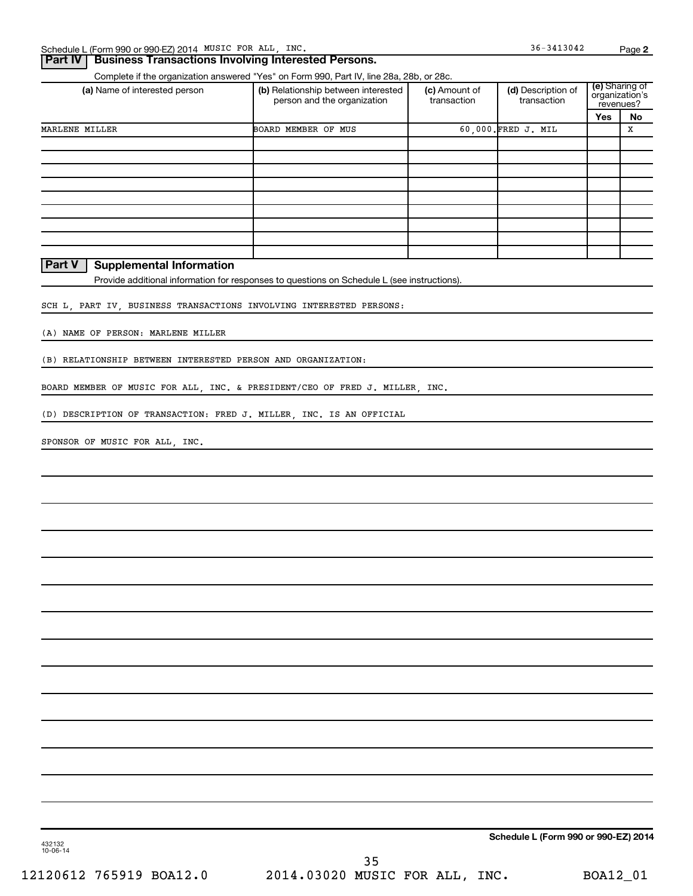### **Part IV Business Transactions Involving Interested Persons.**

Complete if the organization answered "Yes" on Form 990, Part IV, line 28a, 28b, or 28c.

| (a) Name of interested person | (b) Relationship between interested<br>person and the organization | (c) Amount of<br>transaction | (d) Description of<br>transaction | (e) Sharing of<br>organization's<br>revenues? |    |  |
|-------------------------------|--------------------------------------------------------------------|------------------------------|-----------------------------------|-----------------------------------------------|----|--|
|                               |                                                                    |                              |                                   | <b>Yes</b>                                    | No |  |
| MARLENE MILLER                | BOARD MEMBER OF MUS                                                |                              | 60,000. FRED J. MIL               |                                               | х  |  |
|                               |                                                                    |                              |                                   |                                               |    |  |
|                               |                                                                    |                              |                                   |                                               |    |  |
|                               |                                                                    |                              |                                   |                                               |    |  |
|                               |                                                                    |                              |                                   |                                               |    |  |
|                               |                                                                    |                              |                                   |                                               |    |  |
|                               |                                                                    |                              |                                   |                                               |    |  |
|                               |                                                                    |                              |                                   |                                               |    |  |
|                               |                                                                    |                              |                                   |                                               |    |  |
|                               |                                                                    |                              |                                   |                                               |    |  |

**Part V** | Supplemental Information

Provide additional information for responses to questions on Schedule L (see instructions).

SCH L, PART IV, BUSINESS TRANSACTIONS INVOLVING INTERESTED PERSONS:

(A) NAME OF PERSON: MARLENE MILLER

(B) RELATIONSHIP BETWEEN INTERESTED PERSON AND ORGANIZATION:

BOARD MEMBER OF MUSIC FOR ALL, INC. & PRESIDENT/CEO OF FRED J. MILLER, INC.

(D) DESCRIPTION OF TRANSACTION: FRED J. MILLER, INC. IS AN OFFICIAL

SPONSOR OF MUSIC FOR ALL, INC.

**Schedule L (Form 990 or 990-EZ) 2014**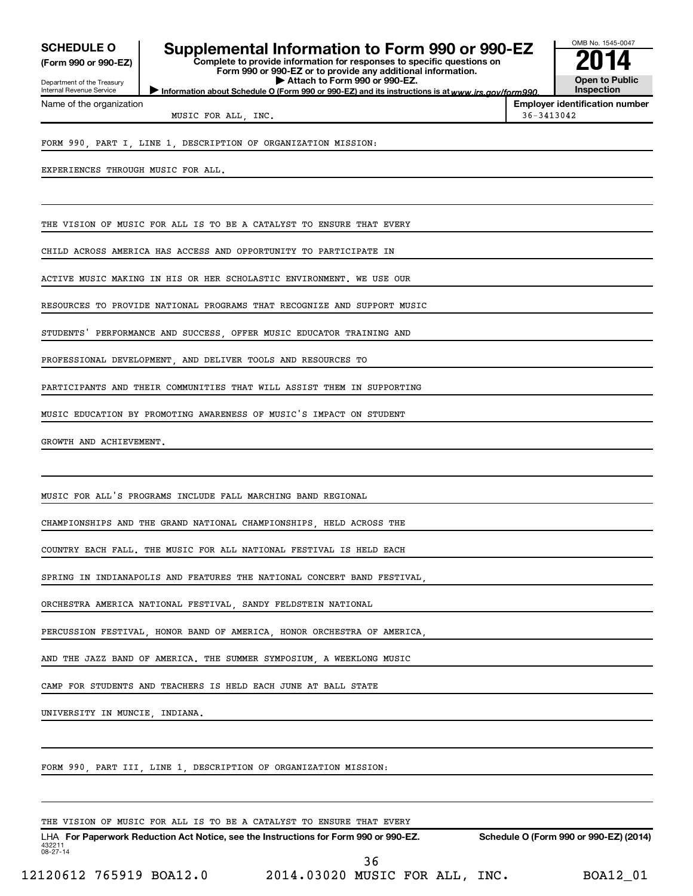**(Form 990 or 990-EZ)**

Department of the Treasury Internal Revenue Service Name of the organization

# **SCHEDULE O Supplemental Information to Form 990 or 990-EZ 2016 ASS-00**<br>Complete to provide information for responses to specific questions on

Information about Schedule O (Form 990 or 990-EZ) and its instructions is at www.irs.gov/form990. **Complete to provide information for responses to specific questions on Form 990 or 990-EZ or to provide any additional information. | Attach to Form 990 or 990-EZ.**



MUSIC FOR ALL, INC.  $36-3413042$ 

**Employer identification number**

### FORM 990, PART I, LINE 1, DESCRIPTION OF ORGANIZATION MISSION:

EXPERIENCES THROUGH MUSIC FOR ALL.

THE VISION OF MUSIC FOR ALL IS TO BE A CATALYST TO ENSURE THAT EVERY

CHILD ACROSS AMERICA HAS ACCESS AND OPPORTUNITY TO PARTICIPATE IN

ACTIVE MUSIC MAKING IN HIS OR HER SCHOLASTIC ENVIRONMENT. WE USE OUR

RESOURCES TO PROVIDE NATIONAL PROGRAMS THAT RECOGNIZE AND SUPPORT MUSIC

STUDENTS' PERFORMANCE AND SUCCESS OFFER MUSIC EDUCATOR TRAINING AND

PROFESSIONAL DEVELOPMENT AND DELIVER TOOLS AND RESOURCES TO

PARTICIPANTS AND THEIR COMMUNITIES THAT WILL ASSIST THEM IN SUPPORTING

MUSIC EDUCATION BY PROMOTING AWARENESS OF MUSIC'S IMPACT ON STUDENT

GROWTH AND ACHIEVEMENT.

MUSIC FOR ALL'S PROGRAMS INCLUDE FALL MARCHING BAND REGIONAL

CHAMPIONSHIPS AND THE GRAND NATIONAL CHAMPIONSHIPS, HELD ACROSS THE

COUNTRY EACH FALL. THE MUSIC FOR ALL NATIONAL FESTIVAL IS HELD EACH

SPRING IN INDIANAPOLIS AND FEATURES THE NATIONAL CONCERT BAND FESTIVAL,

ORCHESTRA AMERICA NATIONAL FESTIVAL, SANDY FELDSTEIN NATIONAL

PERCUSSION FESTIVAL HONOR BAND OF AMERICA, HONOR ORCHESTRA OF AMERICA

AND THE JAZZ BAND OF AMERICA. THE SUMMER SYMPOSIUM, A WEEKLONG MUSIC

CAMP FOR STUDENTS AND TEACHERS IS HELD EACH JUNE AT BALL STATE

UNIVERSITY IN MUNCIE, INDIANA.

FORM 990, PART III, LINE 1, DESCRIPTION OF ORGANIZATION MISSION:

THE VISION OF MUSIC FOR ALL IS TO BE A CATALYST TO ENSURE THAT EVERY

432211 08-27-14 LHA For Paperwork Reduction Act Notice, see the Instructions for Form 990 or 990-EZ. Schedule O (Form 990 or 990-EZ) (2014)

12120612 765919 BOA12.0 2014.03020 MUSIC FOR ALL, INC. BOA12\_01 36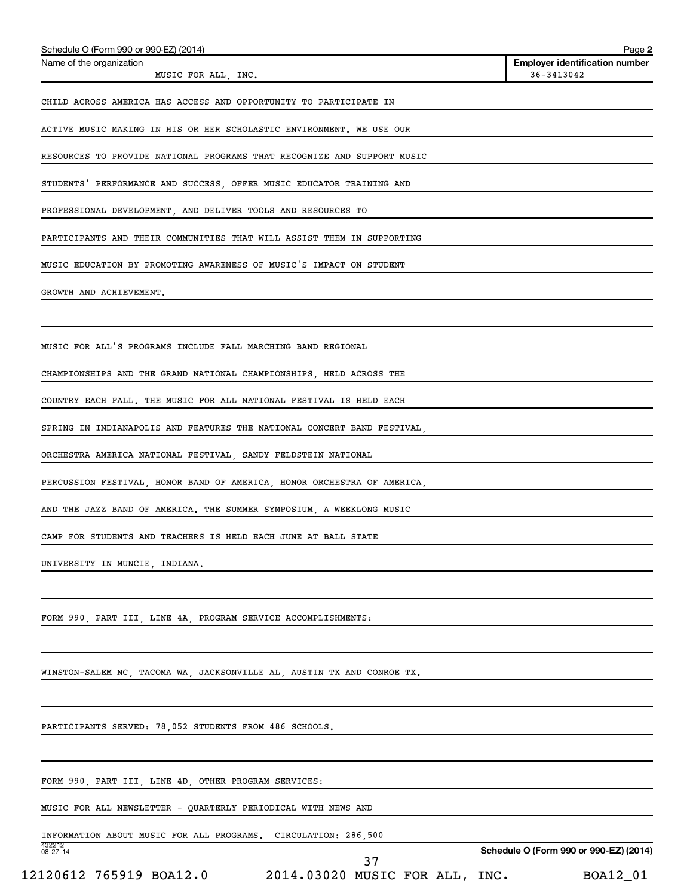| Schedule O (Form 990 or 990-EZ) (2014)                                  |                                | Page 2                                              |
|-------------------------------------------------------------------------|--------------------------------|-----------------------------------------------------|
| Name of the organization<br>MUSIC FOR ALL, INC.                         |                                | <b>Employer identification number</b><br>36-3413042 |
| CHILD ACROSS AMERICA HAS ACCESS AND OPPORTUNITY TO PARTICIPATE IN       |                                |                                                     |
| ACTIVE MUSIC MAKING IN HIS OR HER SCHOLASTIC ENVIRONMENT. WE USE OUR    |                                |                                                     |
| RESOURCES TO PROVIDE NATIONAL PROGRAMS THAT RECOGNIZE AND SUPPORT MUSIC |                                |                                                     |
| STUDENTS' PERFORMANCE AND SUCCESS, OFFER MUSIC EDUCATOR TRAINING AND    |                                |                                                     |
| PROFESSIONAL DEVELOPMENT, AND DELIVER TOOLS AND RESOURCES TO            |                                |                                                     |
| PARTICIPANTS AND THEIR COMMUNITIES THAT WILL ASSIST THEM IN SUPPORTING  |                                |                                                     |
| MUSIC EDUCATION BY PROMOTING AWARENESS OF MUSIC'S IMPACT ON STUDENT     |                                |                                                     |
| GROWTH AND ACHIEVEMENT.                                                 |                                |                                                     |
|                                                                         |                                |                                                     |
| MUSIC FOR ALL'S PROGRAMS INCLUDE FALL MARCHING BAND REGIONAL            |                                |                                                     |
| CHAMPIONSHIPS AND THE GRAND NATIONAL CHAMPIONSHIPS, HELD ACROSS THE     |                                |                                                     |
| COUNTRY EACH FALL. THE MUSIC FOR ALL NATIONAL FESTIVAL IS HELD EACH     |                                |                                                     |
| SPRING IN INDIANAPOLIS AND FEATURES THE NATIONAL CONCERT BAND FESTIVAL, |                                |                                                     |
| ORCHESTRA AMERICA NATIONAL FESTIVAL, SANDY FELDSTEIN NATIONAL           |                                |                                                     |
| PERCUSSION FESTIVAL, HONOR BAND OF AMERICA, HONOR ORCHESTRA OF AMERICA, |                                |                                                     |
| AND THE JAZZ BAND OF AMERICA. THE SUMMER SYMPOSIUM, A WEEKLONG MUSIC    |                                |                                                     |
| CAMP FOR STUDENTS AND TEACHERS IS HELD EACH JUNE AT BALL STATE          |                                |                                                     |
| UNIVERSITY IN MUNCIE, INDIANA.                                          |                                |                                                     |
| FORM 990, PART III, LINE 4A, PROGRAM SERVICE ACCOMPLISHMENTS:           |                                |                                                     |
| WINSTON-SALEM NC, TACOMA WA, JACKSONVILLE AL, AUSTIN TX AND CONROE TX.  |                                |                                                     |
| PARTICIPANTS SERVED: 78,052 STUDENTS FROM 486 SCHOOLS.                  |                                |                                                     |
| FORM 990, PART III, LINE 4D, OTHER PROGRAM SERVICES:                    |                                |                                                     |
| MUSIC FOR ALL NEWSLETTER - QUARTERLY PERIODICAL WITH NEWS AND           |                                |                                                     |
| INFORMATION ABOUT MUSIC FOR ALL PROGRAMS.<br>432212                     | CIRCULATION: 286,500           |                                                     |
| $08 - 27 - 14$                                                          | 37                             | Schedule O (Form 990 or 990-EZ) (2014)              |
| 12120612 765919 BOA12.0                                                 | 2014.03020 MUSIC FOR ALL, INC. | BOA12_01                                            |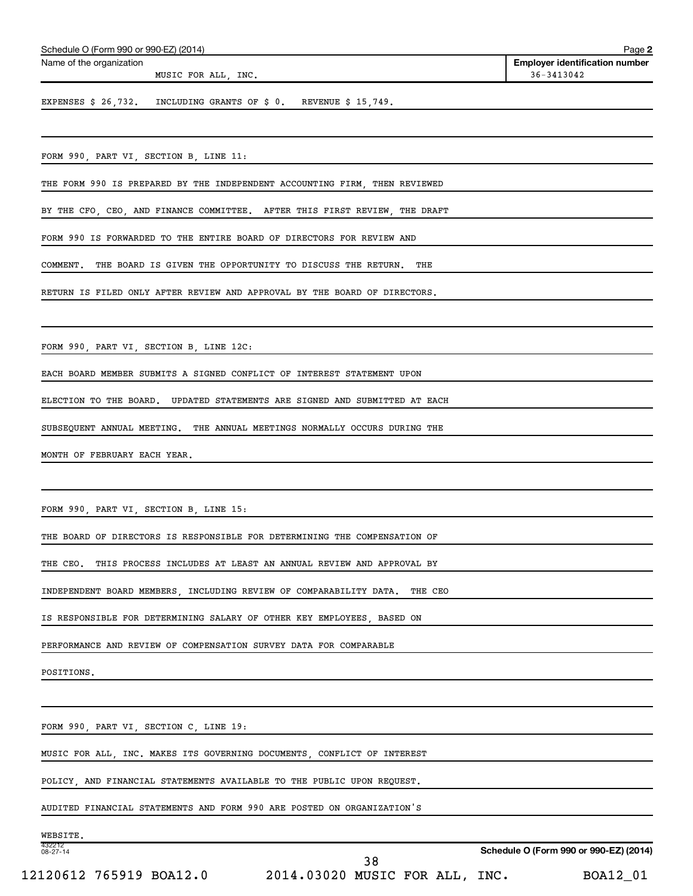| Schedule O (Form 990 or 990-EZ) (2014)                                        | Page 2                                              |
|-------------------------------------------------------------------------------|-----------------------------------------------------|
| Name of the organization<br>MUSIC FOR ALL, INC.                               | <b>Employer identification number</b><br>36-3413042 |
| EXPENSES \$ 26,732. INCLUDING GRANTS OF \$ 0. REVENUE \$ 15,749.              |                                                     |
|                                                                               |                                                     |
| FORM 990, PART VI, SECTION B, LINE 11:                                        |                                                     |
| THE FORM 990 IS PREPARED BY THE INDEPENDENT ACCOUNTING FIRM, THEN REVIEWED    |                                                     |
| BY THE CFO, CEO, AND FINANCE COMMITTEE. AFTER THIS FIRST REVIEW, THE DRAFT    |                                                     |
| FORM 990 IS FORWARDED TO THE ENTIRE BOARD OF DIRECTORS FOR REVIEW AND         |                                                     |
| THE BOARD IS GIVEN THE OPPORTUNITY TO DISCUSS THE RETURN.<br>COMMENT.<br>THE  |                                                     |
| RETURN IS FILED ONLY AFTER REVIEW AND APPROVAL BY THE BOARD OF DIRECTORS.     |                                                     |
|                                                                               |                                                     |
| FORM 990, PART VI, SECTION B, LINE 12C:                                       |                                                     |
| EACH BOARD MEMBER SUBMITS A SIGNED CONFLICT OF INTEREST STATEMENT UPON        |                                                     |
| ELECTION TO THE BOARD. UPDATED STATEMENTS ARE SIGNED AND SUBMITTED AT EACH    |                                                     |
| SUBSEQUENT ANNUAL MEETING. THE ANNUAL MEETINGS NORMALLY OCCURS DURING THE     |                                                     |
| MONTH OF FEBRUARY EACH YEAR.                                                  |                                                     |
|                                                                               |                                                     |
| FORM 990, PART VI, SECTION B, LINE 15:                                        |                                                     |
| THE BOARD OF DIRECTORS IS RESPONSIBLE FOR DETERMINING THE COMPENSATION OF     |                                                     |
| THE CEO. THIS PROCESS INCLUDES AT LEAST AN ANNUAL REVIEW AND APPROVAL BY      |                                                     |
| INDEPENDENT BOARD MEMBERS, INCLUDING REVIEW OF COMPARABILITY DATA.<br>THE CEO |                                                     |
| IS RESPONSIBLE FOR DETERMINING SALARY OF OTHER KEY EMPLOYEES, BASED ON        |                                                     |
| PERFORMANCE AND REVIEW OF COMPENSATION SURVEY DATA FOR COMPARABLE             |                                                     |
| POSITIONS.                                                                    |                                                     |
|                                                                               |                                                     |
| FORM 990, PART VI, SECTION C, LINE 19:                                        |                                                     |
| MUSIC FOR ALL, INC. MAKES ITS GOVERNING DOCUMENTS, CONFLICT OF INTEREST       |                                                     |
| POLICY, AND FINANCIAL STATEMENTS AVAILABLE TO THE PUBLIC UPON REQUEST.        |                                                     |
| AUDITED FINANCIAL STATEMENTS AND FORM 990 ARE POSTED ON ORGANIZATION'S        |                                                     |
| WEBSITE.                                                                      |                                                     |
| 432212<br>08-27-14<br>$\Omega$                                                | Schedule O (Form 990 or 990-EZ) (2014)              |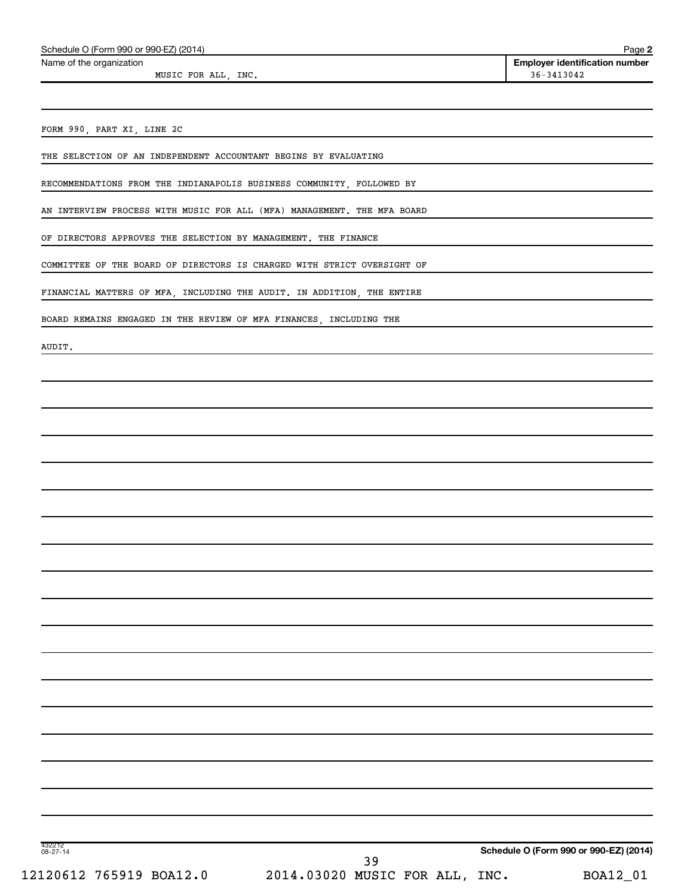Name of the organization

MUSIC FOR ALL, INC.  $36-3413042$ 

**2 Employer identification number**

FORM 990, PART XI, LINE 2C

THE SELECTION OF AN INDEPENDENT ACCOUNTANT BEGINS BY EVALUATING

RECOMMENDATIONS FROM THE INDIANAPOLIS BUSINESS COMMUNITY, FOLLOWED BY

AN INTERVIEW PROCESS WITH MUSIC FOR ALL (MFA) MANAGEMENT. THE MFA BOARD

OF DIRECTORS APPROVES THE SELECTION BY MANAGEMENT. THE FINANCE

COMMITTEE OF THE BOARD OF DIRECTORS IS CHARGED WITH STRICT OVERSIGHT OF

FINANCIAL MATTERS OF MFA, INCLUDING THE AUDIT. IN ADDITION, THE ENTIRE

BOARD REMAINS ENGAGED IN THE REVIEW OF MFA FINANCES, INCLUDING THE

AUDIT.

432212 08-27-14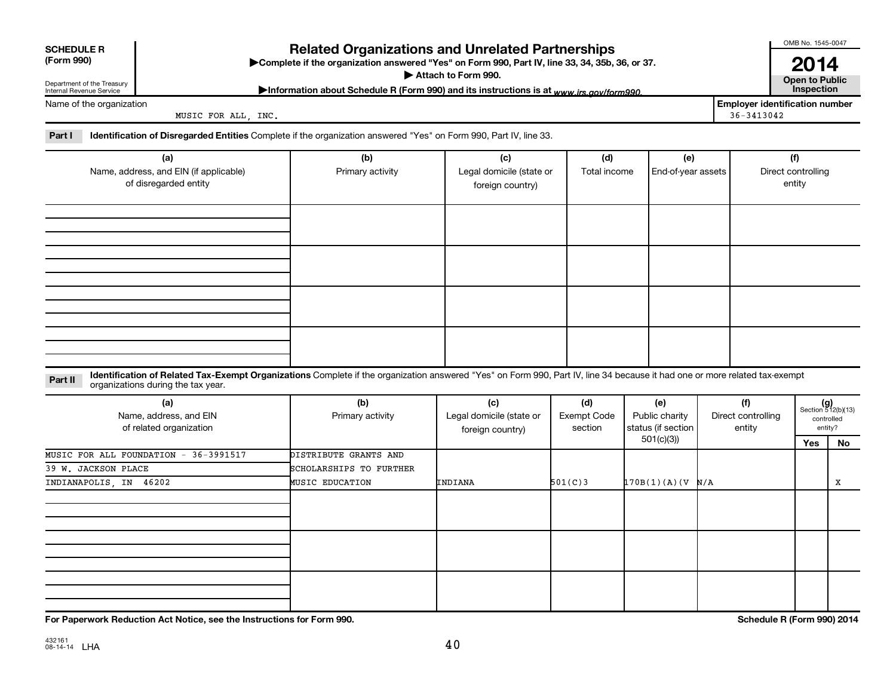| <b>SCHEDULE R</b><br>(Form 990)                                 |                                                                                                                                                                                                                  |  | <b>Related Organizations and Unrelated Partnerships</b><br>Complete if the organization answered "Yes" on Form 990, Part IV, line 33, 34, 35b, 36, or 37.<br>Attach to Form 990. |                                                     | OMB No. 1545-0047<br>2014<br><b>Open to Public</b> |                                             |  |                                                         |                            |                                                      |
|-----------------------------------------------------------------|------------------------------------------------------------------------------------------------------------------------------------------------------------------------------------------------------------------|--|----------------------------------------------------------------------------------------------------------------------------------------------------------------------------------|-----------------------------------------------------|----------------------------------------------------|---------------------------------------------|--|---------------------------------------------------------|----------------------------|------------------------------------------------------|
| Department of the Treasury<br>Internal Revenue Service          |                                                                                                                                                                                                                  |  | Information about Schedule R (Form 990) and its instructions is at www.irs.gov/form990.                                                                                          |                                                     |                                                    |                                             |  |                                                         | Inspection                 |                                                      |
|                                                                 | Name of the organization<br>MUSIC FOR ALL, INC.                                                                                                                                                                  |  |                                                                                                                                                                                  |                                                     |                                                    |                                             |  | <b>Employer identification number</b><br>$36 - 3413042$ |                            |                                                      |
| Part I                                                          | Identification of Disregarded Entities Complete if the organization answered "Yes" on Form 990, Part IV, line 33.                                                                                                |  |                                                                                                                                                                                  |                                                     |                                                    |                                             |  |                                                         |                            |                                                      |
|                                                                 | (a)                                                                                                                                                                                                              |  | (b)                                                                                                                                                                              | (c)                                                 | (d)                                                | (e)                                         |  |                                                         | (f)                        |                                                      |
| Name, address, and EIN (if applicable)<br>of disregarded entity |                                                                                                                                                                                                                  |  | Primary activity                                                                                                                                                                 | Legal domicile (state or<br>foreign country)        | Total income                                       | End-of-year assets                          |  | Direct controlling                                      |                            |                                                      |
|                                                                 |                                                                                                                                                                                                                  |  |                                                                                                                                                                                  |                                                     |                                                    |                                             |  |                                                         |                            |                                                      |
|                                                                 |                                                                                                                                                                                                                  |  |                                                                                                                                                                                  |                                                     |                                                    |                                             |  |                                                         |                            |                                                      |
|                                                                 |                                                                                                                                                                                                                  |  |                                                                                                                                                                                  |                                                     |                                                    |                                             |  |                                                         |                            |                                                      |
|                                                                 |                                                                                                                                                                                                                  |  |                                                                                                                                                                                  |                                                     |                                                    |                                             |  |                                                         |                            |                                                      |
| Part II                                                         | Identification of Related Tax-Exempt Organizations Complete if the organization answered "Yes" on Form 990, Part IV, line 34 because it had one or more related tax-exempt<br>organizations during the tax year. |  |                                                                                                                                                                                  |                                                     |                                                    |                                             |  |                                                         |                            |                                                      |
|                                                                 | (a)<br>Name, address, and EIN<br>of related organization                                                                                                                                                         |  | (b)<br>Primary activity                                                                                                                                                          | (c)<br>Legal domicile (state or<br>foreign country) | (d)<br>Exempt Code<br>section                      | (e)<br>Public charity<br>status (if section |  | (f)<br>Direct controlling<br>entity                     |                            | $(g)$<br>Section 512(b)(13)<br>controlled<br>entity? |
|                                                                 |                                                                                                                                                                                                                  |  |                                                                                                                                                                                  |                                                     |                                                    | 501(c)(3)                                   |  |                                                         | Yes                        | No                                                   |
|                                                                 | MUSIC FOR ALL FOUNDATION - 36-3991517<br>39 W. JACKSON PLACE                                                                                                                                                     |  | DISTRIBUTE GRANTS AND<br>SCHOLARSHIPS TO FURTHER                                                                                                                                 |                                                     |                                                    |                                             |  |                                                         |                            |                                                      |
|                                                                 | INDIANAPOLIS, IN 46202                                                                                                                                                                                           |  | <b>MUSIC EDUCATION</b>                                                                                                                                                           | INDIANA                                             | 501(C)3                                            | 170B(1)(A)(V N/A                            |  |                                                         |                            | x                                                    |
|                                                                 |                                                                                                                                                                                                                  |  |                                                                                                                                                                                  |                                                     |                                                    |                                             |  |                                                         |                            |                                                      |
|                                                                 |                                                                                                                                                                                                                  |  |                                                                                                                                                                                  |                                                     |                                                    |                                             |  |                                                         |                            |                                                      |
|                                                                 |                                                                                                                                                                                                                  |  |                                                                                                                                                                                  |                                                     |                                                    |                                             |  |                                                         |                            |                                                      |
|                                                                 | For Paperwork Reduction Act Notice, see the Instructions for Form 990.                                                                                                                                           |  |                                                                                                                                                                                  |                                                     |                                                    |                                             |  |                                                         | Schedule R (Form 990) 2014 |                                                      |

432161 08-14-14 LHA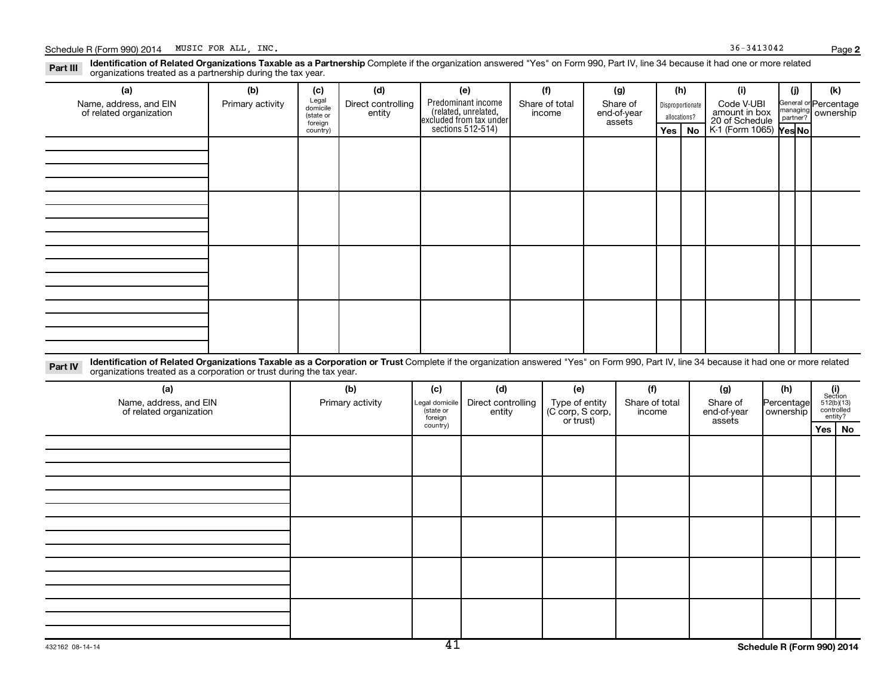Part III Identification of Related Organizations Taxable as a Partnership Complete if the organization answered "Yes" on Form 990, Part IV, line 34 because it had one or more related<br>Read to the organizations tracted as a organizations treated as a partnership during the tax year.

| (a)                                               | (b)              | (c)                  | (d)                          | (e)                                                                                        | (f)                      | (g)                               |                                  | (h)      | (i)                                                                            | (j) | (k)                                                     |
|---------------------------------------------------|------------------|----------------------|------------------------------|--------------------------------------------------------------------------------------------|--------------------------|-----------------------------------|----------------------------------|----------|--------------------------------------------------------------------------------|-----|---------------------------------------------------------|
| Name, address, and EIN<br>of related organization | Primary activity | Legal<br>domicile    | Direct controlling<br>entity | Predominant income<br>(related, unrelated,<br>excluded from tax under<br>sections 512-514) | Share of total<br>income | Share of<br>end-of-year<br>assets | Disproportionate<br>allocations? |          | Code V-UBI<br>amount in box<br>20 of Schedule<br>K-1 (Form 1065) <b>Yes No</b> |     | General or Percentage<br>managing ownership<br>partner? |
|                                                   |                  | (state or<br>foreign |                              |                                                                                            |                          |                                   |                                  |          |                                                                                |     |                                                         |
|                                                   |                  | country)             |                              |                                                                                            |                          |                                   |                                  | Yes   No |                                                                                |     |                                                         |
|                                                   |                  |                      |                              |                                                                                            |                          |                                   |                                  |          |                                                                                |     |                                                         |
|                                                   |                  |                      |                              |                                                                                            |                          |                                   |                                  |          |                                                                                |     |                                                         |
|                                                   |                  |                      |                              |                                                                                            |                          |                                   |                                  |          |                                                                                |     |                                                         |
|                                                   |                  |                      |                              |                                                                                            |                          |                                   |                                  |          |                                                                                |     |                                                         |
|                                                   |                  |                      |                              |                                                                                            |                          |                                   |                                  |          |                                                                                |     |                                                         |
|                                                   |                  |                      |                              |                                                                                            |                          |                                   |                                  |          |                                                                                |     |                                                         |
|                                                   |                  |                      |                              |                                                                                            |                          |                                   |                                  |          |                                                                                |     |                                                         |
|                                                   |                  |                      |                              |                                                                                            |                          |                                   |                                  |          |                                                                                |     |                                                         |
|                                                   |                  |                      |                              |                                                                                            |                          |                                   |                                  |          |                                                                                |     |                                                         |
|                                                   |                  |                      |                              |                                                                                            |                          |                                   |                                  |          |                                                                                |     |                                                         |
|                                                   |                  |                      |                              |                                                                                            |                          |                                   |                                  |          |                                                                                |     |                                                         |
|                                                   |                  |                      |                              |                                                                                            |                          |                                   |                                  |          |                                                                                |     |                                                         |
|                                                   |                  |                      |                              |                                                                                            |                          |                                   |                                  |          |                                                                                |     |                                                         |
|                                                   |                  |                      |                              |                                                                                            |                          |                                   |                                  |          |                                                                                |     |                                                         |
|                                                   |                  |                      |                              |                                                                                            |                          |                                   |                                  |          |                                                                                |     |                                                         |
|                                                   |                  |                      |                              |                                                                                            |                          |                                   |                                  |          |                                                                                |     |                                                         |
|                                                   |                  |                      |                              |                                                                                            |                          |                                   |                                  |          |                                                                                |     |                                                         |

Part IV Identification of Related Organizations Taxable as a Corporation or Trust Complete if the organization answered "Yes" on Form 990, Part IV, line 34 because it had one or more related<br>Comparison tracted as a comprat organizations treated as a corporation or trust during the tax year.

| (a)<br>Name, address, and EIN<br>of related organization | (b)<br>Primary activity | (c)<br>Legal domicile<br>(state or<br>foreign | (d)<br>Direct controlling<br>entity | (e)<br>Type of entity<br>(C corp, S corp,<br>or trust) | (f)<br>Share of total<br>income | (g)<br>Share of<br>end-of-year<br>assets | (h)<br>Percentage<br>ownership | $\begin{array}{c} \textbf{(i)}\\ \text{Section}\\ 512 \text{(b)} \text{(13)}\\ \text{controlled}\end{array}$<br>entity? |
|----------------------------------------------------------|-------------------------|-----------------------------------------------|-------------------------------------|--------------------------------------------------------|---------------------------------|------------------------------------------|--------------------------------|-------------------------------------------------------------------------------------------------------------------------|
|                                                          |                         | country)                                      |                                     |                                                        |                                 |                                          |                                | Yes   No                                                                                                                |
|                                                          |                         |                                               |                                     |                                                        |                                 |                                          |                                |                                                                                                                         |
|                                                          |                         |                                               |                                     |                                                        |                                 |                                          |                                |                                                                                                                         |
|                                                          |                         |                                               |                                     |                                                        |                                 |                                          |                                |                                                                                                                         |
|                                                          |                         |                                               |                                     |                                                        |                                 |                                          |                                |                                                                                                                         |
|                                                          |                         |                                               |                                     |                                                        |                                 |                                          |                                |                                                                                                                         |
|                                                          |                         |                                               |                                     |                                                        |                                 |                                          |                                |                                                                                                                         |
|                                                          |                         |                                               |                                     |                                                        |                                 |                                          |                                |                                                                                                                         |
|                                                          |                         |                                               |                                     |                                                        |                                 |                                          |                                |                                                                                                                         |
|                                                          |                         |                                               |                                     |                                                        |                                 |                                          |                                |                                                                                                                         |
|                                                          |                         |                                               |                                     |                                                        |                                 |                                          |                                |                                                                                                                         |
|                                                          |                         |                                               |                                     |                                                        |                                 |                                          |                                |                                                                                                                         |
|                                                          |                         |                                               |                                     |                                                        |                                 |                                          |                                |                                                                                                                         |
|                                                          |                         |                                               |                                     |                                                        |                                 |                                          |                                |                                                                                                                         |
|                                                          |                         |                                               |                                     |                                                        |                                 |                                          |                                |                                                                                                                         |
|                                                          |                         |                                               |                                     |                                                        |                                 |                                          |                                |                                                                                                                         |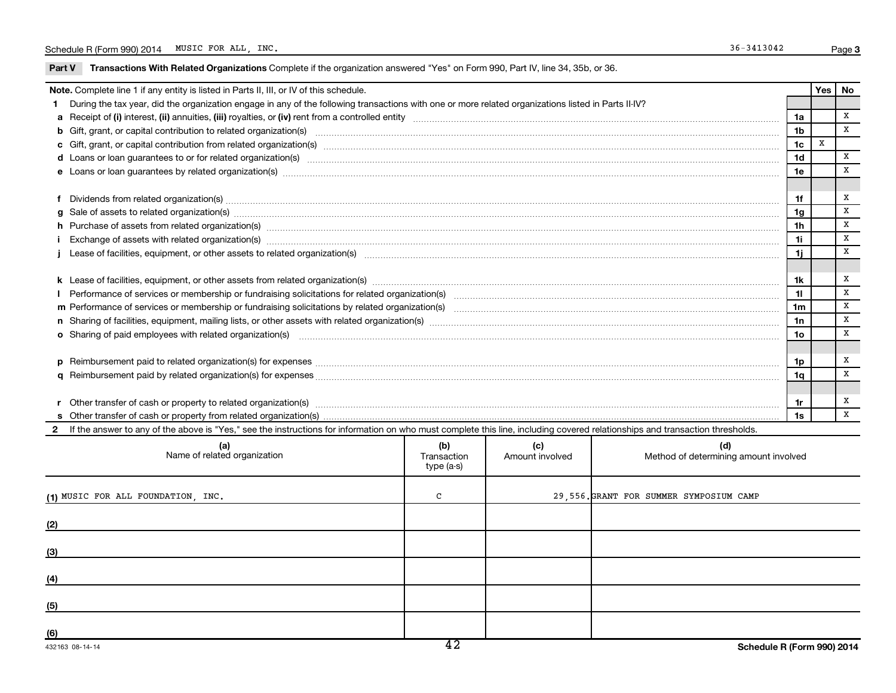Part V Transactions With Related Organizations Complete if the organization answered "Yes" on Form 990, Part IV, line 34, 35b, or 36.

| Note. Complete line 1 if any entity is listed in Parts II, III, or IV of this schedule.                                                                                                                                                    |                                           |                        |                                              |                 |  | Yes   No     |  |  |
|--------------------------------------------------------------------------------------------------------------------------------------------------------------------------------------------------------------------------------------------|-------------------------------------------|------------------------|----------------------------------------------|-----------------|--|--------------|--|--|
| During the tax year, did the organization engage in any of the following transactions with one or more related organizations listed in Parts II-IV?                                                                                        |                                           |                        |                                              |                 |  |              |  |  |
|                                                                                                                                                                                                                                            |                                           |                        |                                              | 1a              |  | $\mathbf{x}$ |  |  |
| b Gift, grant, or capital contribution to related organization(s) manufaction contribution to related organization(s) manufaction contribution for elated organization(s) manufactured contraction contribution of the contrac             |                                           |                        |                                              | 1 <sub>b</sub>  |  | X            |  |  |
|                                                                                                                                                                                                                                            |                                           |                        |                                              |                 |  |              |  |  |
|                                                                                                                                                                                                                                            |                                           |                        |                                              |                 |  |              |  |  |
| e Loans or loan guarantees by related organization(s) manufaction contraction contraction contraction contraction contraction contraction contraction contraction contraction contraction control of the contraction control o             |                                           |                        |                                              |                 |  |              |  |  |
|                                                                                                                                                                                                                                            |                                           |                        |                                              |                 |  |              |  |  |
| Dividends from related organization(s) [111] matter and the contract of the contract of the contract of the contract of the contract of the contract or contract of the contract of the contract of the contract of the contra             |                                           |                        |                                              | 1f              |  | x            |  |  |
| Sale of assets to related organization(s) www.assets.com/www.assets.com/www.assets.com/www.assets.com/www.assets.com/www.assets.com/www.assets.com/www.assets.com/www.assets.com/www.assets.com/www.assets.com/www.assets.com/<br>$\alpha$ |                                           |                        |                                              | 1g              |  | x            |  |  |
| h Purchase of assets from related organization(s) manufactured content to the content of the content of the content of the content of the content of the content of the content of the content of the content of the content o             |                                           |                        |                                              |                 |  |              |  |  |
|                                                                                                                                                                                                                                            |                                           |                        |                                              |                 |  |              |  |  |
|                                                                                                                                                                                                                                            |                                           |                        |                                              |                 |  |              |  |  |
|                                                                                                                                                                                                                                            |                                           |                        |                                              |                 |  |              |  |  |
|                                                                                                                                                                                                                                            |                                           |                        |                                              |                 |  |              |  |  |
|                                                                                                                                                                                                                                            |                                           |                        |                                              | 11              |  | X            |  |  |
|                                                                                                                                                                                                                                            |                                           |                        |                                              | 1 <sub>m</sub>  |  | x            |  |  |
|                                                                                                                                                                                                                                            |                                           |                        |                                              | 1n              |  | x            |  |  |
| o Sharing of paid employees with related organization(s) manufaction(s) and contain an examination of the state or state or state or state or state or state or state or state or state or state or state or state or state or             |                                           |                        |                                              | 10 <sub>o</sub> |  | X            |  |  |
|                                                                                                                                                                                                                                            |                                           |                        |                                              |                 |  |              |  |  |
|                                                                                                                                                                                                                                            |                                           |                        |                                              | 1p              |  | х            |  |  |
|                                                                                                                                                                                                                                            |                                           |                        |                                              | 1q              |  | X            |  |  |
|                                                                                                                                                                                                                                            |                                           |                        |                                              |                 |  |              |  |  |
|                                                                                                                                                                                                                                            |                                           |                        |                                              |                 |  |              |  |  |
|                                                                                                                                                                                                                                            |                                           |                        |                                              | 1s              |  | $\mathbf{x}$ |  |  |
| 2 If the answer to any of the above is "Yes," see the instructions for information on who must complete this line, including covered relationships and transaction thresholds.                                                             |                                           |                        |                                              |                 |  |              |  |  |
| (a)<br>Name of related organization                                                                                                                                                                                                        | (b)<br>Transaction<br>$t_{1}$ in $(a, a)$ | (c)<br>Amount involved | (d)<br>Method of determining amount involved |                 |  |              |  |  |

| Transaction<br>type (a-s) | Amount involved          | Method of determining amount involved   |
|---------------------------|--------------------------|-----------------------------------------|
| $\mathbf{C}$              |                          | 29,556. GRANT FOR SUMMER SYMPOSIUM CAMP |
|                           |                          |                                         |
|                           |                          |                                         |
|                           |                          |                                         |
|                           |                          |                                         |
|                           |                          |                                         |
|                           | $\overline{\phantom{a}}$ |                                         |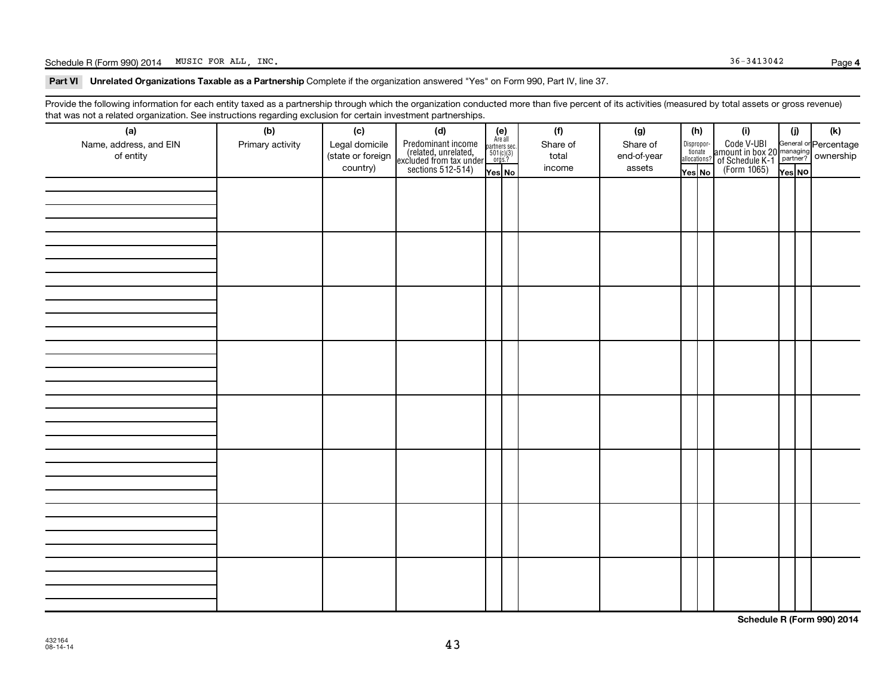### Schedule R (Form 990) 2014 MUSIC FOR ALL, INC. Page Page 36-3413042

Part VI Unrelated Organizations Taxable as a Partnership Complete if the organization answered "Yes" on Form 990, Part IV, line 37.

Provide the following information for each entity taxed as a partnership through which the organization conducted more than five percent of its activities (measured by total assets or gross revenue) that was not a related organization. See instructions regarding exclusion for certain investment partnerships.

| hat neo hot a rolatod organization. Ooo motraotiono rogaranty oxolaolon for cortain invocaniont partnorompo.<br>(a) | (b)              | (c)               | (d)                                                                                        |                                                            |  | (f)      | (g)         |                                  | (h) | (i)                                                                                                | (i)    | (k) |
|---------------------------------------------------------------------------------------------------------------------|------------------|-------------------|--------------------------------------------------------------------------------------------|------------------------------------------------------------|--|----------|-------------|----------------------------------|-----|----------------------------------------------------------------------------------------------------|--------|-----|
| Name, address, and EIN                                                                                              | Primary activity | Legal domicile    |                                                                                            | $(e)$<br>Are all<br>partners sec.<br>$501(c)(3)$<br>orgs.? |  | Share of | Share of    |                                  |     |                                                                                                    |        |     |
| of entity                                                                                                           |                  | (state or foreign |                                                                                            |                                                            |  | total    | end-of-year | Disproportionate<br>allocations? |     |                                                                                                    |        |     |
|                                                                                                                     |                  | country)          | Predominant income<br>(related, unrelated,<br>excluded from tax under<br>sections 512-514) | Yes No                                                     |  | income   | assets      | Yes No                           |     | Code V-UBI<br>amount in box 20 managing<br>of Schedule K-1<br>(Form 1065)<br>$\overline{V}$ ves No | Yes NO |     |
|                                                                                                                     |                  |                   |                                                                                            |                                                            |  |          |             |                                  |     |                                                                                                    |        |     |
|                                                                                                                     |                  |                   |                                                                                            |                                                            |  |          |             |                                  |     |                                                                                                    |        |     |
|                                                                                                                     |                  |                   |                                                                                            |                                                            |  |          |             |                                  |     |                                                                                                    |        |     |
|                                                                                                                     |                  |                   |                                                                                            |                                                            |  |          |             |                                  |     |                                                                                                    |        |     |
|                                                                                                                     |                  |                   |                                                                                            |                                                            |  |          |             |                                  |     |                                                                                                    |        |     |
|                                                                                                                     |                  |                   |                                                                                            |                                                            |  |          |             |                                  |     |                                                                                                    |        |     |
|                                                                                                                     |                  |                   |                                                                                            |                                                            |  |          |             |                                  |     |                                                                                                    |        |     |
|                                                                                                                     |                  |                   |                                                                                            |                                                            |  |          |             |                                  |     |                                                                                                    |        |     |
|                                                                                                                     |                  |                   |                                                                                            |                                                            |  |          |             |                                  |     |                                                                                                    |        |     |
|                                                                                                                     |                  |                   |                                                                                            |                                                            |  |          |             |                                  |     |                                                                                                    |        |     |
|                                                                                                                     |                  |                   |                                                                                            |                                                            |  |          |             |                                  |     |                                                                                                    |        |     |
|                                                                                                                     |                  |                   |                                                                                            |                                                            |  |          |             |                                  |     |                                                                                                    |        |     |
|                                                                                                                     |                  |                   |                                                                                            |                                                            |  |          |             |                                  |     |                                                                                                    |        |     |
|                                                                                                                     |                  |                   |                                                                                            |                                                            |  |          |             |                                  |     |                                                                                                    |        |     |
|                                                                                                                     |                  |                   |                                                                                            |                                                            |  |          |             |                                  |     |                                                                                                    |        |     |
|                                                                                                                     |                  |                   |                                                                                            |                                                            |  |          |             |                                  |     |                                                                                                    |        |     |
|                                                                                                                     |                  |                   |                                                                                            |                                                            |  |          |             |                                  |     |                                                                                                    |        |     |
|                                                                                                                     |                  |                   |                                                                                            |                                                            |  |          |             |                                  |     |                                                                                                    |        |     |
|                                                                                                                     |                  |                   |                                                                                            |                                                            |  |          |             |                                  |     |                                                                                                    |        |     |
|                                                                                                                     |                  |                   |                                                                                            |                                                            |  |          |             |                                  |     |                                                                                                    |        |     |
|                                                                                                                     |                  |                   |                                                                                            |                                                            |  |          |             |                                  |     |                                                                                                    |        |     |
|                                                                                                                     |                  |                   |                                                                                            |                                                            |  |          |             |                                  |     |                                                                                                    |        |     |
|                                                                                                                     |                  |                   |                                                                                            |                                                            |  |          |             |                                  |     |                                                                                                    |        |     |
|                                                                                                                     |                  |                   |                                                                                            |                                                            |  |          |             |                                  |     |                                                                                                    |        |     |
|                                                                                                                     |                  |                   |                                                                                            |                                                            |  |          |             |                                  |     |                                                                                                    |        |     |
|                                                                                                                     |                  |                   |                                                                                            |                                                            |  |          |             |                                  |     |                                                                                                    |        |     |
|                                                                                                                     |                  |                   |                                                                                            |                                                            |  |          |             |                                  |     |                                                                                                    |        |     |
|                                                                                                                     |                  |                   |                                                                                            |                                                            |  |          |             |                                  |     |                                                                                                    |        |     |
|                                                                                                                     |                  |                   |                                                                                            |                                                            |  |          |             |                                  |     |                                                                                                    |        |     |
|                                                                                                                     |                  |                   |                                                                                            |                                                            |  |          |             |                                  |     |                                                                                                    |        |     |
|                                                                                                                     |                  |                   |                                                                                            |                                                            |  |          |             |                                  |     |                                                                                                    |        |     |
|                                                                                                                     |                  |                   |                                                                                            |                                                            |  |          |             |                                  |     |                                                                                                    |        |     |
|                                                                                                                     |                  |                   |                                                                                            |                                                            |  |          |             |                                  |     |                                                                                                    |        |     |

**Schedule R (Form 990) 2014**